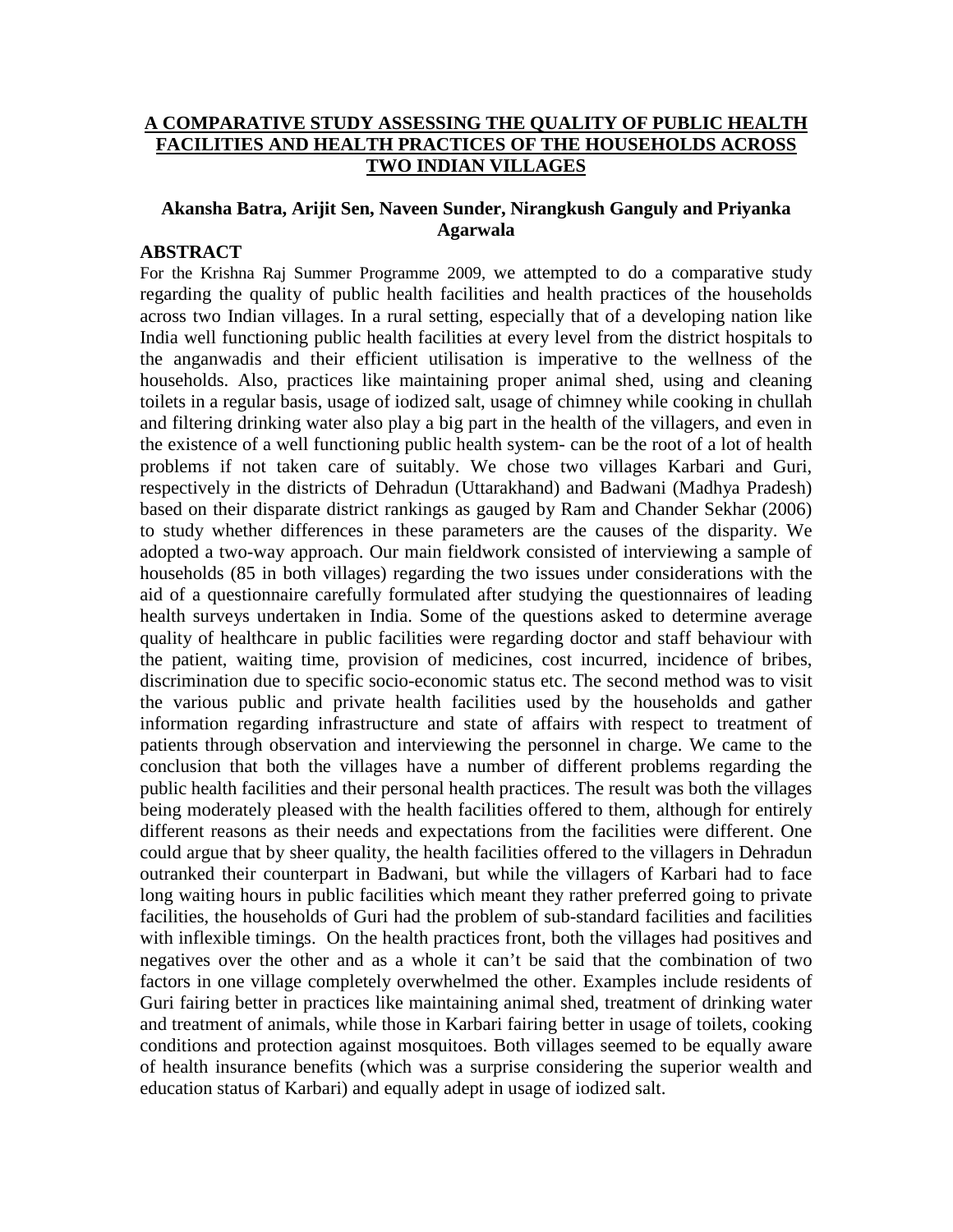## **A COMPARATIVE STUDY ASSESSING THE QUALITY OF PUBLIC HEALTH FACILITIES AND HEALTH PRACTICES OF THE HOUSEHOLDS ACROSS TWO INDIAN VILLAGES**

## **Akansha Batra, Arijit Sen, Naveen Sunder, Nirangkush Ganguly and Priyanka Agarwala**

### **ABSTRACT**

For the Krishna Raj Summer Programme 2009, we attempted to do a comparative study regarding the quality of public health facilities and health practices of the households across two Indian villages. In a rural setting, especially that of a developing nation like India well functioning public health facilities at every level from the district hospitals to the anganwadis and their efficient utilisation is imperative to the wellness of the households. Also, practices like maintaining proper animal shed, using and cleaning toilets in a regular basis, usage of iodized salt, usage of chimney while cooking in chullah and filtering drinking water also play a big part in the health of the villagers, and even in the existence of a well functioning public health system- can be the root of a lot of health problems if not taken care of suitably. We chose two villages Karbari and Guri, respectively in the districts of Dehradun (Uttarakhand) and Badwani (Madhya Pradesh) based on their disparate district rankings as gauged by Ram and Chander Sekhar (2006) to study whether differences in these parameters are the causes of the disparity. We adopted a two-way approach. Our main fieldwork consisted of interviewing a sample of households (85 in both villages) regarding the two issues under considerations with the aid of a questionnaire carefully formulated after studying the questionnaires of leading health surveys undertaken in India. Some of the questions asked to determine average quality of healthcare in public facilities were regarding doctor and staff behaviour with the patient, waiting time, provision of medicines, cost incurred, incidence of bribes, discrimination due to specific socio-economic status etc. The second method was to visit the various public and private health facilities used by the households and gather information regarding infrastructure and state of affairs with respect to treatment of patients through observation and interviewing the personnel in charge. We came to the conclusion that both the villages have a number of different problems regarding the public health facilities and their personal health practices. The result was both the villages being moderately pleased with the health facilities offered to them, although for entirely different reasons as their needs and expectations from the facilities were different. One could argue that by sheer quality, the health facilities offered to the villagers in Dehradun outranked their counterpart in Badwani, but while the villagers of Karbari had to face long waiting hours in public facilities which meant they rather preferred going to private facilities, the households of Guri had the problem of sub-standard facilities and facilities with inflexible timings. On the health practices front, both the villages had positives and negatives over the other and as a whole it can't be said that the combination of two factors in one village completely overwhelmed the other. Examples include residents of Guri fairing better in practices like maintaining animal shed, treatment of drinking water and treatment of animals, while those in Karbari fairing better in usage of toilets, cooking conditions and protection against mosquitoes. Both villages seemed to be equally aware of health insurance benefits (which was a surprise considering the superior wealth and education status of Karbari) and equally adept in usage of iodized salt.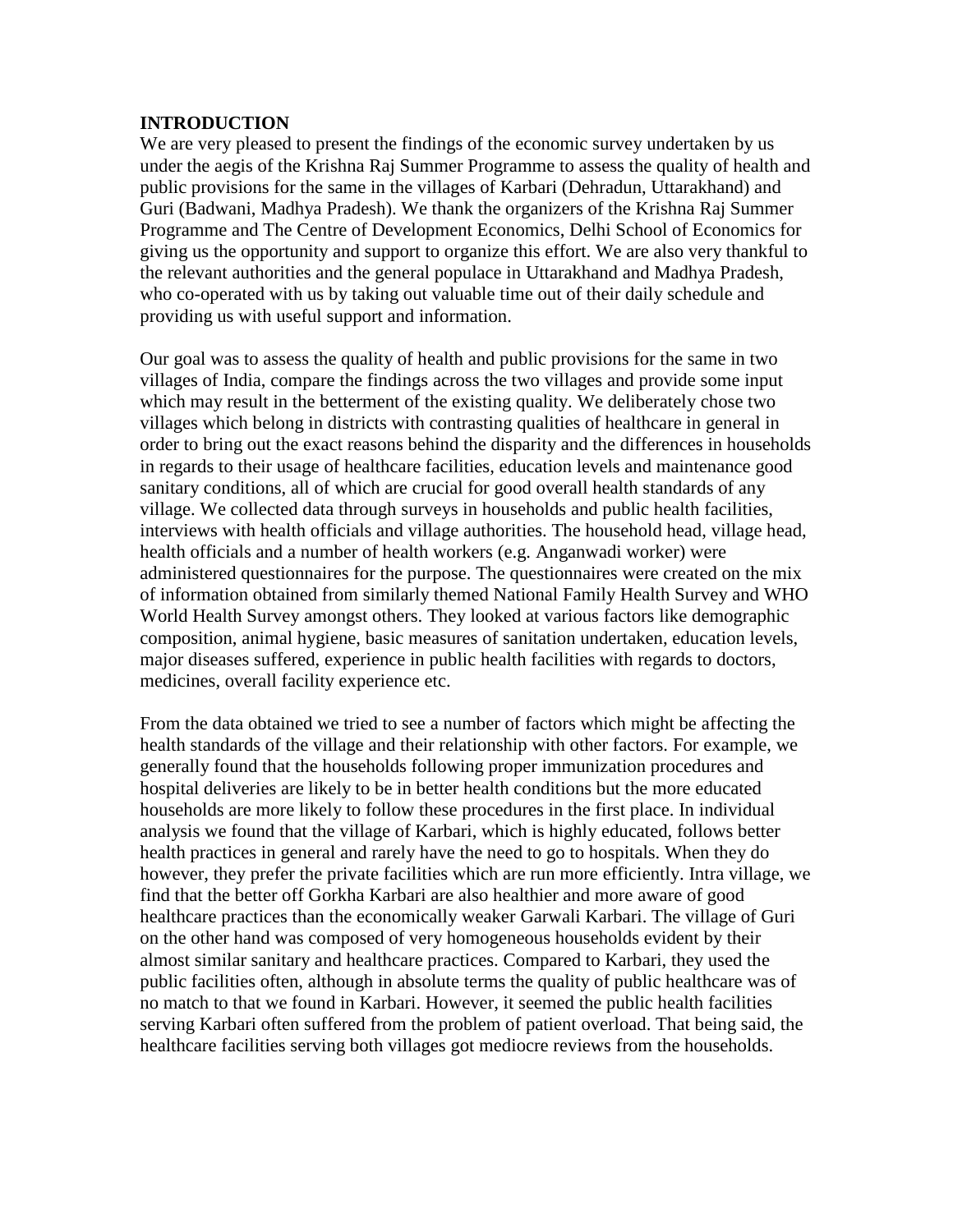### **INTRODUCTION**

We are very pleased to present the findings of the economic survey undertaken by us under the aegis of the Krishna Raj Summer Programme to assess the quality of health and public provisions for the same in the villages of Karbari (Dehradun, Uttarakhand) and Guri (Badwani, Madhya Pradesh). We thank the organizers of the Krishna Raj Summer Programme and The Centre of Development Economics, Delhi School of Economics for giving us the opportunity and support to organize this effort. We are also very thankful to the relevant authorities and the general populace in Uttarakhand and Madhya Pradesh, who co-operated with us by taking out valuable time out of their daily schedule and providing us with useful support and information.

Our goal was to assess the quality of health and public provisions for the same in two villages of India, compare the findings across the two villages and provide some input which may result in the betterment of the existing quality. We deliberately chose two villages which belong in districts with contrasting qualities of healthcare in general in order to bring out the exact reasons behind the disparity and the differences in households in regards to their usage of healthcare facilities, education levels and maintenance good sanitary conditions, all of which are crucial for good overall health standards of any village. We collected data through surveys in households and public health facilities, interviews with health officials and village authorities. The household head, village head, health officials and a number of health workers (e.g. Anganwadi worker) were administered questionnaires for the purpose. The questionnaires were created on the mix of information obtained from similarly themed National Family Health Survey and WHO World Health Survey amongst others. They looked at various factors like demographic composition, animal hygiene, basic measures of sanitation undertaken, education levels, major diseases suffered, experience in public health facilities with regards to doctors, medicines, overall facility experience etc.

From the data obtained we tried to see a number of factors which might be affecting the health standards of the village and their relationship with other factors. For example, we generally found that the households following proper immunization procedures and hospital deliveries are likely to be in better health conditions but the more educated households are more likely to follow these procedures in the first place. In individual analysis we found that the village of Karbari, which is highly educated, follows better health practices in general and rarely have the need to go to hospitals. When they do however, they prefer the private facilities which are run more efficiently. Intra village, we find that the better off Gorkha Karbari are also healthier and more aware of good healthcare practices than the economically weaker Garwali Karbari. The village of Guri on the other hand was composed of very homogeneous households evident by their almost similar sanitary and healthcare practices. Compared to Karbari, they used the public facilities often, although in absolute terms the quality of public healthcare was of no match to that we found in Karbari. However, it seemed the public health facilities serving Karbari often suffered from the problem of patient overload. That being said, the healthcare facilities serving both villages got mediocre reviews from the households.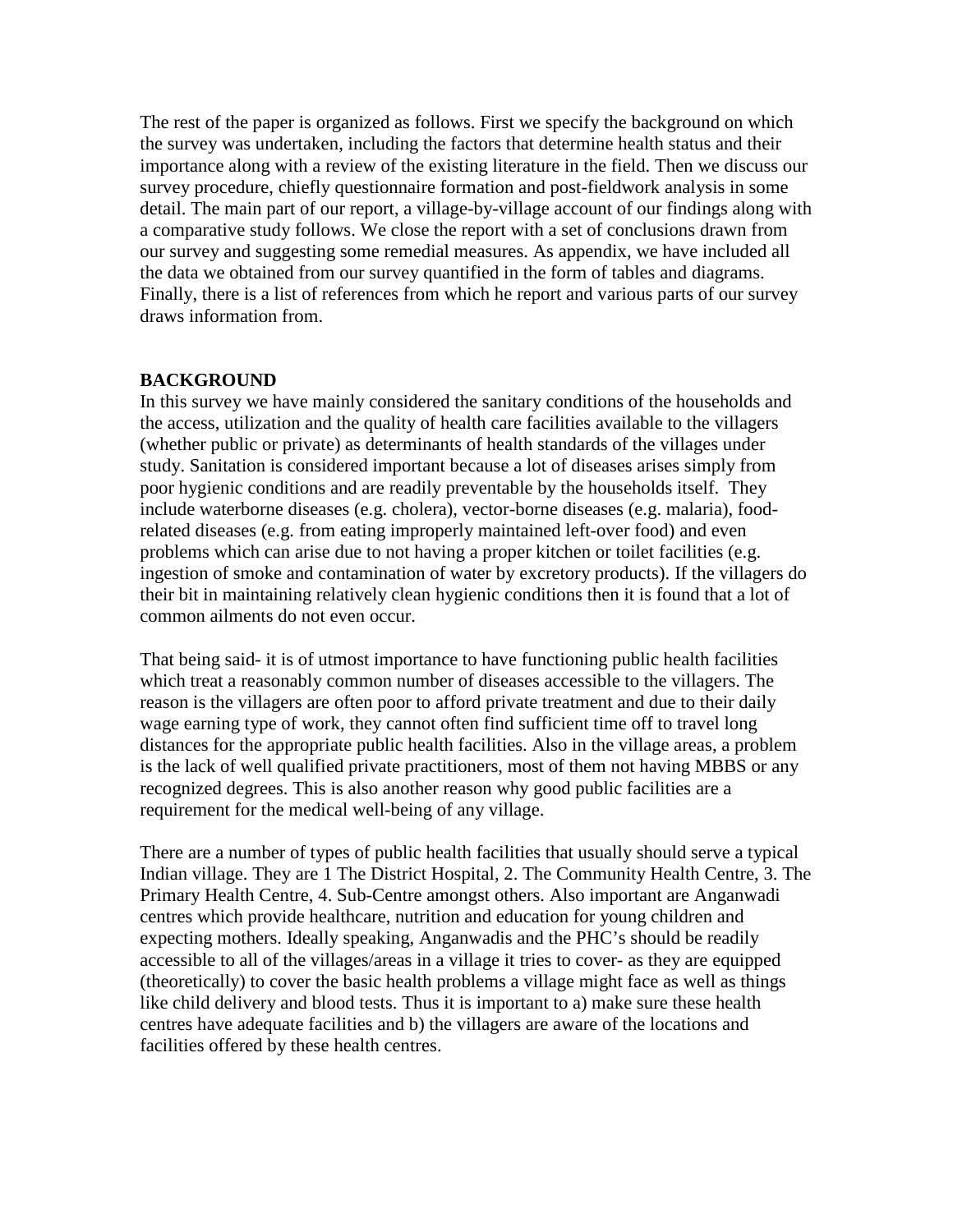The rest of the paper is organized as follows. First we specify the background on which the survey was undertaken, including the factors that determine health status and their importance along with a review of the existing literature in the field. Then we discuss our survey procedure, chiefly questionnaire formation and post-fieldwork analysis in some detail. The main part of our report, a village-by-village account of our findings along with a comparative study follows. We close the report with a set of conclusions drawn from our survey and suggesting some remedial measures. As appendix, we have included all the data we obtained from our survey quantified in the form of tables and diagrams. Finally, there is a list of references from which he report and various parts of our survey draws information from.

## **BACKGROUND**

In this survey we have mainly considered the sanitary conditions of the households and the access, utilization and the quality of health care facilities available to the villagers (whether public or private) as determinants of health standards of the villages under study. Sanitation is considered important because a lot of diseases arises simply from poor hygienic conditions and are readily preventable by the households itself. They include waterborne diseases (e.g. cholera), vector-borne diseases (e.g. malaria), foodrelated diseases (e.g. from eating improperly maintained left-over food) and even problems which can arise due to not having a proper kitchen or toilet facilities (e.g. ingestion of smoke and contamination of water by excretory products). If the villagers do their bit in maintaining relatively clean hygienic conditions then it is found that a lot of common ailments do not even occur.

That being said- it is of utmost importance to have functioning public health facilities which treat a reasonably common number of diseases accessible to the villagers. The reason is the villagers are often poor to afford private treatment and due to their daily wage earning type of work, they cannot often find sufficient time off to travel long distances for the appropriate public health facilities. Also in the village areas, a problem is the lack of well qualified private practitioners, most of them not having MBBS or any recognized degrees. This is also another reason why good public facilities are a requirement for the medical well-being of any village.

There are a number of types of public health facilities that usually should serve a typical Indian village. They are 1 The District Hospital, 2. The Community Health Centre, 3. The Primary Health Centre, 4. Sub-Centre amongst others. Also important are Anganwadi centres which provide healthcare, nutrition and education for young children and expecting mothers. Ideally speaking, Anganwadis and the PHC's should be readily accessible to all of the villages/areas in a village it tries to cover- as they are equipped (theoretically) to cover the basic health problems a village might face as well as things like child delivery and blood tests. Thus it is important to a) make sure these health centres have adequate facilities and b) the villagers are aware of the locations and facilities offered by these health centres.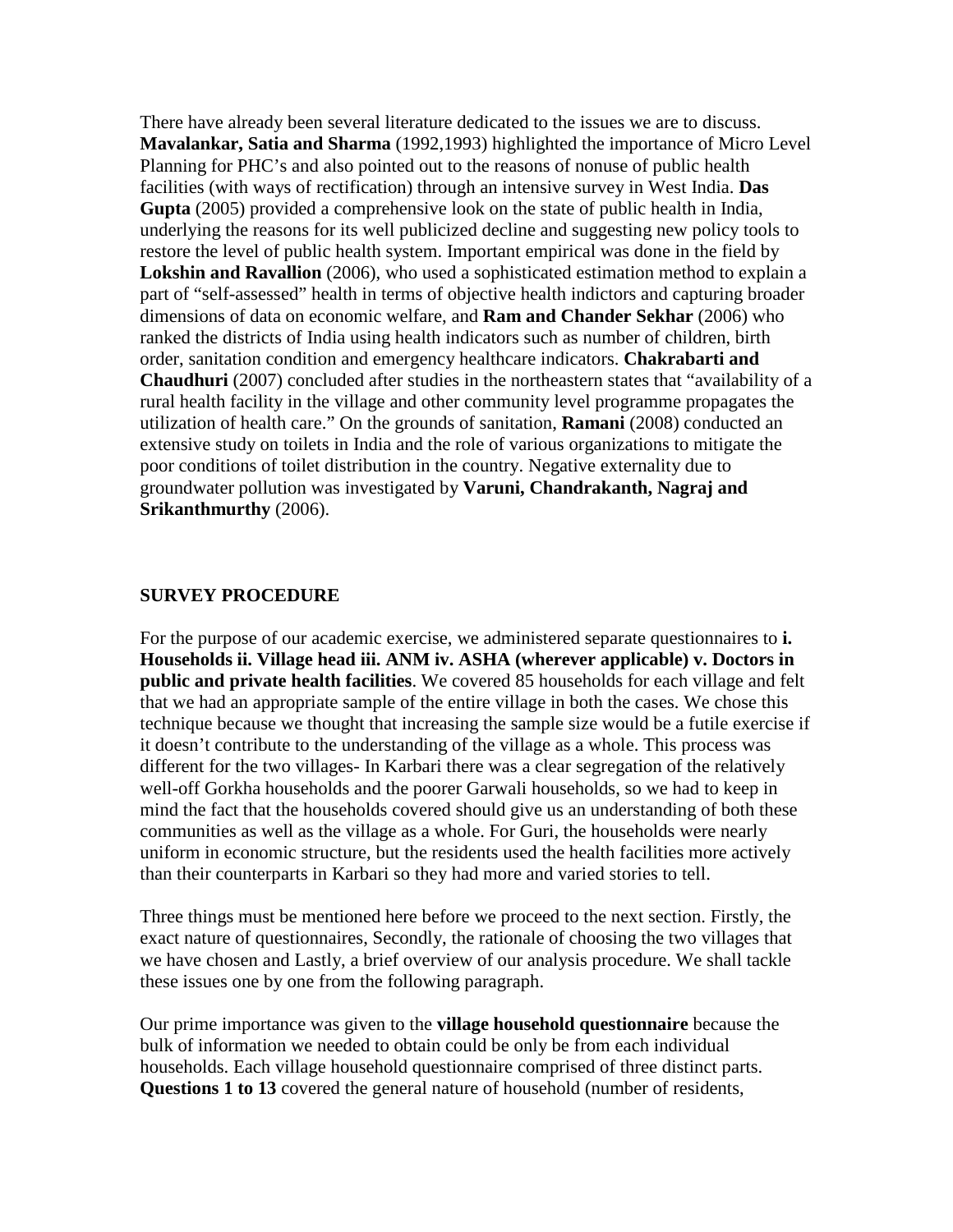There have already been several literature dedicated to the issues we are to discuss. **Mavalankar, Satia and Sharma** (1992,1993) highlighted the importance of Micro Level Planning for PHC's and also pointed out to the reasons of nonuse of public health facilities (with ways of rectification) through an intensive survey in West India. **Das Gupta** (2005) provided a comprehensive look on the state of public health in India, underlying the reasons for its well publicized decline and suggesting new policy tools to restore the level of public health system. Important empirical was done in the field by **Lokshin and Ravallion** (2006), who used a sophisticated estimation method to explain a part of "self-assessed" health in terms of objective health indictors and capturing broader dimensions of data on economic welfare, and **Ram and Chander Sekhar** (2006) who ranked the districts of India using health indicators such as number of children, birth order, sanitation condition and emergency healthcare indicators. **Chakrabarti and Chaudhuri** (2007) concluded after studies in the northeastern states that "availability of a rural health facility in the village and other community level programme propagates the utilization of health care." On the grounds of sanitation, **Ramani** (2008) conducted an extensive study on toilets in India and the role of various organizations to mitigate the poor conditions of toilet distribution in the country. Negative externality due to groundwater pollution was investigated by **Varuni, Chandrakanth, Nagraj and Srikanthmurthy** (2006).

### **SURVEY PROCEDURE**

For the purpose of our academic exercise, we administered separate questionnaires to **i. Households ii. Village head iii. ANM iv. ASHA (wherever applicable) v. Doctors in public and private health facilities**. We covered 85 households for each village and felt that we had an appropriate sample of the entire village in both the cases. We chose this technique because we thought that increasing the sample size would be a futile exercise if it doesn't contribute to the understanding of the village as a whole. This process was different for the two villages- In Karbari there was a clear segregation of the relatively well-off Gorkha households and the poorer Garwali households, so we had to keep in mind the fact that the households covered should give us an understanding of both these communities as well as the village as a whole. For Guri, the households were nearly uniform in economic structure, but the residents used the health facilities more actively than their counterparts in Karbari so they had more and varied stories to tell.

Three things must be mentioned here before we proceed to the next section. Firstly, the exact nature of questionnaires, Secondly, the rationale of choosing the two villages that we have chosen and Lastly, a brief overview of our analysis procedure. We shall tackle these issues one by one from the following paragraph.

Our prime importance was given to the **village household questionnaire** because the bulk of information we needed to obtain could be only be from each individual households. Each village household questionnaire comprised of three distinct parts. **Questions 1 to 13** covered the general nature of household (number of residents,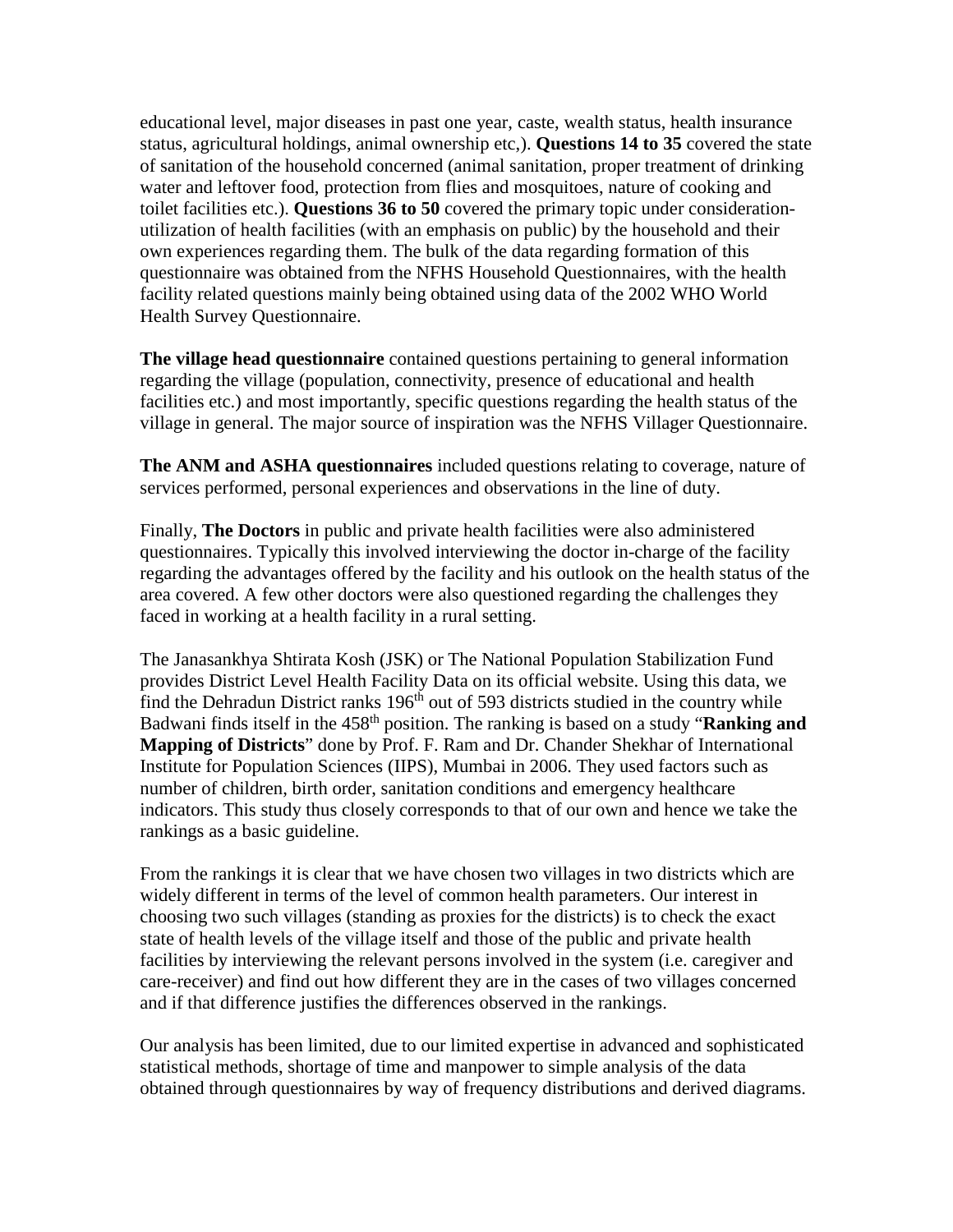educational level, major diseases in past one year, caste, wealth status, health insurance status, agricultural holdings, animal ownership etc,). **Questions 14 to 35** covered the state of sanitation of the household concerned (animal sanitation, proper treatment of drinking water and leftover food, protection from flies and mosquitoes, nature of cooking and toilet facilities etc.). **Questions 36 to 50** covered the primary topic under considerationutilization of health facilities (with an emphasis on public) by the household and their own experiences regarding them. The bulk of the data regarding formation of this questionnaire was obtained from the NFHS Household Questionnaires, with the health facility related questions mainly being obtained using data of the 2002 WHO World Health Survey Questionnaire.

**The village head questionnaire** contained questions pertaining to general information regarding the village (population, connectivity, presence of educational and health facilities etc.) and most importantly, specific questions regarding the health status of the village in general. The major source of inspiration was the NFHS Villager Questionnaire.

**The ANM and ASHA questionnaires** included questions relating to coverage, nature of services performed, personal experiences and observations in the line of duty.

Finally, **The Doctors** in public and private health facilities were also administered questionnaires. Typically this involved interviewing the doctor in-charge of the facility regarding the advantages offered by the facility and his outlook on the health status of the area covered. A few other doctors were also questioned regarding the challenges they faced in working at a health facility in a rural setting.

The Janasankhya Shtirata Kosh (JSK) or The National Population Stabilization Fund provides District Level Health Facility Data on its official website. Using this data, we find the Dehradun District ranks 196<sup>th</sup> out of 593 districts studied in the country while Badwani finds itself in the 458th position. The ranking is based on a study "**Ranking and Mapping of Districts**" done by Prof. F. Ram and Dr. Chander Shekhar of International Institute for Population Sciences (IIPS), Mumbai in 2006. They used factors such as number of children, birth order, sanitation conditions and emergency healthcare indicators. This study thus closely corresponds to that of our own and hence we take the rankings as a basic guideline.

From the rankings it is clear that we have chosen two villages in two districts which are widely different in terms of the level of common health parameters. Our interest in choosing two such villages (standing as proxies for the districts) is to check the exact state of health levels of the village itself and those of the public and private health facilities by interviewing the relevant persons involved in the system (i.e. caregiver and care-receiver) and find out how different they are in the cases of two villages concerned and if that difference justifies the differences observed in the rankings.

Our analysis has been limited, due to our limited expertise in advanced and sophisticated statistical methods, shortage of time and manpower to simple analysis of the data obtained through questionnaires by way of frequency distributions and derived diagrams.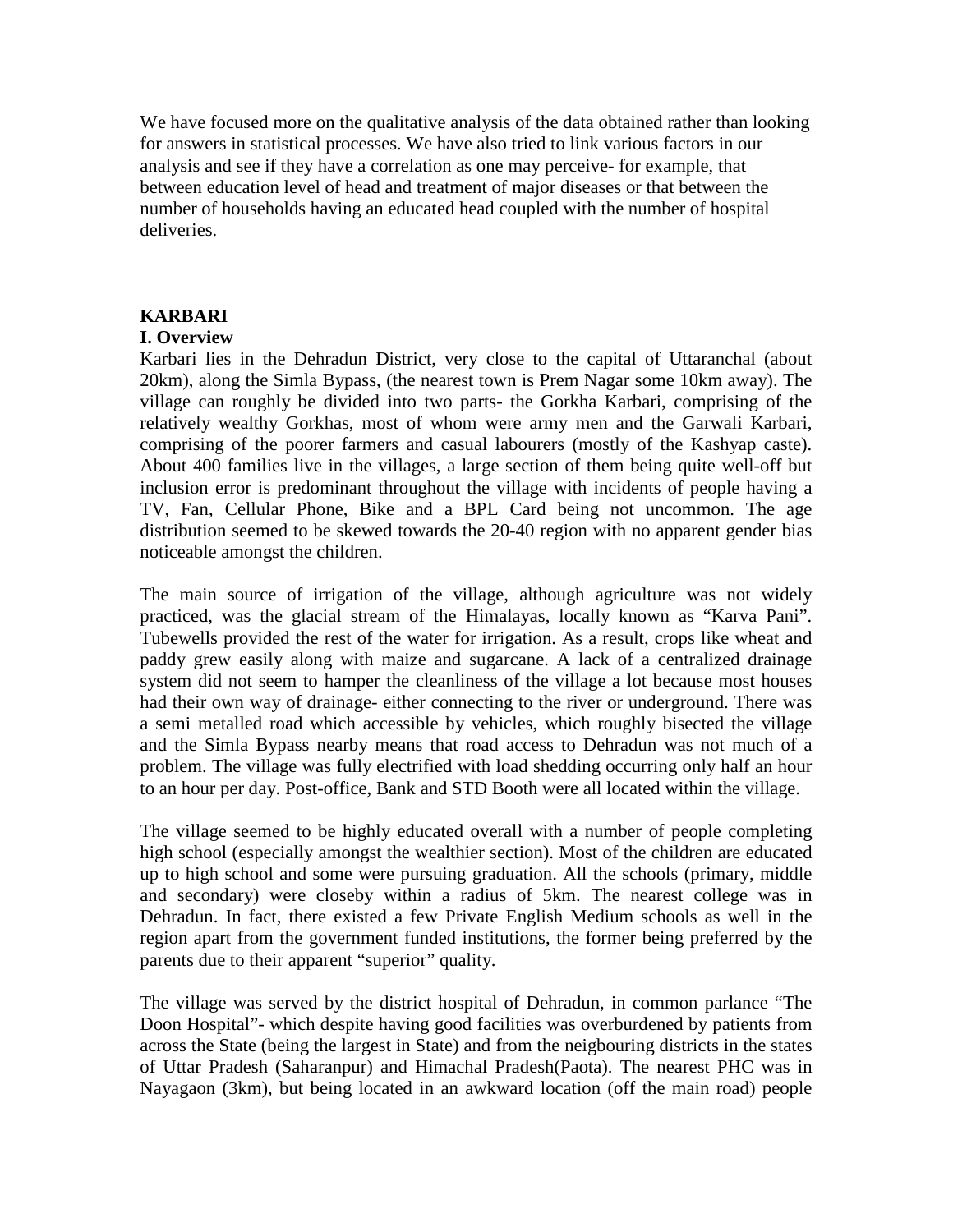We have focused more on the qualitative analysis of the data obtained rather than looking for answers in statistical processes. We have also tried to link various factors in our analysis and see if they have a correlation as one may perceive- for example, that between education level of head and treatment of major diseases or that between the number of households having an educated head coupled with the number of hospital deliveries.

## **KARBARI**

## **I. Overview**

Karbari lies in the Dehradun District, very close to the capital of Uttaranchal (about 20km), along the Simla Bypass, (the nearest town is Prem Nagar some 10km away). The village can roughly be divided into two parts- the Gorkha Karbari, comprising of the relatively wealthy Gorkhas, most of whom were army men and the Garwali Karbari, comprising of the poorer farmers and casual labourers (mostly of the Kashyap caste). About 400 families live in the villages, a large section of them being quite well-off but inclusion error is predominant throughout the village with incidents of people having a TV, Fan, Cellular Phone, Bike and a BPL Card being not uncommon. The age distribution seemed to be skewed towards the 20-40 region with no apparent gender bias noticeable amongst the children.

The main source of irrigation of the village, although agriculture was not widely practiced, was the glacial stream of the Himalayas, locally known as "Karva Pani". Tubewells provided the rest of the water for irrigation. As a result, crops like wheat and paddy grew easily along with maize and sugarcane. A lack of a centralized drainage system did not seem to hamper the cleanliness of the village a lot because most houses had their own way of drainage- either connecting to the river or underground. There was a semi metalled road which accessible by vehicles, which roughly bisected the village and the Simla Bypass nearby means that road access to Dehradun was not much of a problem. The village was fully electrified with load shedding occurring only half an hour to an hour per day. Post-office, Bank and STD Booth were all located within the village.

The village seemed to be highly educated overall with a number of people completing high school (especially amongst the wealthier section). Most of the children are educated up to high school and some were pursuing graduation. All the schools (primary, middle and secondary) were closeby within a radius of 5km. The nearest college was in Dehradun. In fact, there existed a few Private English Medium schools as well in the region apart from the government funded institutions, the former being preferred by the parents due to their apparent "superior" quality.

The village was served by the district hospital of Dehradun, in common parlance "The Doon Hospital"- which despite having good facilities was overburdened by patients from across the State (being the largest in State) and from the neigbouring districts in the states of Uttar Pradesh (Saharanpur) and Himachal Pradesh(Paota). The nearest PHC was in Nayagaon (3km), but being located in an awkward location (off the main road) people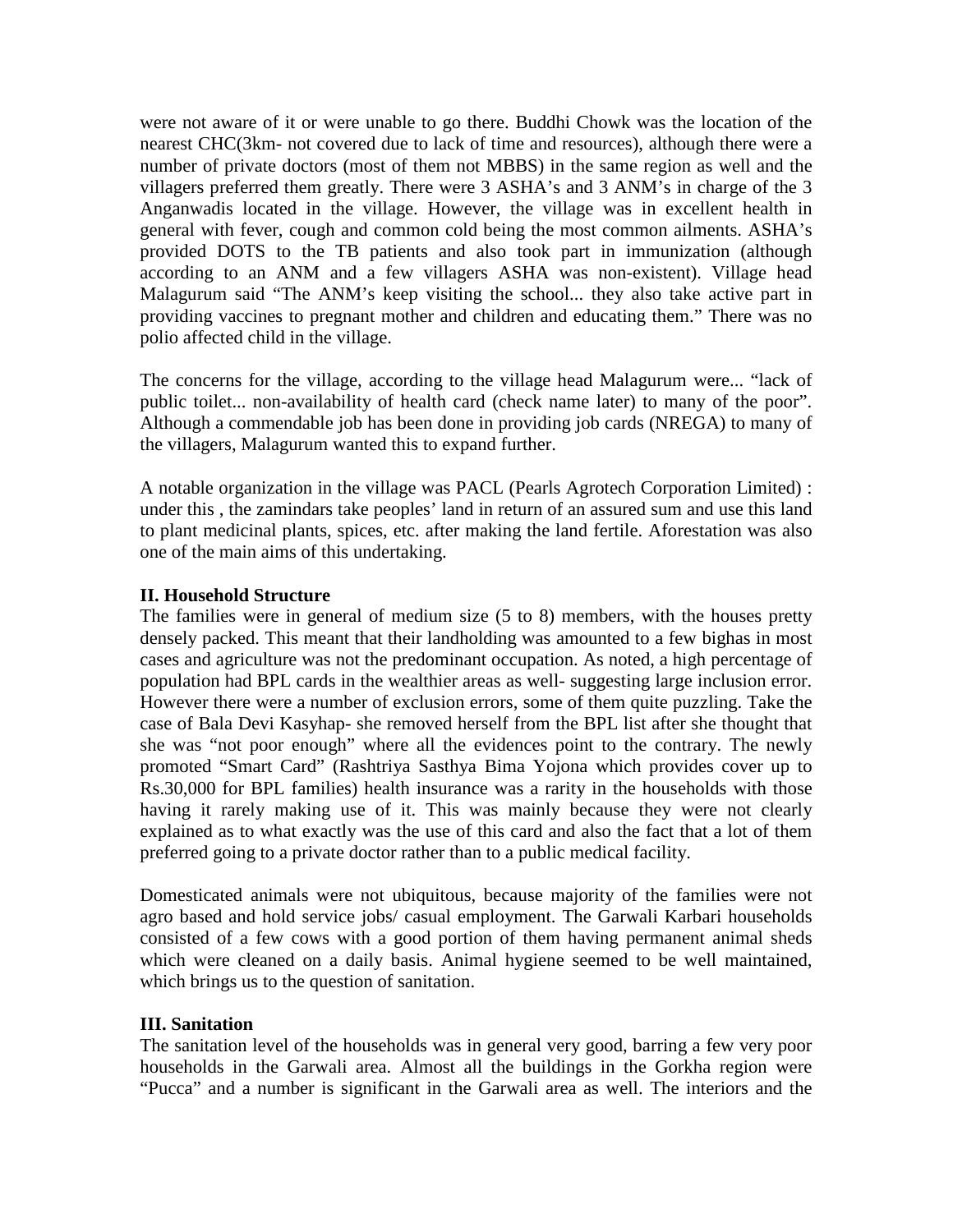were not aware of it or were unable to go there. Buddhi Chowk was the location of the nearest CHC(3km- not covered due to lack of time and resources), although there were a number of private doctors (most of them not MBBS) in the same region as well and the villagers preferred them greatly. There were 3 ASHA's and 3 ANM's in charge of the 3 Anganwadis located in the village. However, the village was in excellent health in general with fever, cough and common cold being the most common ailments. ASHA's provided DOTS to the TB patients and also took part in immunization (although according to an ANM and a few villagers ASHA was non-existent). Village head Malagurum said "The ANM's keep visiting the school... they also take active part in providing vaccines to pregnant mother and children and educating them." There was no polio affected child in the village.

The concerns for the village, according to the village head Malagurum were... "lack of public toilet... non-availability of health card (check name later) to many of the poor". Although a commendable job has been done in providing job cards (NREGA) to many of the villagers, Malagurum wanted this to expand further.

A notable organization in the village was PACL (Pearls Agrotech Corporation Limited) : under this , the zamindars take peoples' land in return of an assured sum and use this land to plant medicinal plants, spices, etc. after making the land fertile. Aforestation was also one of the main aims of this undertaking.

### **II. Household Structure**

The families were in general of medium size (5 to 8) members, with the houses pretty densely packed. This meant that their landholding was amounted to a few bighas in most cases and agriculture was not the predominant occupation. As noted, a high percentage of population had BPL cards in the wealthier areas as well- suggesting large inclusion error. However there were a number of exclusion errors, some of them quite puzzling. Take the case of Bala Devi Kasyhap- she removed herself from the BPL list after she thought that she was "not poor enough" where all the evidences point to the contrary. The newly promoted "Smart Card" (Rashtriya Sasthya Bima Yojona which provides cover up to Rs.30,000 for BPL families) health insurance was a rarity in the households with those having it rarely making use of it. This was mainly because they were not clearly explained as to what exactly was the use of this card and also the fact that a lot of them preferred going to a private doctor rather than to a public medical facility.

Domesticated animals were not ubiquitous, because majority of the families were not agro based and hold service jobs/ casual employment. The Garwali Karbari households consisted of a few cows with a good portion of them having permanent animal sheds which were cleaned on a daily basis. Animal hygiene seemed to be well maintained, which brings us to the question of sanitation.

#### **III. Sanitation**

The sanitation level of the households was in general very good, barring a few very poor households in the Garwali area. Almost all the buildings in the Gorkha region were "Pucca" and a number is significant in the Garwali area as well. The interiors and the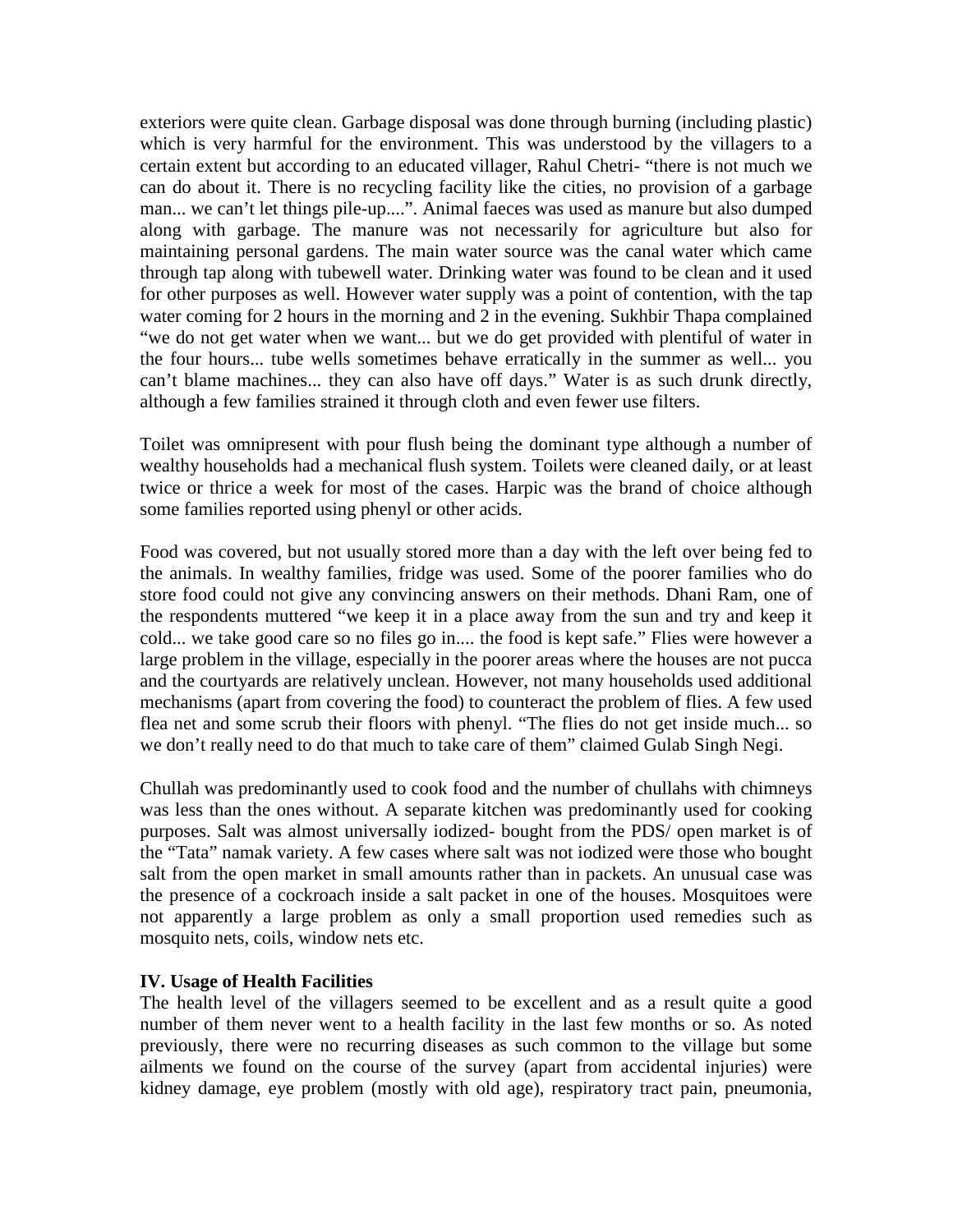exteriors were quite clean. Garbage disposal was done through burning (including plastic) which is very harmful for the environment. This was understood by the villagers to a certain extent but according to an educated villager, Rahul Chetri- "there is not much we can do about it. There is no recycling facility like the cities, no provision of a garbage man... we can't let things pile-up....". Animal faeces was used as manure but also dumped along with garbage. The manure was not necessarily for agriculture but also for maintaining personal gardens. The main water source was the canal water which came through tap along with tubewell water. Drinking water was found to be clean and it used for other purposes as well. However water supply was a point of contention, with the tap water coming for 2 hours in the morning and 2 in the evening. Sukhbir Thapa complained "we do not get water when we want... but we do get provided with plentiful of water in the four hours... tube wells sometimes behave erratically in the summer as well... you can't blame machines... they can also have off days." Water is as such drunk directly, although a few families strained it through cloth and even fewer use filters.

Toilet was omnipresent with pour flush being the dominant type although a number of wealthy households had a mechanical flush system. Toilets were cleaned daily, or at least twice or thrice a week for most of the cases. Harpic was the brand of choice although some families reported using phenyl or other acids.

Food was covered, but not usually stored more than a day with the left over being fed to the animals. In wealthy families, fridge was used. Some of the poorer families who do store food could not give any convincing answers on their methods. Dhani Ram, one of the respondents muttered "we keep it in a place away from the sun and try and keep it cold... we take good care so no files go in.... the food is kept safe." Flies were however a large problem in the village, especially in the poorer areas where the houses are not pucca and the courtyards are relatively unclean. However, not many households used additional mechanisms (apart from covering the food) to counteract the problem of flies. A few used flea net and some scrub their floors with phenyl. "The flies do not get inside much... so we don't really need to do that much to take care of them" claimed Gulab Singh Negi.

Chullah was predominantly used to cook food and the number of chullahs with chimneys was less than the ones without. A separate kitchen was predominantly used for cooking purposes. Salt was almost universally iodized- bought from the PDS/ open market is of the "Tata" namak variety. A few cases where salt was not iodized were those who bought salt from the open market in small amounts rather than in packets. An unusual case was the presence of a cockroach inside a salt packet in one of the houses. Mosquitoes were not apparently a large problem as only a small proportion used remedies such as mosquito nets, coils, window nets etc.

### **IV. Usage of Health Facilities**

The health level of the villagers seemed to be excellent and as a result quite a good number of them never went to a health facility in the last few months or so. As noted previously, there were no recurring diseases as such common to the village but some ailments we found on the course of the survey (apart from accidental injuries) were kidney damage, eye problem (mostly with old age), respiratory tract pain, pneumonia,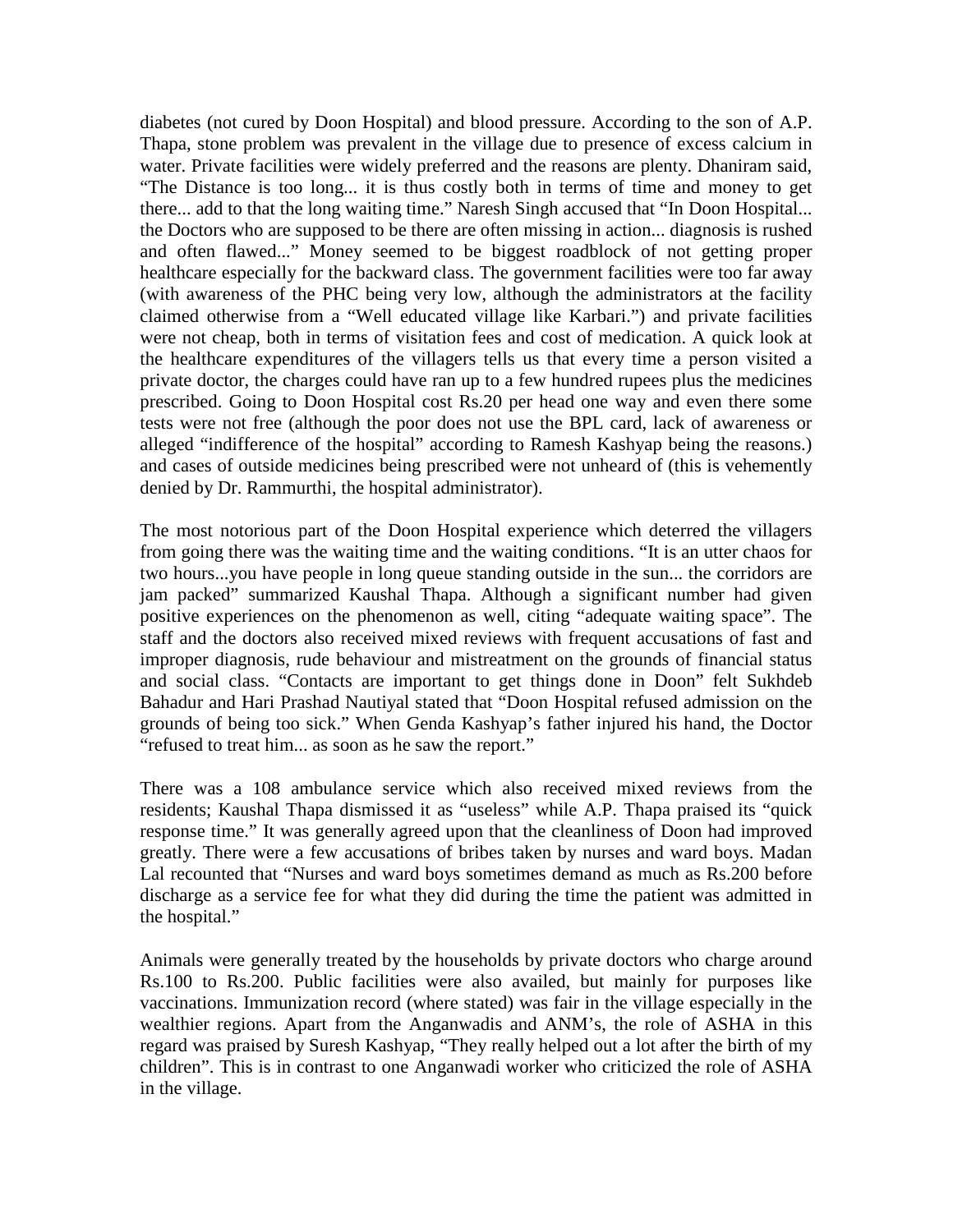diabetes (not cured by Doon Hospital) and blood pressure. According to the son of A.P. Thapa, stone problem was prevalent in the village due to presence of excess calcium in water. Private facilities were widely preferred and the reasons are plenty. Dhaniram said, "The Distance is too long... it is thus costly both in terms of time and money to get there... add to that the long waiting time." Naresh Singh accused that "In Doon Hospital... the Doctors who are supposed to be there are often missing in action... diagnosis is rushed and often flawed..." Money seemed to be biggest roadblock of not getting proper healthcare especially for the backward class. The government facilities were too far away (with awareness of the PHC being very low, although the administrators at the facility claimed otherwise from a "Well educated village like Karbari.") and private facilities were not cheap, both in terms of visitation fees and cost of medication. A quick look at the healthcare expenditures of the villagers tells us that every time a person visited a private doctor, the charges could have ran up to a few hundred rupees plus the medicines prescribed. Going to Doon Hospital cost Rs.20 per head one way and even there some tests were not free (although the poor does not use the BPL card, lack of awareness or alleged "indifference of the hospital" according to Ramesh Kashyap being the reasons.) and cases of outside medicines being prescribed were not unheard of (this is vehemently denied by Dr. Rammurthi, the hospital administrator).

The most notorious part of the Doon Hospital experience which deterred the villagers from going there was the waiting time and the waiting conditions. "It is an utter chaos for two hours...you have people in long queue standing outside in the sun... the corridors are jam packed" summarized Kaushal Thapa. Although a significant number had given positive experiences on the phenomenon as well, citing "adequate waiting space". The staff and the doctors also received mixed reviews with frequent accusations of fast and improper diagnosis, rude behaviour and mistreatment on the grounds of financial status and social class. "Contacts are important to get things done in Doon" felt Sukhdeb Bahadur and Hari Prashad Nautiyal stated that "Doon Hospital refused admission on the grounds of being too sick." When Genda Kashyap's father injured his hand, the Doctor "refused to treat him... as soon as he saw the report."

There was a 108 ambulance service which also received mixed reviews from the residents; Kaushal Thapa dismissed it as "useless" while A.P. Thapa praised its "quick response time." It was generally agreed upon that the cleanliness of Doon had improved greatly. There were a few accusations of bribes taken by nurses and ward boys. Madan Lal recounted that "Nurses and ward boys sometimes demand as much as Rs.200 before discharge as a service fee for what they did during the time the patient was admitted in the hospital."

Animals were generally treated by the households by private doctors who charge around Rs.100 to Rs.200. Public facilities were also availed, but mainly for purposes like vaccinations. Immunization record (where stated) was fair in the village especially in the wealthier regions. Apart from the Anganwadis and ANM's, the role of ASHA in this regard was praised by Suresh Kashyap, "They really helped out a lot after the birth of my children". This is in contrast to one Anganwadi worker who criticized the role of ASHA in the village.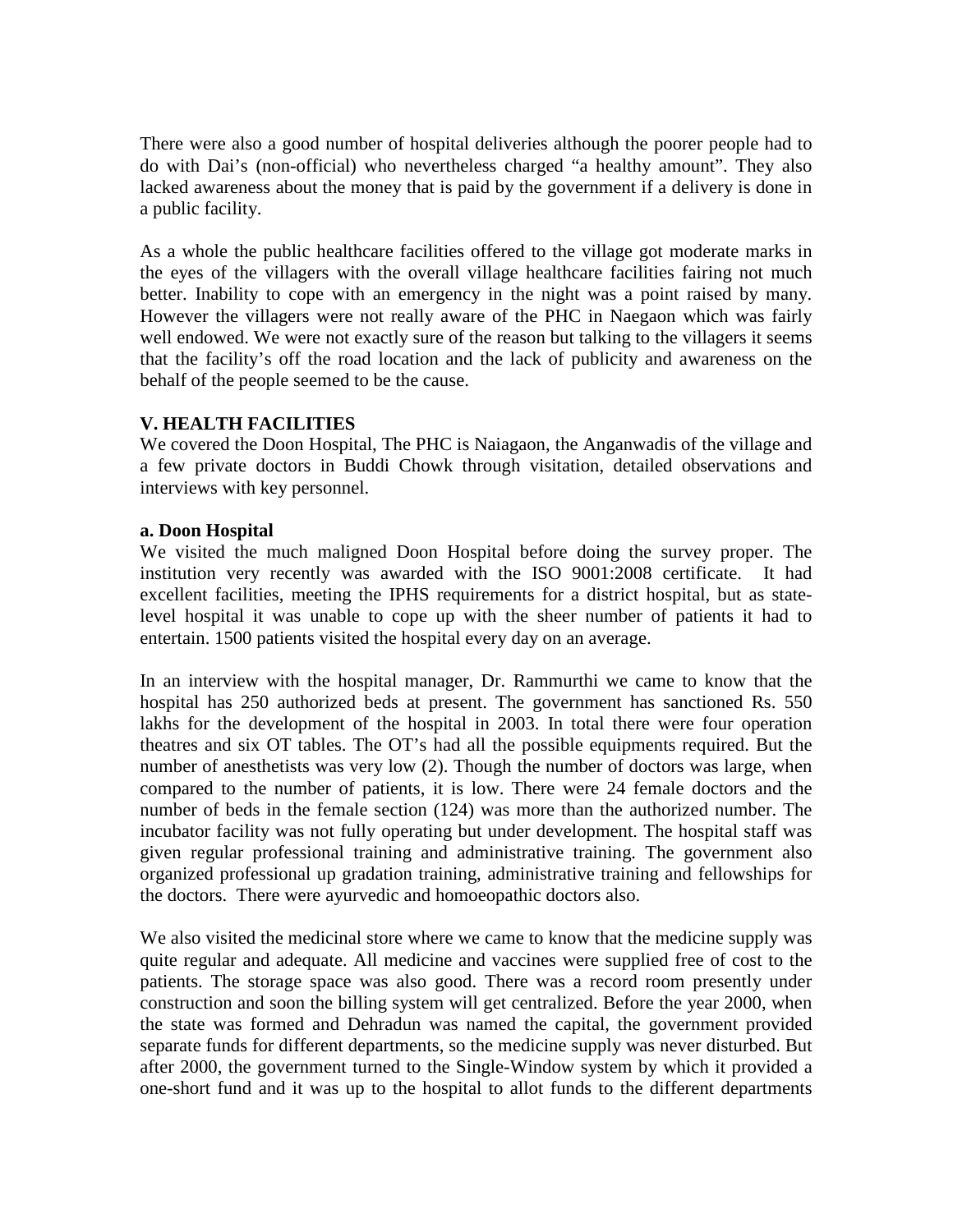There were also a good number of hospital deliveries although the poorer people had to do with Dai's (non-official) who nevertheless charged "a healthy amount". They also lacked awareness about the money that is paid by the government if a delivery is done in a public facility.

As a whole the public healthcare facilities offered to the village got moderate marks in the eyes of the villagers with the overall village healthcare facilities fairing not much better. Inability to cope with an emergency in the night was a point raised by many. However the villagers were not really aware of the PHC in Naegaon which was fairly well endowed. We were not exactly sure of the reason but talking to the villagers it seems that the facility's off the road location and the lack of publicity and awareness on the behalf of the people seemed to be the cause.

## **V. HEALTH FACILITIES**

We covered the Doon Hospital, The PHC is Naiagaon, the Anganwadis of the village and a few private doctors in Buddi Chowk through visitation, detailed observations and interviews with key personnel.

### **a. Doon Hospital**

We visited the much maligned Doon Hospital before doing the survey proper. The institution very recently was awarded with the ISO 9001:2008 certificate. It had excellent facilities, meeting the IPHS requirements for a district hospital, but as statelevel hospital it was unable to cope up with the sheer number of patients it had to entertain. 1500 patients visited the hospital every day on an average.

In an interview with the hospital manager, Dr. Rammurthi we came to know that the hospital has 250 authorized beds at present. The government has sanctioned Rs. 550 lakhs for the development of the hospital in 2003. In total there were four operation theatres and six OT tables. The OT's had all the possible equipments required. But the number of anesthetists was very low (2). Though the number of doctors was large, when compared to the number of patients, it is low. There were 24 female doctors and the number of beds in the female section (124) was more than the authorized number. The incubator facility was not fully operating but under development. The hospital staff was given regular professional training and administrative training. The government also organized professional up gradation training, administrative training and fellowships for the doctors. There were ayurvedic and homoeopathic doctors also.

We also visited the medicinal store where we came to know that the medicine supply was quite regular and adequate. All medicine and vaccines were supplied free of cost to the patients. The storage space was also good. There was a record room presently under construction and soon the billing system will get centralized. Before the year 2000, when the state was formed and Dehradun was named the capital, the government provided separate funds for different departments, so the medicine supply was never disturbed. But after 2000, the government turned to the Single-Window system by which it provided a one-short fund and it was up to the hospital to allot funds to the different departments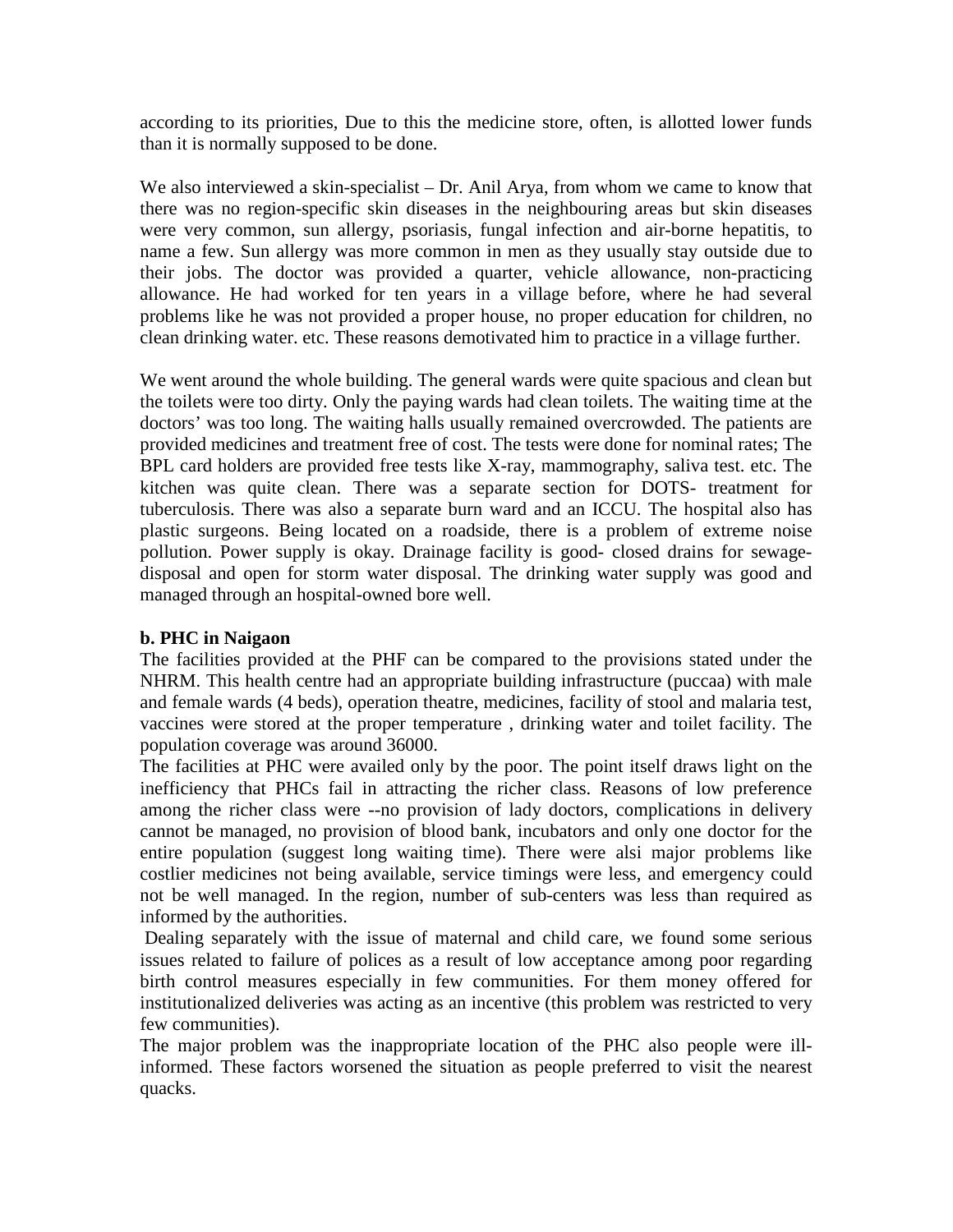according to its priorities, Due to this the medicine store, often, is allotted lower funds than it is normally supposed to be done.

We also interviewed a skin-specialist – Dr. Anil Arya, from whom we came to know that there was no region-specific skin diseases in the neighbouring areas but skin diseases were very common, sun allergy, psoriasis, fungal infection and air-borne hepatitis, to name a few. Sun allergy was more common in men as they usually stay outside due to their jobs. The doctor was provided a quarter, vehicle allowance, non-practicing allowance. He had worked for ten years in a village before, where he had several problems like he was not provided a proper house, no proper education for children, no clean drinking water. etc. These reasons demotivated him to practice in a village further.

We went around the whole building. The general wards were quite spacious and clean but the toilets were too dirty. Only the paying wards had clean toilets. The waiting time at the doctors' was too long. The waiting halls usually remained overcrowded. The patients are provided medicines and treatment free of cost. The tests were done for nominal rates; The BPL card holders are provided free tests like X-ray, mammography, saliva test. etc. The kitchen was quite clean. There was a separate section for DOTS- treatment for tuberculosis. There was also a separate burn ward and an ICCU. The hospital also has plastic surgeons. Being located on a roadside, there is a problem of extreme noise pollution. Power supply is okay. Drainage facility is good- closed drains for sewagedisposal and open for storm water disposal. The drinking water supply was good and managed through an hospital-owned bore well.

### **b. PHC in Naigaon**

The facilities provided at the PHF can be compared to the provisions stated under the NHRM. This health centre had an appropriate building infrastructure (puccaa) with male and female wards (4 beds), operation theatre, medicines, facility of stool and malaria test, vaccines were stored at the proper temperature , drinking water and toilet facility. The population coverage was around 36000.

The facilities at PHC were availed only by the poor. The point itself draws light on the inefficiency that PHCs fail in attracting the richer class. Reasons of low preference among the richer class were --no provision of lady doctors, complications in delivery cannot be managed, no provision of blood bank, incubators and only one doctor for the entire population (suggest long waiting time). There were alsi major problems like costlier medicines not being available, service timings were less, and emergency could not be well managed. In the region, number of sub-centers was less than required as informed by the authorities.

Dealing separately with the issue of maternal and child care, we found some serious issues related to failure of polices as a result of low acceptance among poor regarding birth control measures especially in few communities. For them money offered for institutionalized deliveries was acting as an incentive (this problem was restricted to very few communities).

The major problem was the inappropriate location of the PHC also people were illinformed. These factors worsened the situation as people preferred to visit the nearest quacks.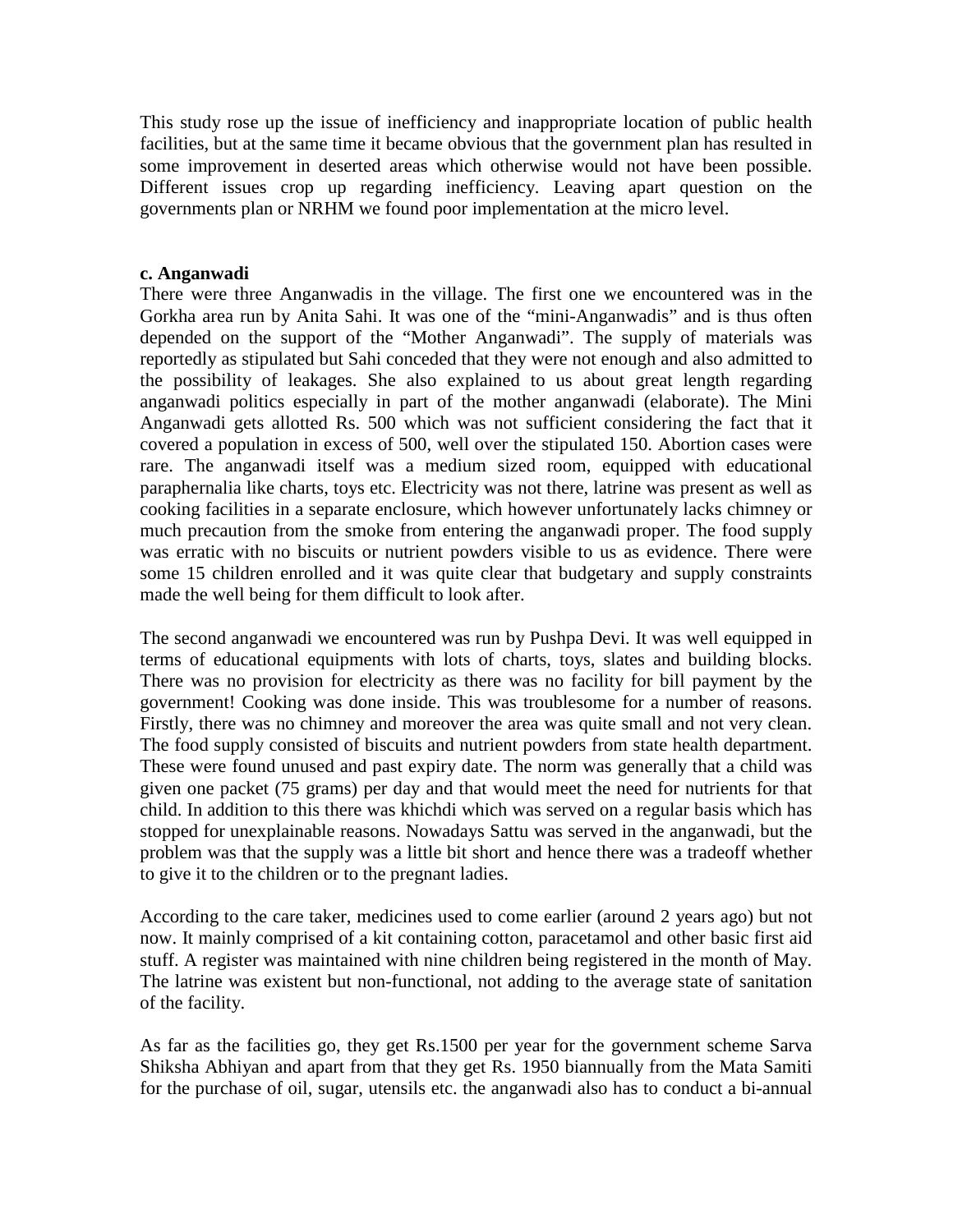This study rose up the issue of inefficiency and inappropriate location of public health facilities, but at the same time it became obvious that the government plan has resulted in some improvement in deserted areas which otherwise would not have been possible. Different issues crop up regarding inefficiency. Leaving apart question on the governments plan or NRHM we found poor implementation at the micro level.

### **c. Anganwadi**

There were three Anganwadis in the village. The first one we encountered was in the Gorkha area run by Anita Sahi. It was one of the "mini-Anganwadis" and is thus often depended on the support of the "Mother Anganwadi". The supply of materials was reportedly as stipulated but Sahi conceded that they were not enough and also admitted to the possibility of leakages. She also explained to us about great length regarding anganwadi politics especially in part of the mother anganwadi (elaborate). The Mini Anganwadi gets allotted Rs. 500 which was not sufficient considering the fact that it covered a population in excess of 500, well over the stipulated 150. Abortion cases were rare. The anganwadi itself was a medium sized room, equipped with educational paraphernalia like charts, toys etc. Electricity was not there, latrine was present as well as cooking facilities in a separate enclosure, which however unfortunately lacks chimney or much precaution from the smoke from entering the anganwadi proper. The food supply was erratic with no biscuits or nutrient powders visible to us as evidence. There were some 15 children enrolled and it was quite clear that budgetary and supply constraints made the well being for them difficult to look after.

The second anganwadi we encountered was run by Pushpa Devi. It was well equipped in terms of educational equipments with lots of charts, toys, slates and building blocks. There was no provision for electricity as there was no facility for bill payment by the government! Cooking was done inside. This was troublesome for a number of reasons. Firstly, there was no chimney and moreover the area was quite small and not very clean. The food supply consisted of biscuits and nutrient powders from state health department. These were found unused and past expiry date. The norm was generally that a child was given one packet (75 grams) per day and that would meet the need for nutrients for that child. In addition to this there was khichdi which was served on a regular basis which has stopped for unexplainable reasons. Nowadays Sattu was served in the anganwadi, but the problem was that the supply was a little bit short and hence there was a tradeoff whether to give it to the children or to the pregnant ladies.

According to the care taker, medicines used to come earlier (around 2 years ago) but not now. It mainly comprised of a kit containing cotton, paracetamol and other basic first aid stuff. A register was maintained with nine children being registered in the month of May. The latrine was existent but non-functional, not adding to the average state of sanitation of the facility.

As far as the facilities go, they get Rs.1500 per year for the government scheme Sarva Shiksha Abhiyan and apart from that they get Rs. 1950 biannually from the Mata Samiti for the purchase of oil, sugar, utensils etc. the anganwadi also has to conduct a bi-annual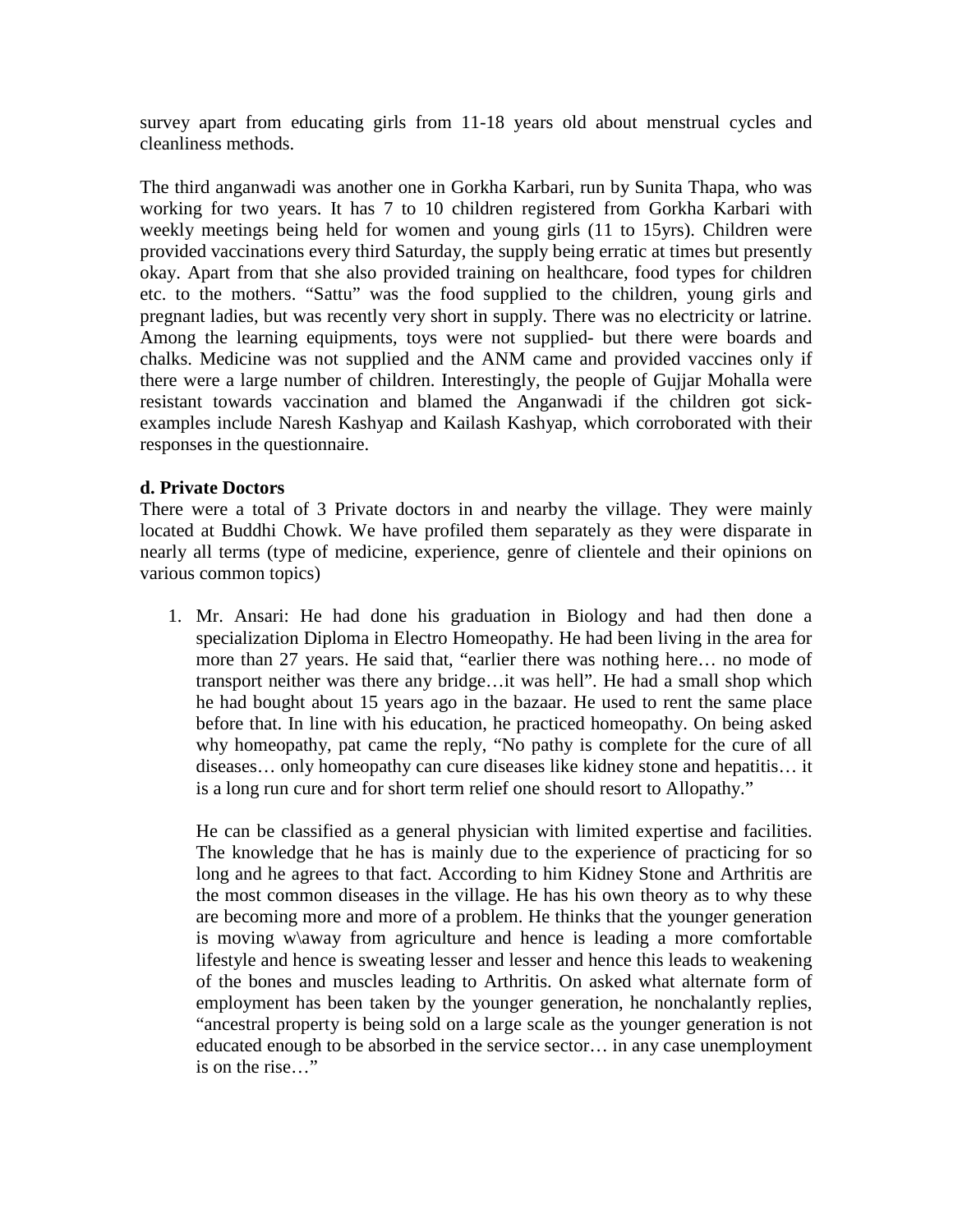survey apart from educating girls from 11-18 years old about menstrual cycles and cleanliness methods.

The third anganwadi was another one in Gorkha Karbari, run by Sunita Thapa, who was working for two years. It has 7 to 10 children registered from Gorkha Karbari with weekly meetings being held for women and young girls (11 to 15yrs). Children were provided vaccinations every third Saturday, the supply being erratic at times but presently okay. Apart from that she also provided training on healthcare, food types for children etc. to the mothers. "Sattu" was the food supplied to the children, young girls and pregnant ladies, but was recently very short in supply. There was no electricity or latrine. Among the learning equipments, toys were not supplied- but there were boards and chalks. Medicine was not supplied and the ANM came and provided vaccines only if there were a large number of children. Interestingly, the people of Gujjar Mohalla were resistant towards vaccination and blamed the Anganwadi if the children got sickexamples include Naresh Kashyap and Kailash Kashyap, which corroborated with their responses in the questionnaire.

## **d. Private Doctors**

There were a total of 3 Private doctors in and nearby the village. They were mainly located at Buddhi Chowk. We have profiled them separately as they were disparate in nearly all terms (type of medicine, experience, genre of clientele and their opinions on various common topics)

1. Mr. Ansari: He had done his graduation in Biology and had then done a specialization Diploma in Electro Homeopathy. He had been living in the area for more than 27 years. He said that, "earlier there was nothing here… no mode of transport neither was there any bridge…it was hell". He had a small shop which he had bought about 15 years ago in the bazaar. He used to rent the same place before that. In line with his education, he practiced homeopathy. On being asked why homeopathy, pat came the reply, "No pathy is complete for the cure of all diseases… only homeopathy can cure diseases like kidney stone and hepatitis… it is a long run cure and for short term relief one should resort to Allopathy."

He can be classified as a general physician with limited expertise and facilities. The knowledge that he has is mainly due to the experience of practicing for so long and he agrees to that fact. According to him Kidney Stone and Arthritis are the most common diseases in the village. He has his own theory as to why these are becoming more and more of a problem. He thinks that the younger generation is moving w\away from agriculture and hence is leading a more comfortable lifestyle and hence is sweating lesser and lesser and hence this leads to weakening of the bones and muscles leading to Arthritis. On asked what alternate form of employment has been taken by the younger generation, he nonchalantly replies, "ancestral property is being sold on a large scale as the younger generation is not educated enough to be absorbed in the service sector… in any case unemployment is on the rise…"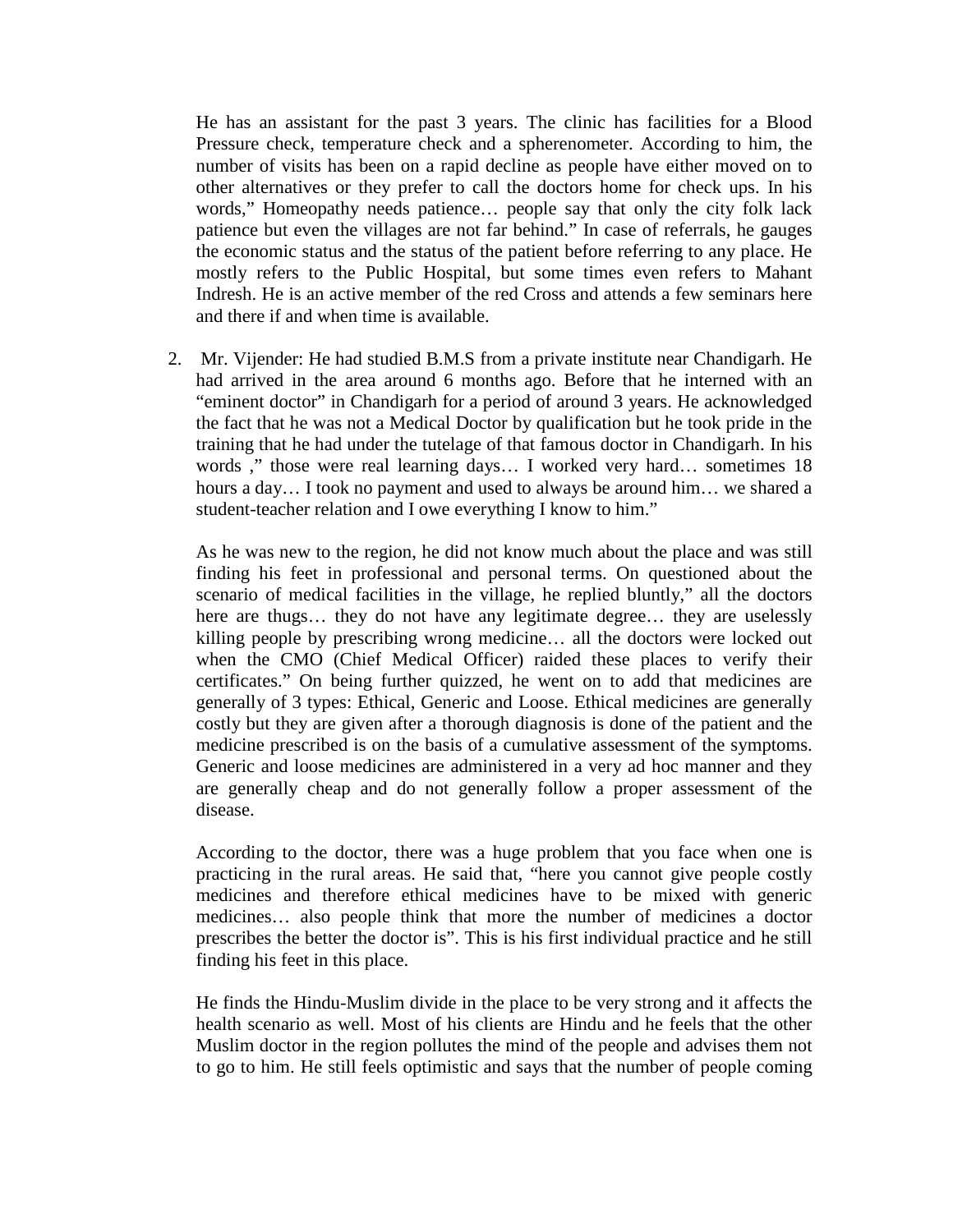He has an assistant for the past 3 years. The clinic has facilities for a Blood Pressure check, temperature check and a spherenometer. According to him, the number of visits has been on a rapid decline as people have either moved on to other alternatives or they prefer to call the doctors home for check ups. In his words," Homeopathy needs patience… people say that only the city folk lack patience but even the villages are not far behind." In case of referrals, he gauges the economic status and the status of the patient before referring to any place. He mostly refers to the Public Hospital, but some times even refers to Mahant Indresh. He is an active member of the red Cross and attends a few seminars here and there if and when time is available.

2. Mr. Vijender: He had studied B.M.S from a private institute near Chandigarh. He had arrived in the area around 6 months ago. Before that he interned with an "eminent doctor" in Chandigarh for a period of around 3 years. He acknowledged the fact that he was not a Medical Doctor by qualification but he took pride in the training that he had under the tutelage of that famous doctor in Chandigarh. In his words ," those were real learning days… I worked very hard… sometimes 18 hours a day... I took no payment and used to always be around him... we shared a student-teacher relation and I owe everything I know to him."

As he was new to the region, he did not know much about the place and was still finding his feet in professional and personal terms. On questioned about the scenario of medical facilities in the village, he replied bluntly," all the doctors here are thugs… they do not have any legitimate degree… they are uselessly killing people by prescribing wrong medicine… all the doctors were locked out when the CMO (Chief Medical Officer) raided these places to verify their certificates." On being further quizzed, he went on to add that medicines are generally of 3 types: Ethical, Generic and Loose. Ethical medicines are generally costly but they are given after a thorough diagnosis is done of the patient and the medicine prescribed is on the basis of a cumulative assessment of the symptoms. Generic and loose medicines are administered in a very ad hoc manner and they are generally cheap and do not generally follow a proper assessment of the disease.

According to the doctor, there was a huge problem that you face when one is practicing in the rural areas. He said that, "here you cannot give people costly medicines and therefore ethical medicines have to be mixed with generic medicines… also people think that more the number of medicines a doctor prescribes the better the doctor is". This is his first individual practice and he still finding his feet in this place.

He finds the Hindu-Muslim divide in the place to be very strong and it affects the health scenario as well. Most of his clients are Hindu and he feels that the other Muslim doctor in the region pollutes the mind of the people and advises them not to go to him. He still feels optimistic and says that the number of people coming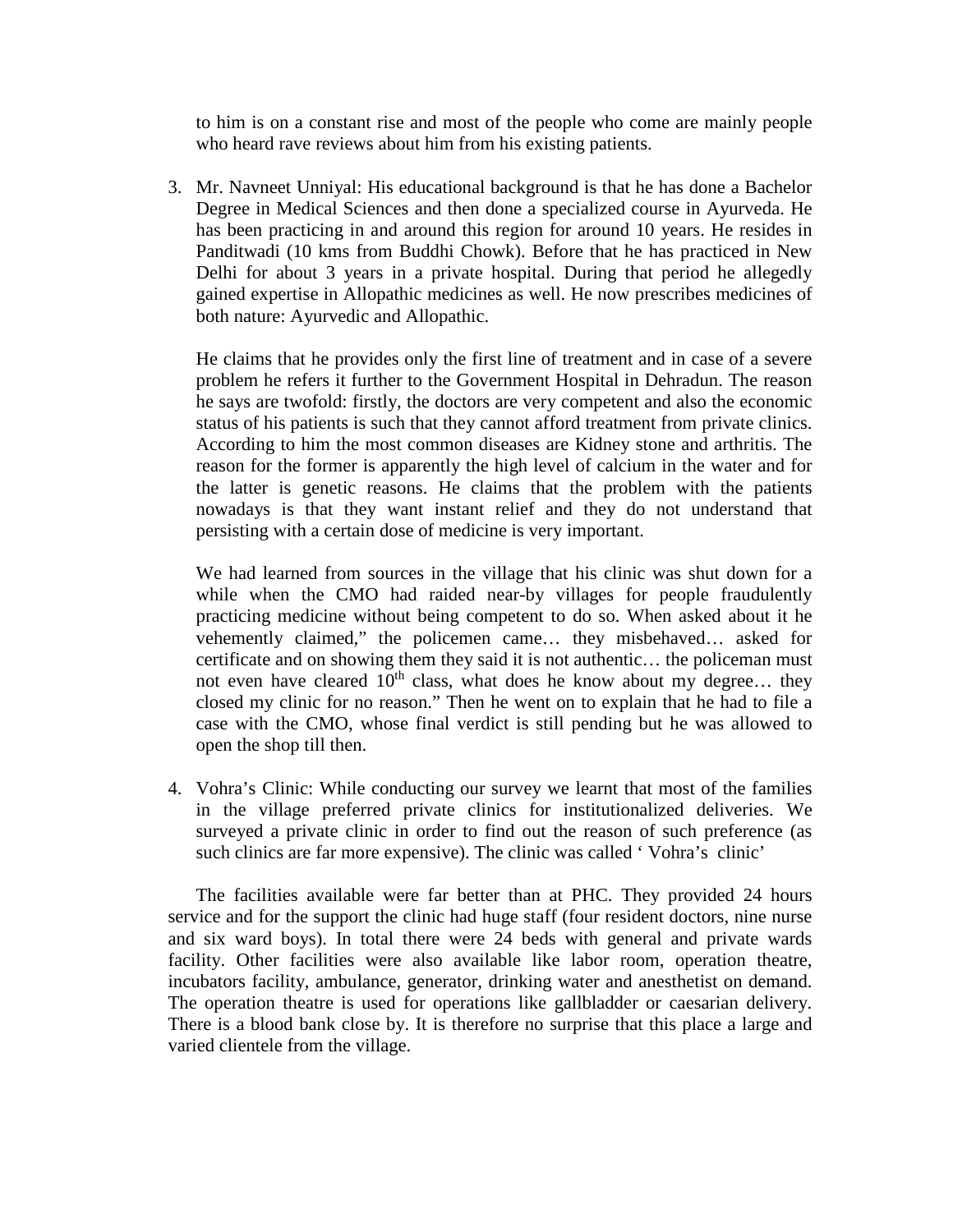to him is on a constant rise and most of the people who come are mainly people who heard rave reviews about him from his existing patients.

3. Mr. Navneet Unniyal: His educational background is that he has done a Bachelor Degree in Medical Sciences and then done a specialized course in Ayurveda. He has been practicing in and around this region for around 10 years. He resides in Panditwadi (10 kms from Buddhi Chowk). Before that he has practiced in New Delhi for about 3 years in a private hospital. During that period he allegedly gained expertise in Allopathic medicines as well. He now prescribes medicines of both nature: Ayurvedic and Allopathic.

He claims that he provides only the first line of treatment and in case of a severe problem he refers it further to the Government Hospital in Dehradun. The reason he says are twofold: firstly, the doctors are very competent and also the economic status of his patients is such that they cannot afford treatment from private clinics. According to him the most common diseases are Kidney stone and arthritis. The reason for the former is apparently the high level of calcium in the water and for the latter is genetic reasons. He claims that the problem with the patients nowadays is that they want instant relief and they do not understand that persisting with a certain dose of medicine is very important.

We had learned from sources in the village that his clinic was shut down for a while when the CMO had raided near-by villages for people fraudulently practicing medicine without being competent to do so. When asked about it he vehemently claimed," the policemen came… they misbehaved… asked for certificate and on showing them they said it is not authentic… the policeman must not even have cleared  $10^{th}$  class, what does he know about my degree... they closed my clinic for no reason." Then he went on to explain that he had to file a case with the CMO, whose final verdict is still pending but he was allowed to open the shop till then.

4. Vohra's Clinic: While conducting our survey we learnt that most of the families in the village preferred private clinics for institutionalized deliveries. We surveyed a private clinic in order to find out the reason of such preference (as such clinics are far more expensive). The clinic was called ' Vohra's clinic'

The facilities available were far better than at PHC. They provided 24 hours service and for the support the clinic had huge staff (four resident doctors, nine nurse and six ward boys). In total there were 24 beds with general and private wards facility. Other facilities were also available like labor room, operation theatre, incubators facility, ambulance, generator, drinking water and anesthetist on demand. The operation theatre is used for operations like gallbladder or caesarian delivery. There is a blood bank close by. It is therefore no surprise that this place a large and varied clientele from the village.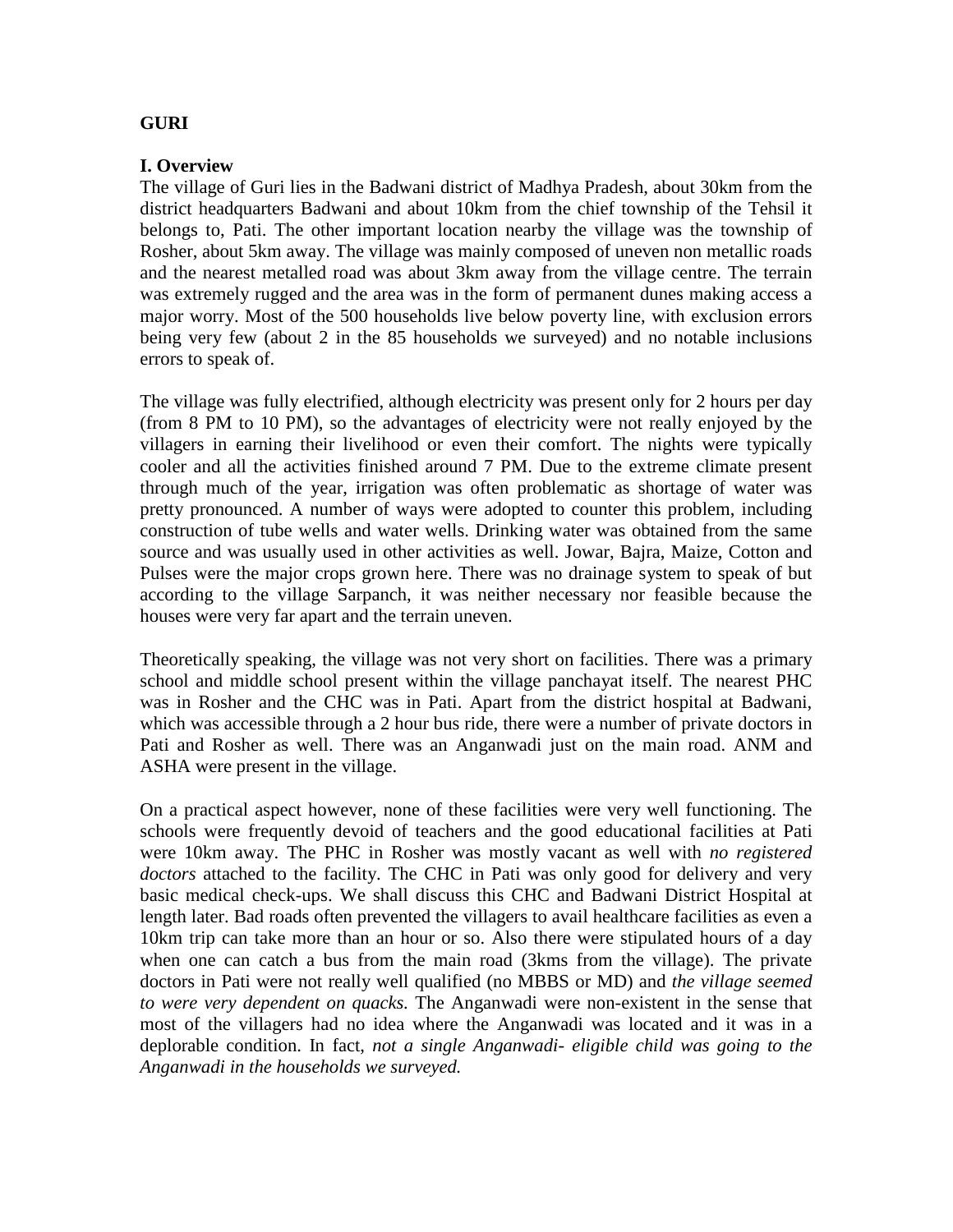## **GURI**

### **I. Overview**

The village of Guri lies in the Badwani district of Madhya Pradesh, about 30km from the district headquarters Badwani and about 10km from the chief township of the Tehsil it belongs to, Pati. The other important location nearby the village was the township of Rosher, about 5km away. The village was mainly composed of uneven non metallic roads and the nearest metalled road was about 3km away from the village centre. The terrain was extremely rugged and the area was in the form of permanent dunes making access a major worry. Most of the 500 households live below poverty line, with exclusion errors being very few (about 2 in the 85 households we surveyed) and no notable inclusions errors to speak of.

The village was fully electrified, although electricity was present only for 2 hours per day (from 8 PM to 10 PM), so the advantages of electricity were not really enjoyed by the villagers in earning their livelihood or even their comfort. The nights were typically cooler and all the activities finished around 7 PM. Due to the extreme climate present through much of the year, irrigation was often problematic as shortage of water was pretty pronounced. A number of ways were adopted to counter this problem, including construction of tube wells and water wells. Drinking water was obtained from the same source and was usually used in other activities as well. Jowar, Bajra, Maize, Cotton and Pulses were the major crops grown here. There was no drainage system to speak of but according to the village Sarpanch, it was neither necessary nor feasible because the houses were very far apart and the terrain uneven.

Theoretically speaking, the village was not very short on facilities. There was a primary school and middle school present within the village panchayat itself. The nearest PHC was in Rosher and the CHC was in Pati. Apart from the district hospital at Badwani, which was accessible through a 2 hour bus ride, there were a number of private doctors in Pati and Rosher as well. There was an Anganwadi just on the main road. ANM and ASHA were present in the village.

On a practical aspect however, none of these facilities were very well functioning. The schools were frequently devoid of teachers and the good educational facilities at Pati were 10km away. The PHC in Rosher was mostly vacant as well with *no registered doctors* attached to the facility. The CHC in Pati was only good for delivery and very basic medical check-ups. We shall discuss this CHC and Badwani District Hospital at length later. Bad roads often prevented the villagers to avail healthcare facilities as even a 10km trip can take more than an hour or so. Also there were stipulated hours of a day when one can catch a bus from the main road (3kms from the village). The private doctors in Pati were not really well qualified (no MBBS or MD) and *the village seemed to were very dependent on quacks.* The Anganwadi were non-existent in the sense that most of the villagers had no idea where the Anganwadi was located and it was in a deplorable condition. In fact, *not a single Anganwadi- eligible child was going to the Anganwadi in the households we surveyed.*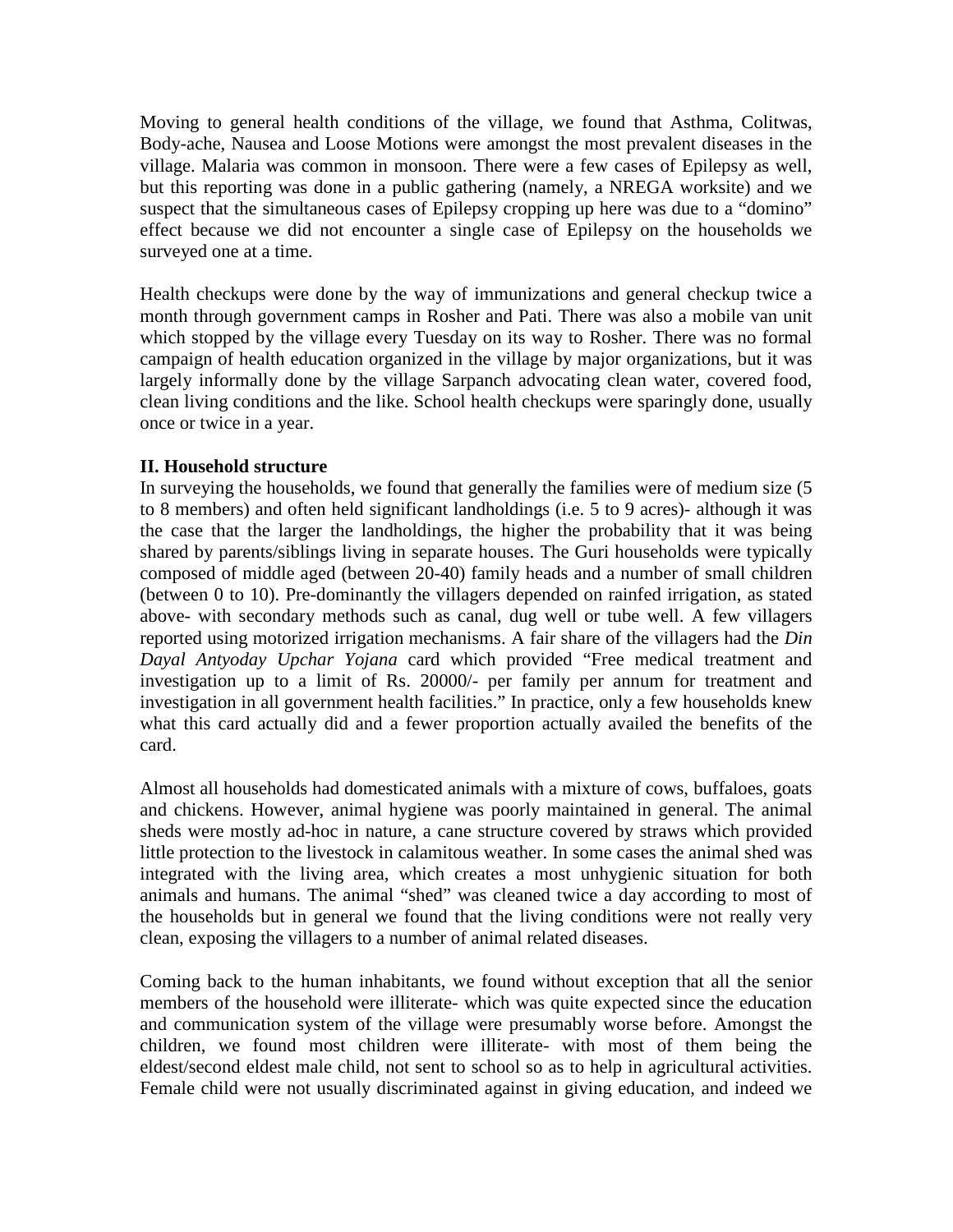Moving to general health conditions of the village, we found that Asthma, Colitwas, Body-ache, Nausea and Loose Motions were amongst the most prevalent diseases in the village. Malaria was common in monsoon. There were a few cases of Epilepsy as well, but this reporting was done in a public gathering (namely, a NREGA worksite) and we suspect that the simultaneous cases of Epilepsy cropping up here was due to a "domino" effect because we did not encounter a single case of Epilepsy on the households we surveyed one at a time.

Health checkups were done by the way of immunizations and general checkup twice a month through government camps in Rosher and Pati. There was also a mobile van unit which stopped by the village every Tuesday on its way to Rosher. There was no formal campaign of health education organized in the village by major organizations, but it was largely informally done by the village Sarpanch advocating clean water, covered food, clean living conditions and the like. School health checkups were sparingly done, usually once or twice in a year.

## **II. Household structure**

In surveying the households, we found that generally the families were of medium size (5 to 8 members) and often held significant landholdings (i.e. 5 to 9 acres)- although it was the case that the larger the landholdings, the higher the probability that it was being shared by parents/siblings living in separate houses. The Guri households were typically composed of middle aged (between 20-40) family heads and a number of small children (between 0 to 10). Pre-dominantly the villagers depended on rainfed irrigation, as stated above- with secondary methods such as canal, dug well or tube well. A few villagers reported using motorized irrigation mechanisms. A fair share of the villagers had the *Din Dayal Antyoday Upchar Yojana* card which provided "Free medical treatment and investigation up to a limit of Rs. 20000/- per family per annum for treatment and investigation in all government health facilities." In practice, only a few households knew what this card actually did and a fewer proportion actually availed the benefits of the card.

Almost all households had domesticated animals with a mixture of cows, buffaloes, goats and chickens. However, animal hygiene was poorly maintained in general. The animal sheds were mostly ad-hoc in nature, a cane structure covered by straws which provided little protection to the livestock in calamitous weather. In some cases the animal shed was integrated with the living area, which creates a most unhygienic situation for both animals and humans. The animal "shed" was cleaned twice a day according to most of the households but in general we found that the living conditions were not really very clean, exposing the villagers to a number of animal related diseases.

Coming back to the human inhabitants, we found without exception that all the senior members of the household were illiterate- which was quite expected since the education and communication system of the village were presumably worse before. Amongst the children, we found most children were illiterate- with most of them being the eldest/second eldest male child, not sent to school so as to help in agricultural activities. Female child were not usually discriminated against in giving education, and indeed we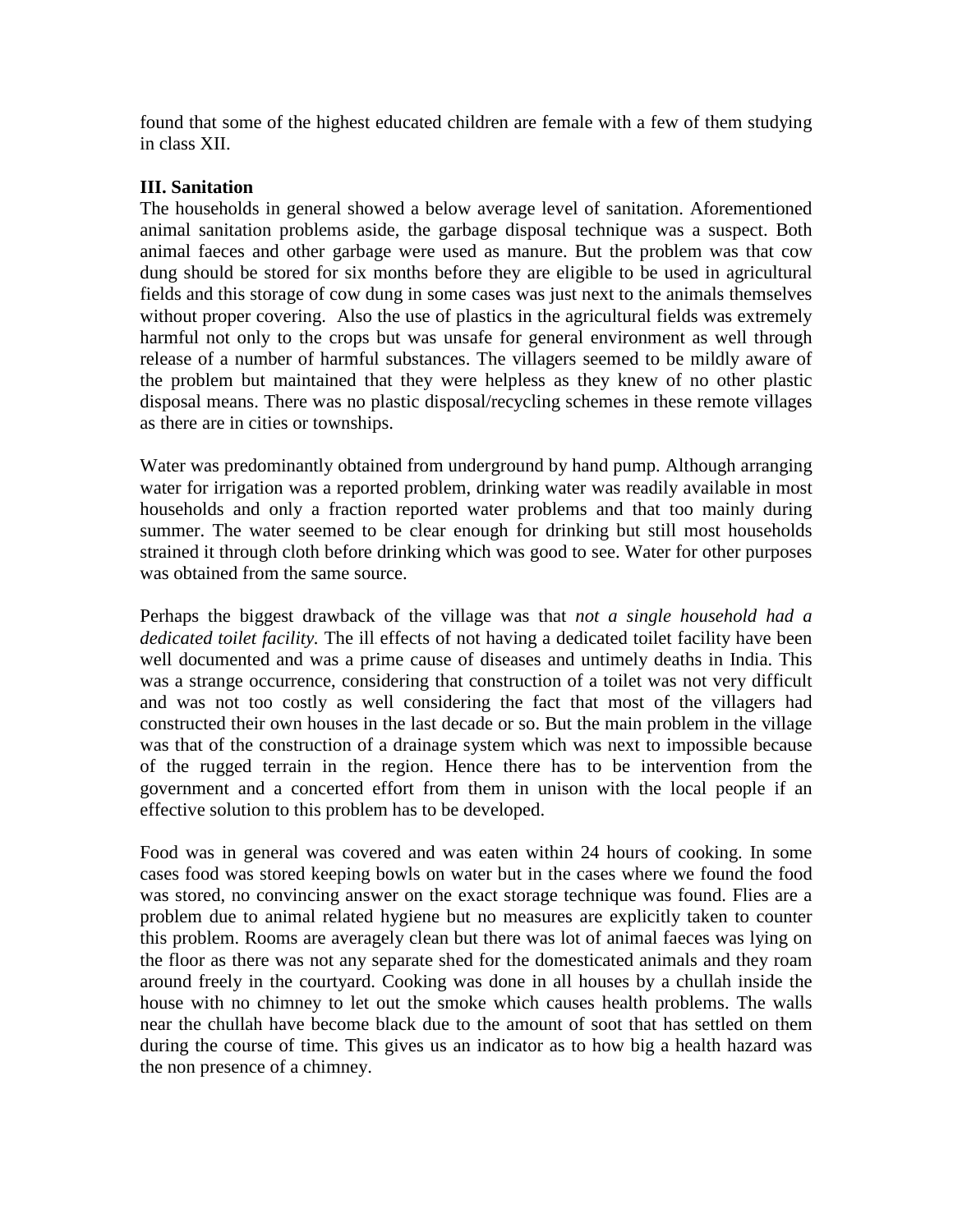found that some of the highest educated children are female with a few of them studying in class XII.

### **III. Sanitation**

The households in general showed a below average level of sanitation. Aforementioned animal sanitation problems aside, the garbage disposal technique was a suspect. Both animal faeces and other garbage were used as manure. But the problem was that cow dung should be stored for six months before they are eligible to be used in agricultural fields and this storage of cow dung in some cases was just next to the animals themselves without proper covering. Also the use of plastics in the agricultural fields was extremely harmful not only to the crops but was unsafe for general environment as well through release of a number of harmful substances. The villagers seemed to be mildly aware of the problem but maintained that they were helpless as they knew of no other plastic disposal means. There was no plastic disposal/recycling schemes in these remote villages as there are in cities or townships.

Water was predominantly obtained from underground by hand pump. Although arranging water for irrigation was a reported problem, drinking water was readily available in most households and only a fraction reported water problems and that too mainly during summer. The water seemed to be clear enough for drinking but still most households strained it through cloth before drinking which was good to see. Water for other purposes was obtained from the same source.

Perhaps the biggest drawback of the village was that *not a single household had a dedicated toilet facility.* The ill effects of not having a dedicated toilet facility have been well documented and was a prime cause of diseases and untimely deaths in India. This was a strange occurrence, considering that construction of a toilet was not very difficult and was not too costly as well considering the fact that most of the villagers had constructed their own houses in the last decade or so. But the main problem in the village was that of the construction of a drainage system which was next to impossible because of the rugged terrain in the region. Hence there has to be intervention from the government and a concerted effort from them in unison with the local people if an effective solution to this problem has to be developed.

Food was in general was covered and was eaten within 24 hours of cooking. In some cases food was stored keeping bowls on water but in the cases where we found the food was stored, no convincing answer on the exact storage technique was found. Flies are a problem due to animal related hygiene but no measures are explicitly taken to counter this problem. Rooms are averagely clean but there was lot of animal faeces was lying on the floor as there was not any separate shed for the domesticated animals and they roam around freely in the courtyard. Cooking was done in all houses by a chullah inside the house with no chimney to let out the smoke which causes health problems. The walls near the chullah have become black due to the amount of soot that has settled on them during the course of time. This gives us an indicator as to how big a health hazard was the non presence of a chimney.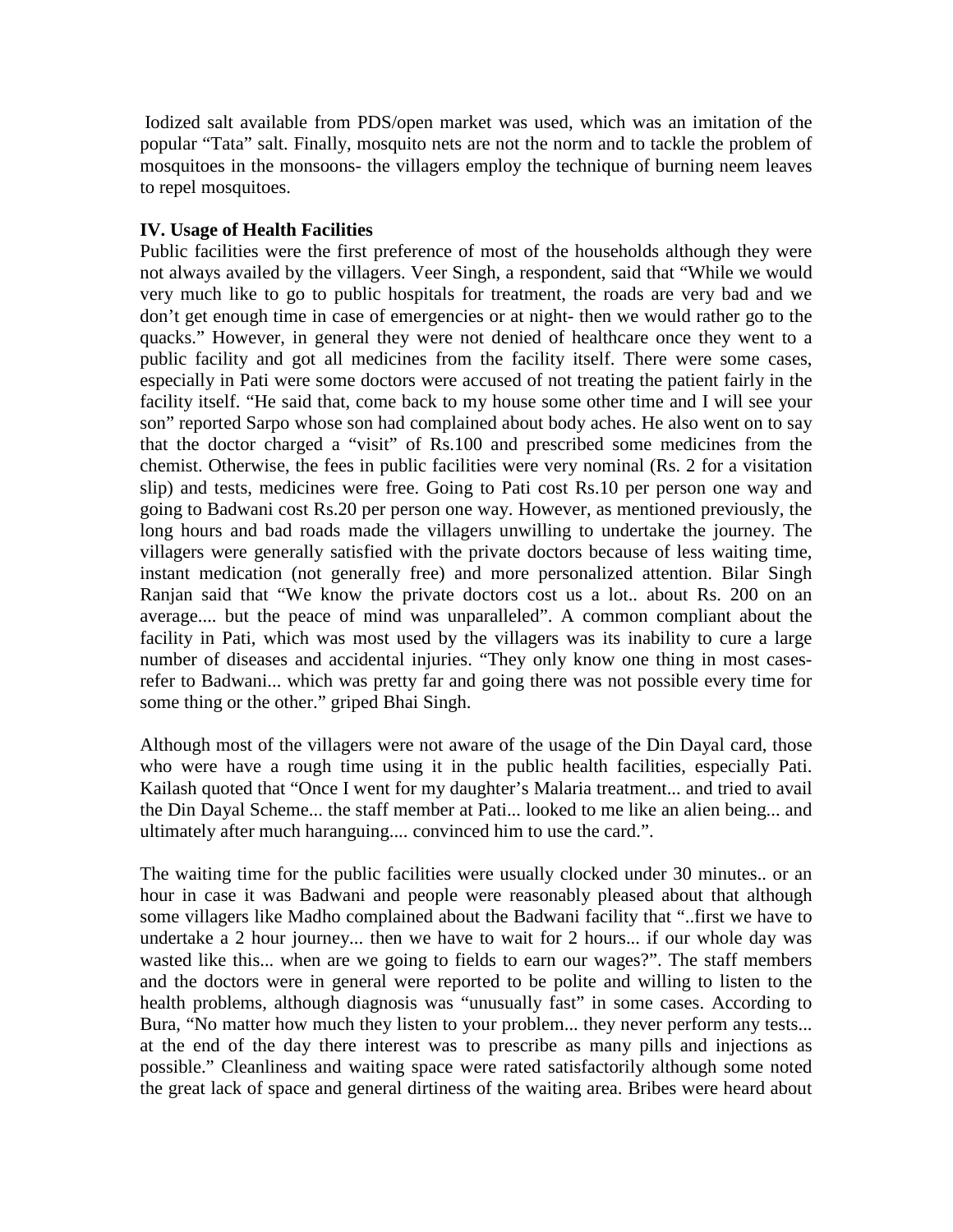Iodized salt available from PDS/open market was used, which was an imitation of the popular "Tata" salt. Finally, mosquito nets are not the norm and to tackle the problem of mosquitoes in the monsoons- the villagers employ the technique of burning neem leaves to repel mosquitoes.

## **IV. Usage of Health Facilities**

Public facilities were the first preference of most of the households although they were not always availed by the villagers. Veer Singh, a respondent, said that "While we would very much like to go to public hospitals for treatment, the roads are very bad and we don't get enough time in case of emergencies or at night- then we would rather go to the quacks." However, in general they were not denied of healthcare once they went to a public facility and got all medicines from the facility itself. There were some cases, especially in Pati were some doctors were accused of not treating the patient fairly in the facility itself. "He said that, come back to my house some other time and I will see your son" reported Sarpo whose son had complained about body aches. He also went on to say that the doctor charged a "visit" of Rs.100 and prescribed some medicines from the chemist. Otherwise, the fees in public facilities were very nominal (Rs. 2 for a visitation slip) and tests, medicines were free. Going to Pati cost Rs.10 per person one way and going to Badwani cost Rs.20 per person one way. However, as mentioned previously, the long hours and bad roads made the villagers unwilling to undertake the journey. The villagers were generally satisfied with the private doctors because of less waiting time, instant medication (not generally free) and more personalized attention. Bilar Singh Ranjan said that "We know the private doctors cost us a lot.. about Rs. 200 on an average.... but the peace of mind was unparalleled". A common compliant about the facility in Pati, which was most used by the villagers was its inability to cure a large number of diseases and accidental injuries. "They only know one thing in most casesrefer to Badwani... which was pretty far and going there was not possible every time for some thing or the other." griped Bhai Singh.

Although most of the villagers were not aware of the usage of the Din Dayal card, those who were have a rough time using it in the public health facilities, especially Pati. Kailash quoted that "Once I went for my daughter's Malaria treatment... and tried to avail the Din Dayal Scheme... the staff member at Pati... looked to me like an alien being... and ultimately after much haranguing.... convinced him to use the card.".

The waiting time for the public facilities were usually clocked under 30 minutes.. or an hour in case it was Badwani and people were reasonably pleased about that although some villagers like Madho complained about the Badwani facility that "..first we have to undertake a 2 hour journey... then we have to wait for 2 hours... if our whole day was wasted like this... when are we going to fields to earn our wages?". The staff members and the doctors were in general were reported to be polite and willing to listen to the health problems, although diagnosis was "unusually fast" in some cases. According to Bura, "No matter how much they listen to your problem... they never perform any tests... at the end of the day there interest was to prescribe as many pills and injections as possible." Cleanliness and waiting space were rated satisfactorily although some noted the great lack of space and general dirtiness of the waiting area. Bribes were heard about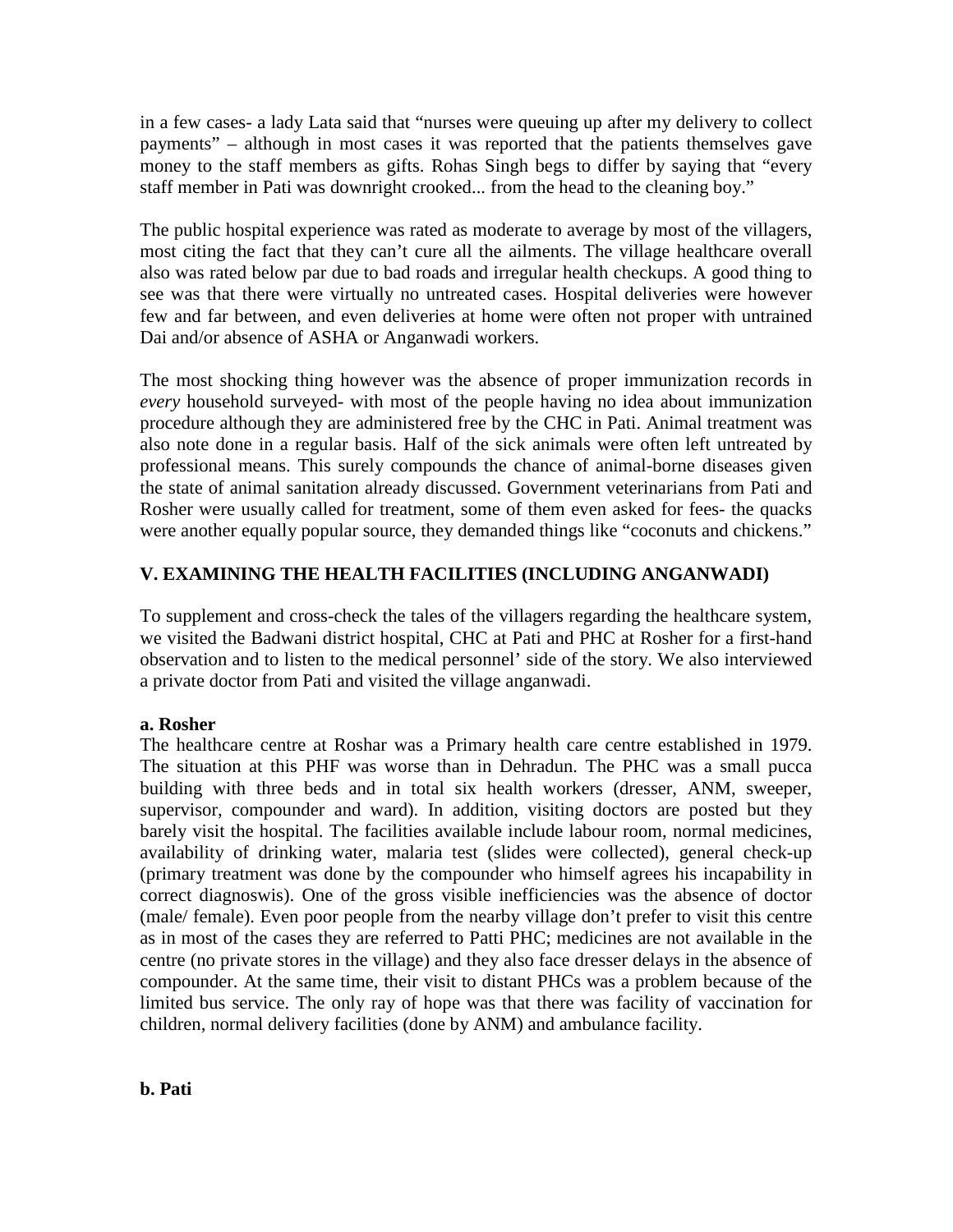in a few cases- a lady Lata said that "nurses were queuing up after my delivery to collect payments" – although in most cases it was reported that the patients themselves gave money to the staff members as gifts. Rohas Singh begs to differ by saying that "every staff member in Pati was downright crooked... from the head to the cleaning boy."

The public hospital experience was rated as moderate to average by most of the villagers, most citing the fact that they can't cure all the ailments. The village healthcare overall also was rated below par due to bad roads and irregular health checkups. A good thing to see was that there were virtually no untreated cases. Hospital deliveries were however few and far between, and even deliveries at home were often not proper with untrained Dai and/or absence of ASHA or Anganwadi workers.

The most shocking thing however was the absence of proper immunization records in *every* household surveyed- with most of the people having no idea about immunization procedure although they are administered free by the CHC in Pati. Animal treatment was also note done in a regular basis. Half of the sick animals were often left untreated by professional means. This surely compounds the chance of animal-borne diseases given the state of animal sanitation already discussed. Government veterinarians from Pati and Rosher were usually called for treatment, some of them even asked for fees- the quacks were another equally popular source, they demanded things like "coconuts and chickens."

# **V. EXAMINING THE HEALTH FACILITIES (INCLUDING ANGANWADI)**

To supplement and cross-check the tales of the villagers regarding the healthcare system, we visited the Badwani district hospital, CHC at Pati and PHC at Rosher for a first-hand observation and to listen to the medical personnel' side of the story. We also interviewed a private doctor from Pati and visited the village anganwadi.

## **a. Rosher**

The healthcare centre at Roshar was a Primary health care centre established in 1979. The situation at this PHF was worse than in Dehradun. The PHC was a small pucca building with three beds and in total six health workers (dresser, ANM, sweeper, supervisor, compounder and ward). In addition, visiting doctors are posted but they barely visit the hospital. The facilities available include labour room, normal medicines, availability of drinking water, malaria test (slides were collected), general check-up (primary treatment was done by the compounder who himself agrees his incapability in correct diagnoswis). One of the gross visible inefficiencies was the absence of doctor (male/ female). Even poor people from the nearby village don't prefer to visit this centre as in most of the cases they are referred to Patti PHC; medicines are not available in the centre (no private stores in the village) and they also face dresser delays in the absence of compounder. At the same time, their visit to distant PHCs was a problem because of the limited bus service. The only ray of hope was that there was facility of vaccination for children, normal delivery facilities (done by ANM) and ambulance facility.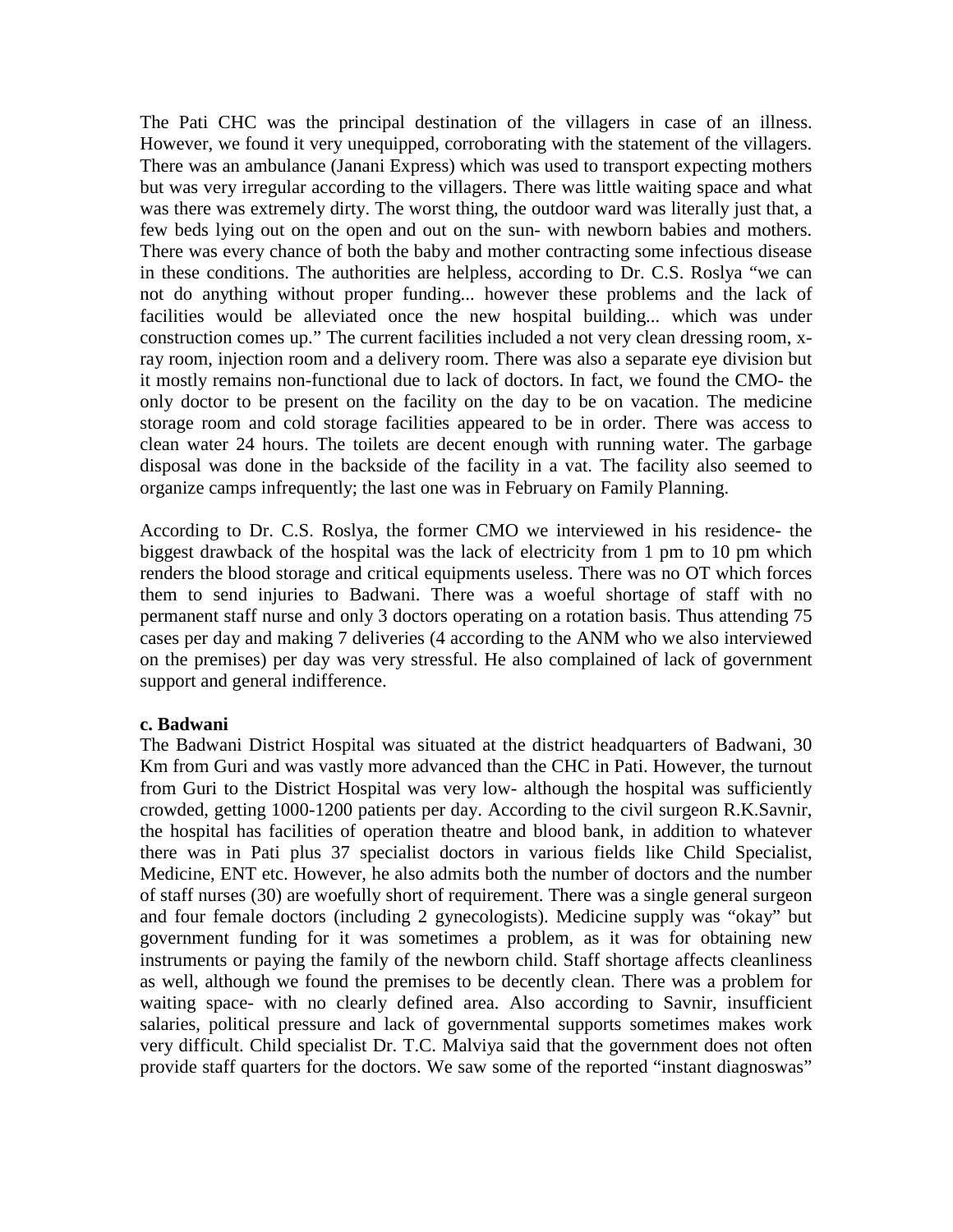The Pati CHC was the principal destination of the villagers in case of an illness. However, we found it very unequipped, corroborating with the statement of the villagers. There was an ambulance (Janani Express) which was used to transport expecting mothers but was very irregular according to the villagers. There was little waiting space and what was there was extremely dirty. The worst thing, the outdoor ward was literally just that, a few beds lying out on the open and out on the sun- with newborn babies and mothers. There was every chance of both the baby and mother contracting some infectious disease in these conditions. The authorities are helpless, according to Dr. C.S. Roslya "we can not do anything without proper funding... however these problems and the lack of facilities would be alleviated once the new hospital building... which was under construction comes up." The current facilities included a not very clean dressing room, xray room, injection room and a delivery room. There was also a separate eye division but it mostly remains non-functional due to lack of doctors. In fact, we found the CMO- the only doctor to be present on the facility on the day to be on vacation. The medicine storage room and cold storage facilities appeared to be in order. There was access to clean water 24 hours. The toilets are decent enough with running water. The garbage disposal was done in the backside of the facility in a vat. The facility also seemed to organize camps infrequently; the last one was in February on Family Planning.

According to Dr. C.S. Roslya, the former CMO we interviewed in his residence- the biggest drawback of the hospital was the lack of electricity from 1 pm to 10 pm which renders the blood storage and critical equipments useless. There was no OT which forces them to send injuries to Badwani. There was a woeful shortage of staff with no permanent staff nurse and only 3 doctors operating on a rotation basis. Thus attending 75 cases per day and making 7 deliveries (4 according to the ANM who we also interviewed on the premises) per day was very stressful. He also complained of lack of government support and general indifference.

#### **c. Badwani**

The Badwani District Hospital was situated at the district headquarters of Badwani, 30 Km from Guri and was vastly more advanced than the CHC in Pati. However, the turnout from Guri to the District Hospital was very low- although the hospital was sufficiently crowded, getting 1000-1200 patients per day. According to the civil surgeon R.K.Savnir, the hospital has facilities of operation theatre and blood bank, in addition to whatever there was in Pati plus 37 specialist doctors in various fields like Child Specialist, Medicine, ENT etc. However, he also admits both the number of doctors and the number of staff nurses (30) are woefully short of requirement. There was a single general surgeon and four female doctors (including 2 gynecologists). Medicine supply was "okay" but government funding for it was sometimes a problem, as it was for obtaining new instruments or paying the family of the newborn child. Staff shortage affects cleanliness as well, although we found the premises to be decently clean. There was a problem for waiting space- with no clearly defined area. Also according to Savnir, insufficient salaries, political pressure and lack of governmental supports sometimes makes work very difficult. Child specialist Dr. T.C. Malviya said that the government does not often provide staff quarters for the doctors. We saw some of the reported "instant diagnoswas"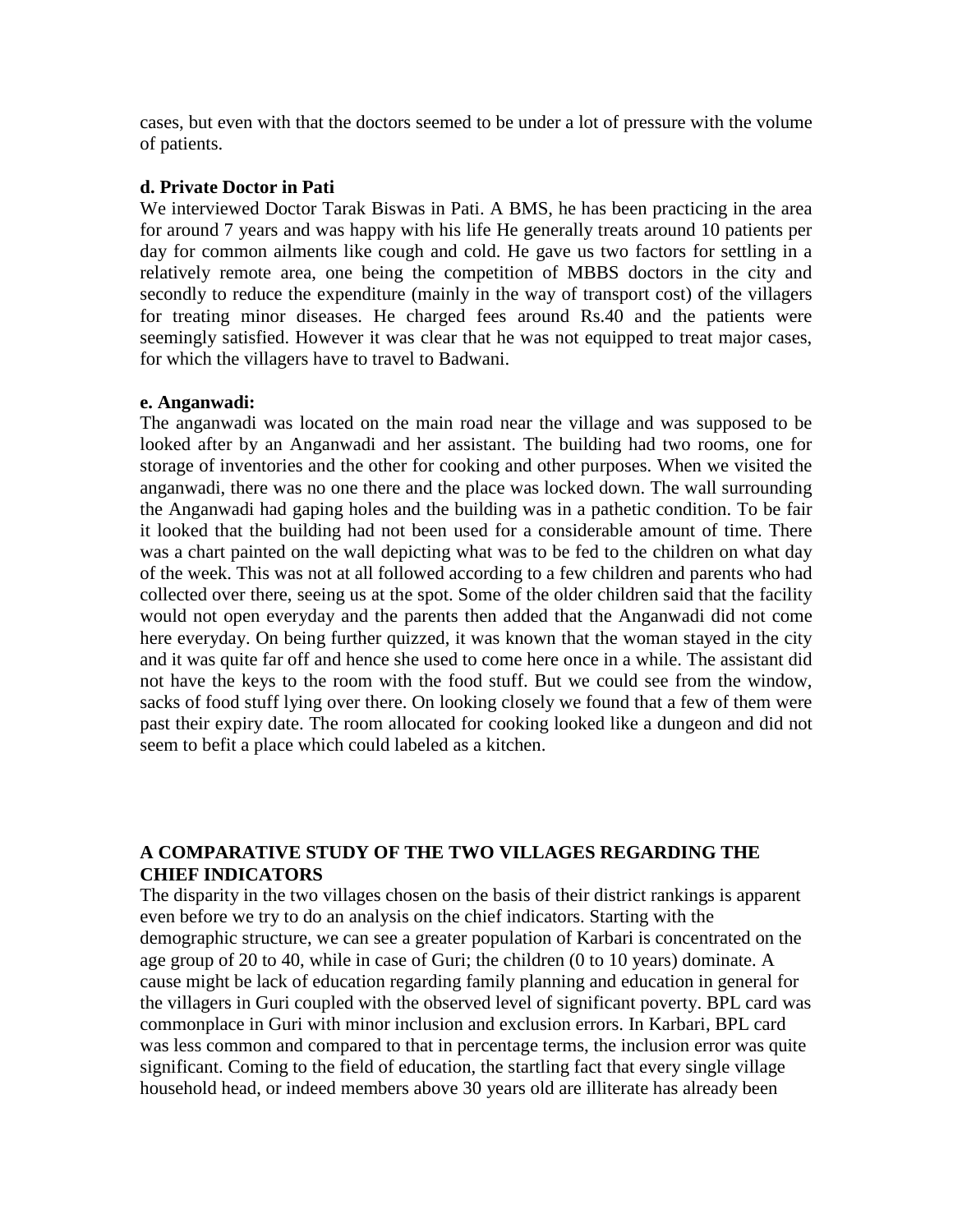cases, but even with that the doctors seemed to be under a lot of pressure with the volume of patients.

### **d. Private Doctor in Pati**

We interviewed Doctor Tarak Biswas in Pati. A BMS, he has been practicing in the area for around 7 years and was happy with his life He generally treats around 10 patients per day for common ailments like cough and cold. He gave us two factors for settling in a relatively remote area, one being the competition of MBBS doctors in the city and secondly to reduce the expenditure (mainly in the way of transport cost) of the villagers for treating minor diseases. He charged fees around Rs.40 and the patients were seemingly satisfied. However it was clear that he was not equipped to treat major cases, for which the villagers have to travel to Badwani.

#### **e. Anganwadi:**

The anganwadi was located on the main road near the village and was supposed to be looked after by an Anganwadi and her assistant. The building had two rooms, one for storage of inventories and the other for cooking and other purposes. When we visited the anganwadi, there was no one there and the place was locked down. The wall surrounding the Anganwadi had gaping holes and the building was in a pathetic condition. To be fair it looked that the building had not been used for a considerable amount of time. There was a chart painted on the wall depicting what was to be fed to the children on what day of the week. This was not at all followed according to a few children and parents who had collected over there, seeing us at the spot. Some of the older children said that the facility would not open everyday and the parents then added that the Anganwadi did not come here everyday. On being further quizzed, it was known that the woman stayed in the city and it was quite far off and hence she used to come here once in a while. The assistant did not have the keys to the room with the food stuff. But we could see from the window, sacks of food stuff lying over there. On looking closely we found that a few of them were past their expiry date. The room allocated for cooking looked like a dungeon and did not seem to befit a place which could labeled as a kitchen.

## **A COMPARATIVE STUDY OF THE TWO VILLAGES REGARDING THE CHIEF INDICATORS**

The disparity in the two villages chosen on the basis of their district rankings is apparent even before we try to do an analysis on the chief indicators. Starting with the demographic structure, we can see a greater population of Karbari is concentrated on the age group of 20 to 40, while in case of Guri; the children (0 to 10 years) dominate. A cause might be lack of education regarding family planning and education in general for the villagers in Guri coupled with the observed level of significant poverty. BPL card was commonplace in Guri with minor inclusion and exclusion errors. In Karbari, BPL card was less common and compared to that in percentage terms, the inclusion error was quite significant. Coming to the field of education, the startling fact that every single village household head, or indeed members above 30 years old are illiterate has already been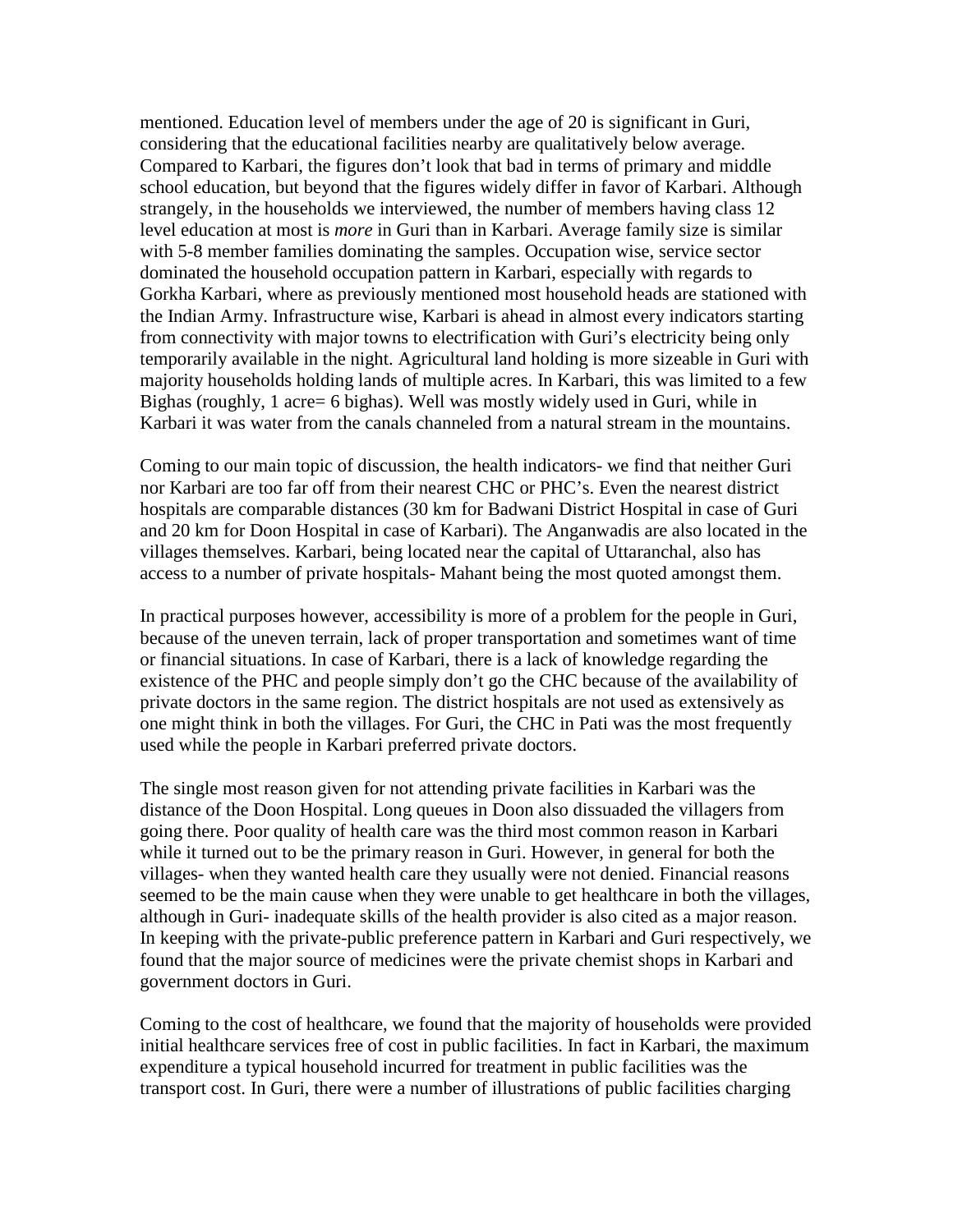mentioned. Education level of members under the age of 20 is significant in Guri, considering that the educational facilities nearby are qualitatively below average. Compared to Karbari, the figures don't look that bad in terms of primary and middle school education, but beyond that the figures widely differ in favor of Karbari. Although strangely, in the households we interviewed, the number of members having class 12 level education at most is *more* in Guri than in Karbari. Average family size is similar with 5-8 member families dominating the samples. Occupation wise, service sector dominated the household occupation pattern in Karbari, especially with regards to Gorkha Karbari, where as previously mentioned most household heads are stationed with the Indian Army. Infrastructure wise, Karbari is ahead in almost every indicators starting from connectivity with major towns to electrification with Guri's electricity being only temporarily available in the night. Agricultural land holding is more sizeable in Guri with majority households holding lands of multiple acres. In Karbari, this was limited to a few Bighas (roughly, 1 acre= 6 bighas). Well was mostly widely used in Guri, while in Karbari it was water from the canals channeled from a natural stream in the mountains.

Coming to our main topic of discussion, the health indicators- we find that neither Guri nor Karbari are too far off from their nearest CHC or PHC's. Even the nearest district hospitals are comparable distances (30 km for Badwani District Hospital in case of Guri and 20 km for Doon Hospital in case of Karbari). The Anganwadis are also located in the villages themselves. Karbari, being located near the capital of Uttaranchal, also has access to a number of private hospitals- Mahant being the most quoted amongst them.

In practical purposes however, accessibility is more of a problem for the people in Guri, because of the uneven terrain, lack of proper transportation and sometimes want of time or financial situations. In case of Karbari, there is a lack of knowledge regarding the existence of the PHC and people simply don't go the CHC because of the availability of private doctors in the same region. The district hospitals are not used as extensively as one might think in both the villages. For Guri, the CHC in Pati was the most frequently used while the people in Karbari preferred private doctors.

The single most reason given for not attending private facilities in Karbari was the distance of the Doon Hospital. Long queues in Doon also dissuaded the villagers from going there. Poor quality of health care was the third most common reason in Karbari while it turned out to be the primary reason in Guri. However, in general for both the villages- when they wanted health care they usually were not denied. Financial reasons seemed to be the main cause when they were unable to get healthcare in both the villages, although in Guri- inadequate skills of the health provider is also cited as a major reason. In keeping with the private-public preference pattern in Karbari and Guri respectively, we found that the major source of medicines were the private chemist shops in Karbari and government doctors in Guri.

Coming to the cost of healthcare, we found that the majority of households were provided initial healthcare services free of cost in public facilities. In fact in Karbari, the maximum expenditure a typical household incurred for treatment in public facilities was the transport cost. In Guri, there were a number of illustrations of public facilities charging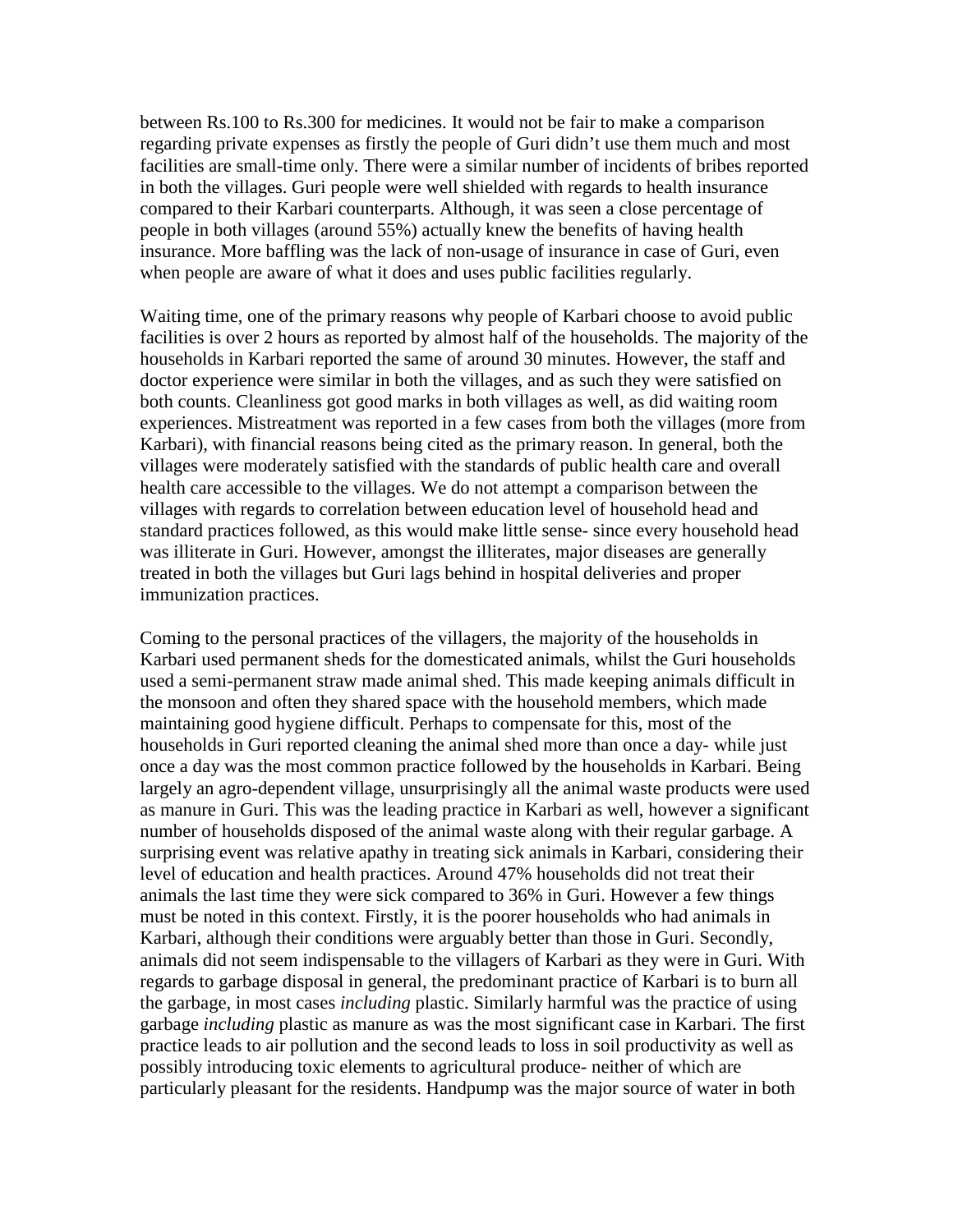between Rs.100 to Rs.300 for medicines. It would not be fair to make a comparison regarding private expenses as firstly the people of Guri didn't use them much and most facilities are small-time only. There were a similar number of incidents of bribes reported in both the villages. Guri people were well shielded with regards to health insurance compared to their Karbari counterparts. Although, it was seen a close percentage of people in both villages (around 55%) actually knew the benefits of having health insurance. More baffling was the lack of non-usage of insurance in case of Guri, even when people are aware of what it does and uses public facilities regularly.

Waiting time, one of the primary reasons why people of Karbari choose to avoid public facilities is over 2 hours as reported by almost half of the households. The majority of the households in Karbari reported the same of around 30 minutes. However, the staff and doctor experience were similar in both the villages, and as such they were satisfied on both counts. Cleanliness got good marks in both villages as well, as did waiting room experiences. Mistreatment was reported in a few cases from both the villages (more from Karbari), with financial reasons being cited as the primary reason. In general, both the villages were moderately satisfied with the standards of public health care and overall health care accessible to the villages. We do not attempt a comparison between the villages with regards to correlation between education level of household head and standard practices followed, as this would make little sense- since every household head was illiterate in Guri. However, amongst the illiterates, major diseases are generally treated in both the villages but Guri lags behind in hospital deliveries and proper immunization practices.

Coming to the personal practices of the villagers, the majority of the households in Karbari used permanent sheds for the domesticated animals, whilst the Guri households used a semi-permanent straw made animal shed. This made keeping animals difficult in the monsoon and often they shared space with the household members, which made maintaining good hygiene difficult. Perhaps to compensate for this, most of the households in Guri reported cleaning the animal shed more than once a day- while just once a day was the most common practice followed by the households in Karbari. Being largely an agro-dependent village, unsurprisingly all the animal waste products were used as manure in Guri. This was the leading practice in Karbari as well, however a significant number of households disposed of the animal waste along with their regular garbage. A surprising event was relative apathy in treating sick animals in Karbari, considering their level of education and health practices. Around 47% households did not treat their animals the last time they were sick compared to 36% in Guri. However a few things must be noted in this context. Firstly, it is the poorer households who had animals in Karbari, although their conditions were arguably better than those in Guri. Secondly, animals did not seem indispensable to the villagers of Karbari as they were in Guri. With regards to garbage disposal in general, the predominant practice of Karbari is to burn all the garbage, in most cases *including* plastic. Similarly harmful was the practice of using garbage *including* plastic as manure as was the most significant case in Karbari. The first practice leads to air pollution and the second leads to loss in soil productivity as well as possibly introducing toxic elements to agricultural produce- neither of which are particularly pleasant for the residents. Handpump was the major source of water in both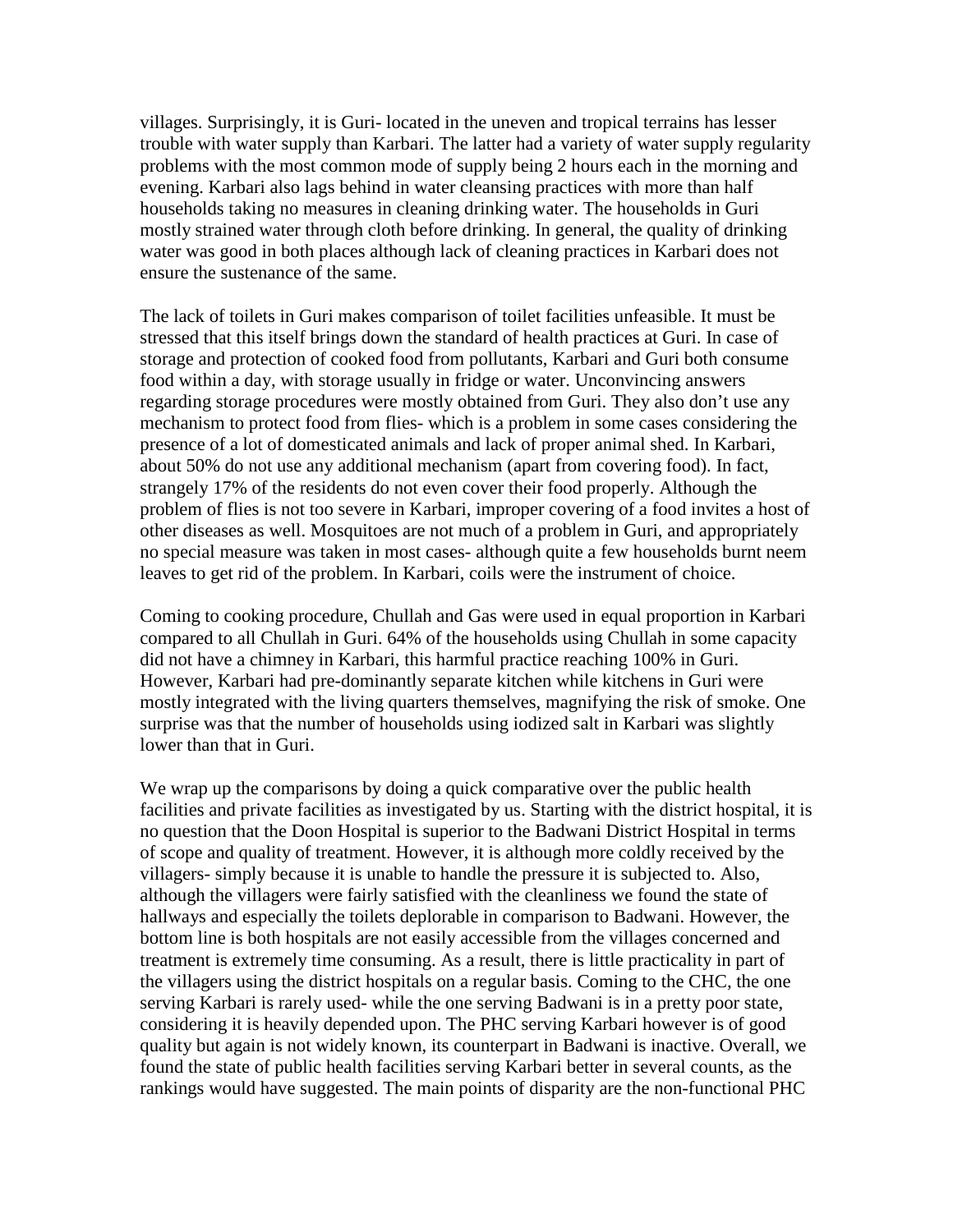villages. Surprisingly, it is Guri- located in the uneven and tropical terrains has lesser trouble with water supply than Karbari. The latter had a variety of water supply regularity problems with the most common mode of supply being 2 hours each in the morning and evening. Karbari also lags behind in water cleansing practices with more than half households taking no measures in cleaning drinking water. The households in Guri mostly strained water through cloth before drinking. In general, the quality of drinking water was good in both places although lack of cleaning practices in Karbari does not ensure the sustenance of the same.

The lack of toilets in Guri makes comparison of toilet facilities unfeasible. It must be stressed that this itself brings down the standard of health practices at Guri. In case of storage and protection of cooked food from pollutants, Karbari and Guri both consume food within a day, with storage usually in fridge or water. Unconvincing answers regarding storage procedures were mostly obtained from Guri. They also don't use any mechanism to protect food from flies- which is a problem in some cases considering the presence of a lot of domesticated animals and lack of proper animal shed. In Karbari, about 50% do not use any additional mechanism (apart from covering food). In fact, strangely 17% of the residents do not even cover their food properly. Although the problem of flies is not too severe in Karbari, improper covering of a food invites a host of other diseases as well. Mosquitoes are not much of a problem in Guri, and appropriately no special measure was taken in most cases- although quite a few households burnt neem leaves to get rid of the problem. In Karbari, coils were the instrument of choice.

Coming to cooking procedure, Chullah and Gas were used in equal proportion in Karbari compared to all Chullah in Guri. 64% of the households using Chullah in some capacity did not have a chimney in Karbari, this harmful practice reaching 100% in Guri. However, Karbari had pre-dominantly separate kitchen while kitchens in Guri were mostly integrated with the living quarters themselves, magnifying the risk of smoke. One surprise was that the number of households using iodized salt in Karbari was slightly lower than that in Guri.

We wrap up the comparisons by doing a quick comparative over the public health facilities and private facilities as investigated by us. Starting with the district hospital, it is no question that the Doon Hospital is superior to the Badwani District Hospital in terms of scope and quality of treatment. However, it is although more coldly received by the villagers- simply because it is unable to handle the pressure it is subjected to. Also, although the villagers were fairly satisfied with the cleanliness we found the state of hallways and especially the toilets deplorable in comparison to Badwani. However, the bottom line is both hospitals are not easily accessible from the villages concerned and treatment is extremely time consuming. As a result, there is little practicality in part of the villagers using the district hospitals on a regular basis. Coming to the CHC, the one serving Karbari is rarely used- while the one serving Badwani is in a pretty poor state, considering it is heavily depended upon. The PHC serving Karbari however is of good quality but again is not widely known, its counterpart in Badwani is inactive. Overall, we found the state of public health facilities serving Karbari better in several counts, as the rankings would have suggested. The main points of disparity are the non-functional PHC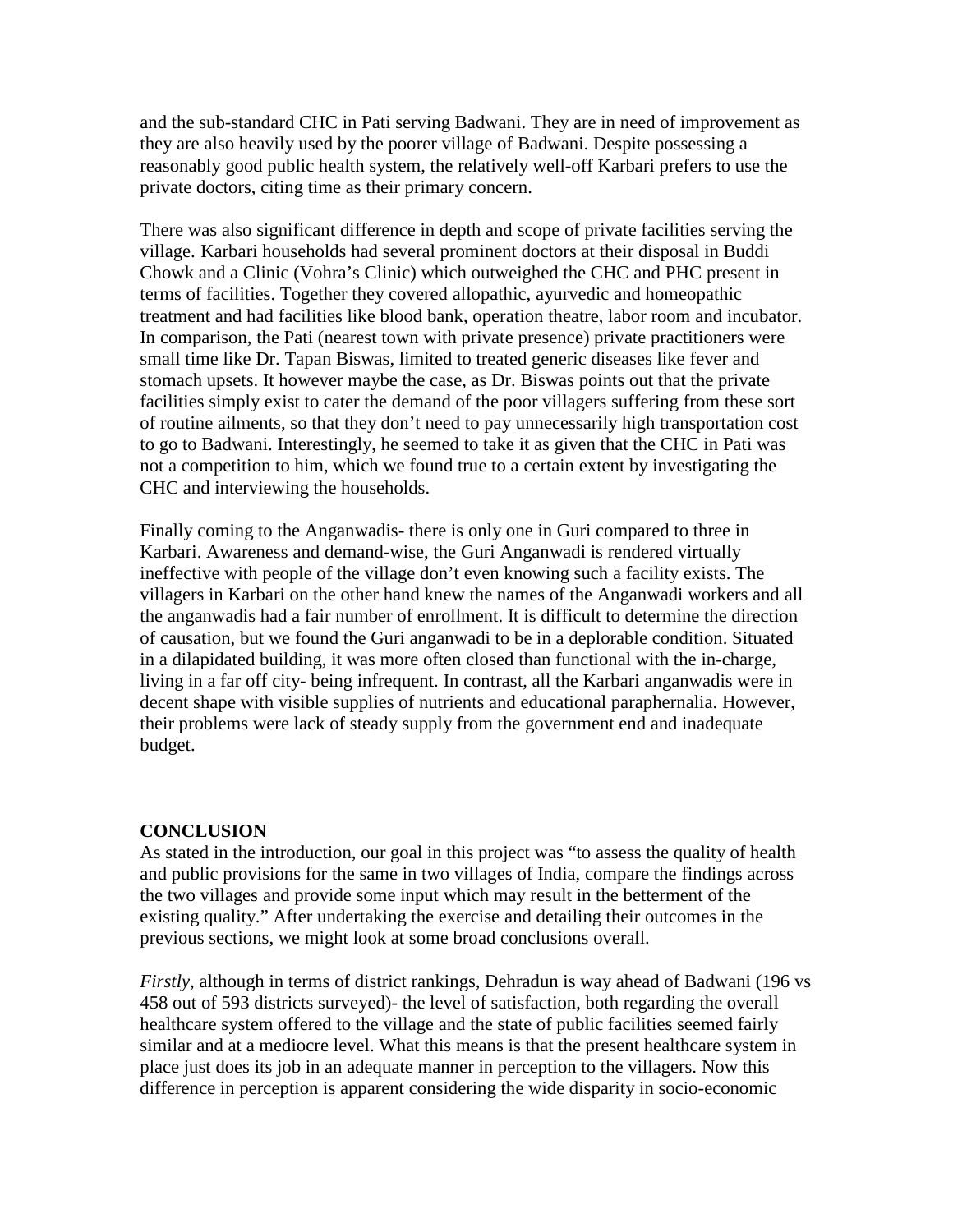and the sub-standard CHC in Pati serving Badwani. They are in need of improvement as they are also heavily used by the poorer village of Badwani. Despite possessing a reasonably good public health system, the relatively well-off Karbari prefers to use the private doctors, citing time as their primary concern.

There was also significant difference in depth and scope of private facilities serving the village. Karbari households had several prominent doctors at their disposal in Buddi Chowk and a Clinic (Vohra's Clinic) which outweighed the CHC and PHC present in terms of facilities. Together they covered allopathic, ayurvedic and homeopathic treatment and had facilities like blood bank, operation theatre, labor room and incubator. In comparison, the Pati (nearest town with private presence) private practitioners were small time like Dr. Tapan Biswas, limited to treated generic diseases like fever and stomach upsets. It however maybe the case, as Dr. Biswas points out that the private facilities simply exist to cater the demand of the poor villagers suffering from these sort of routine ailments, so that they don't need to pay unnecessarily high transportation cost to go to Badwani. Interestingly, he seemed to take it as given that the CHC in Pati was not a competition to him, which we found true to a certain extent by investigating the CHC and interviewing the households.

Finally coming to the Anganwadis- there is only one in Guri compared to three in Karbari. Awareness and demand-wise, the Guri Anganwadi is rendered virtually ineffective with people of the village don't even knowing such a facility exists. The villagers in Karbari on the other hand knew the names of the Anganwadi workers and all the anganwadis had a fair number of enrollment. It is difficult to determine the direction of causation, but we found the Guri anganwadi to be in a deplorable condition. Situated in a dilapidated building, it was more often closed than functional with the in-charge, living in a far off city- being infrequent. In contrast, all the Karbari anganwadis were in decent shape with visible supplies of nutrients and educational paraphernalia. However, their problems were lack of steady supply from the government end and inadequate budget.

## **CONCLUSION**

As stated in the introduction, our goal in this project was "to assess the quality of health and public provisions for the same in two villages of India, compare the findings across the two villages and provide some input which may result in the betterment of the existing quality." After undertaking the exercise and detailing their outcomes in the previous sections, we might look at some broad conclusions overall.

*Firstly*, although in terms of district rankings, Dehradun is way ahead of Badwani (196 vs 458 out of 593 districts surveyed)- the level of satisfaction, both regarding the overall healthcare system offered to the village and the state of public facilities seemed fairly similar and at a mediocre level. What this means is that the present healthcare system in place just does its job in an adequate manner in perception to the villagers. Now this difference in perception is apparent considering the wide disparity in socio-economic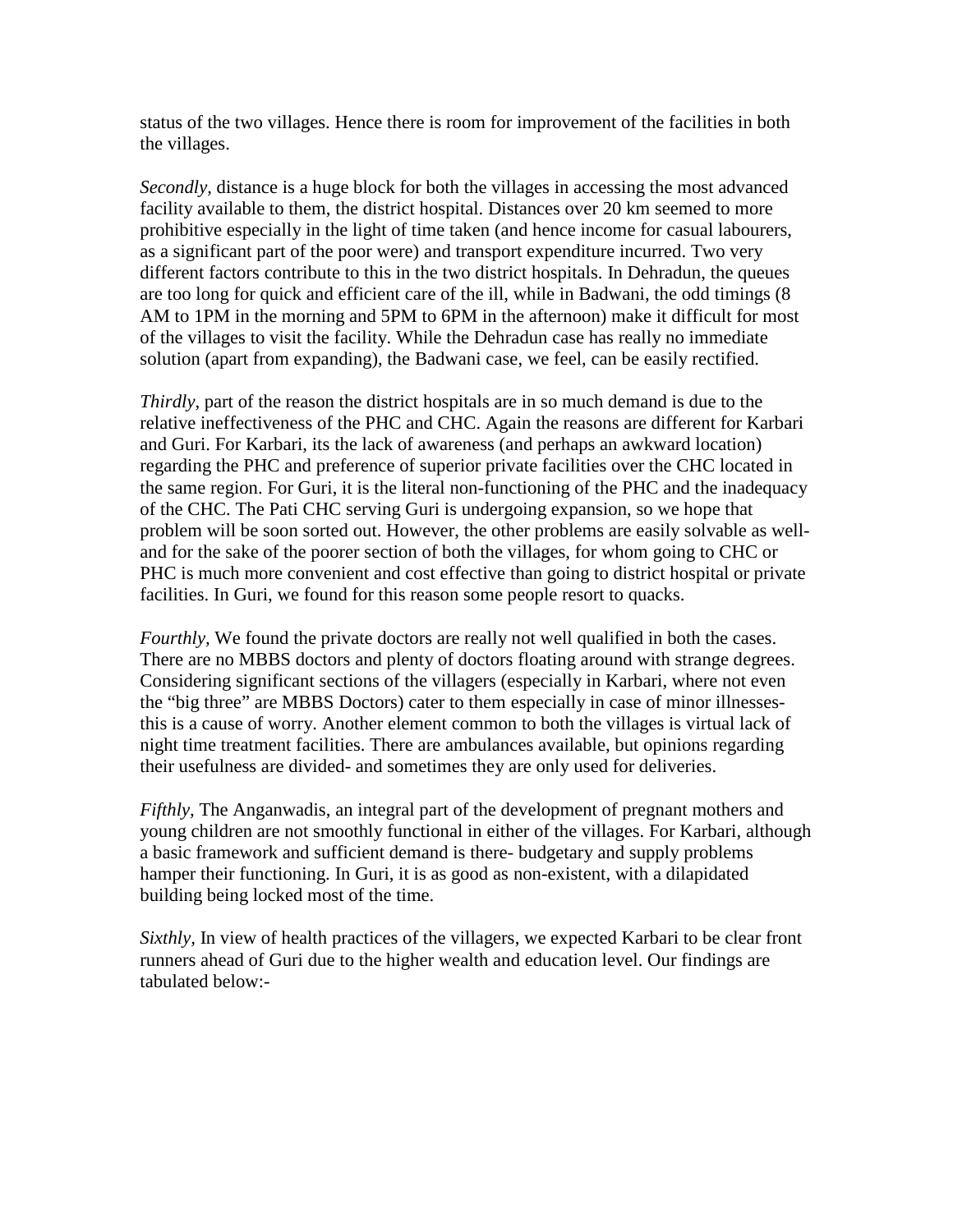status of the two villages. Hence there is room for improvement of the facilities in both the villages.

*Secondly,* distance is a huge block for both the villages in accessing the most advanced facility available to them, the district hospital. Distances over 20 km seemed to more prohibitive especially in the light of time taken (and hence income for casual labourers, as a significant part of the poor were) and transport expenditure incurred. Two very different factors contribute to this in the two district hospitals. In Dehradun, the queues are too long for quick and efficient care of the ill, while in Badwani, the odd timings (8 AM to 1PM in the morning and 5PM to 6PM in the afternoon) make it difficult for most of the villages to visit the facility. While the Dehradun case has really no immediate solution (apart from expanding), the Badwani case, we feel, can be easily rectified.

*Thirdly,* part of the reason the district hospitals are in so much demand is due to the relative ineffectiveness of the PHC and CHC. Again the reasons are different for Karbari and Guri. For Karbari, its the lack of awareness (and perhaps an awkward location) regarding the PHC and preference of superior private facilities over the CHC located in the same region. For Guri, it is the literal non-functioning of the PHC and the inadequacy of the CHC. The Pati CHC serving Guri is undergoing expansion, so we hope that problem will be soon sorted out. However, the other problems are easily solvable as welland for the sake of the poorer section of both the villages, for whom going to CHC or PHC is much more convenient and cost effective than going to district hospital or private facilities. In Guri, we found for this reason some people resort to quacks.

*Fourthly*, We found the private doctors are really not well qualified in both the cases. There are no MBBS doctors and plenty of doctors floating around with strange degrees. Considering significant sections of the villagers (especially in Karbari, where not even the "big three" are MBBS Doctors) cater to them especially in case of minor illnessesthis is a cause of worry. Another element common to both the villages is virtual lack of night time treatment facilities. There are ambulances available, but opinions regarding their usefulness are divided- and sometimes they are only used for deliveries.

*Fifthly,* The Anganwadis, an integral part of the development of pregnant mothers and young children are not smoothly functional in either of the villages. For Karbari, although a basic framework and sufficient demand is there- budgetary and supply problems hamper their functioning. In Guri, it is as good as non-existent, with a dilapidated building being locked most of the time.

*Sixthly,* In view of health practices of the villagers, we expected Karbari to be clear front runners ahead of Guri due to the higher wealth and education level. Our findings are tabulated below:-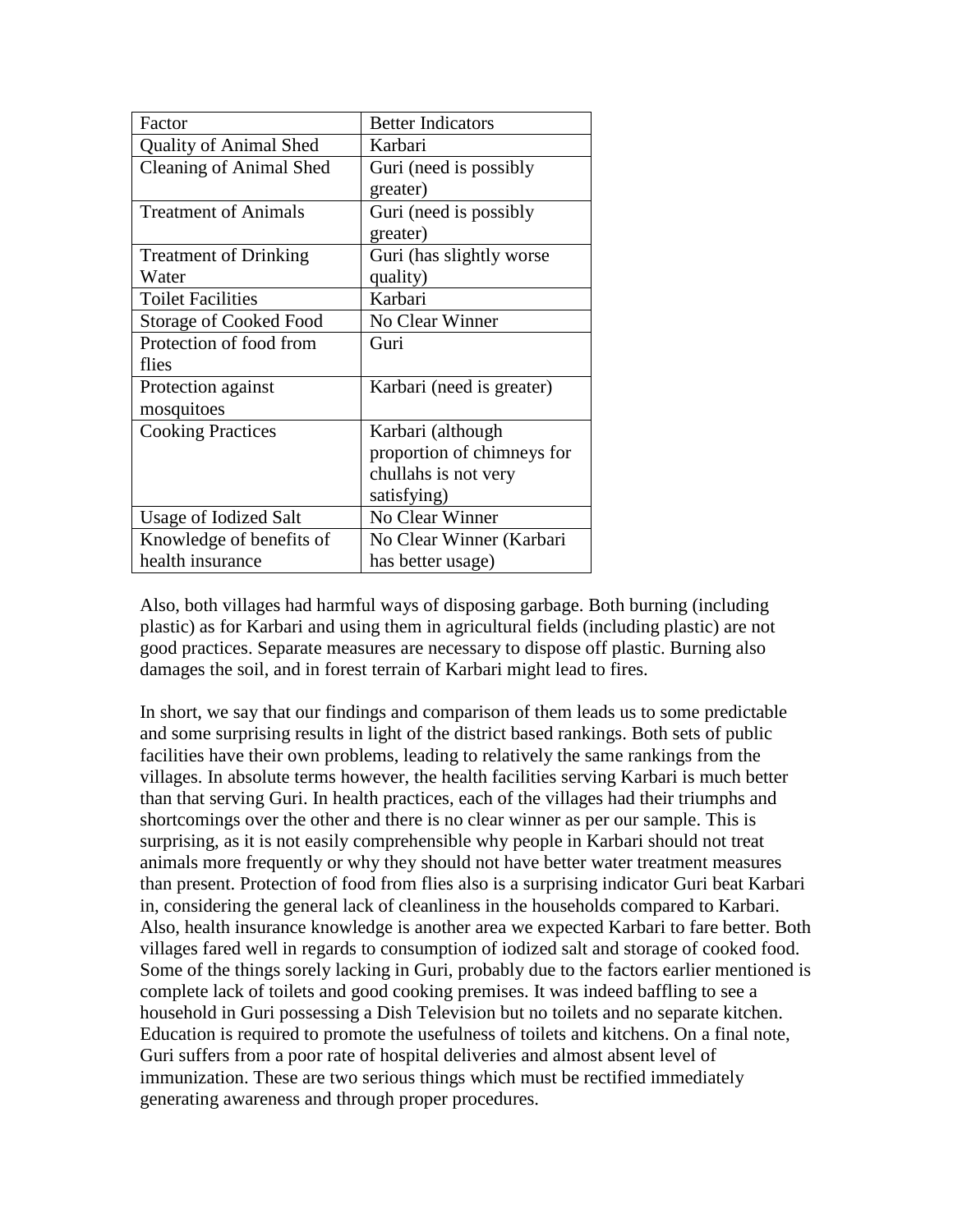| Factor                         | <b>Better Indicators</b>   |
|--------------------------------|----------------------------|
| <b>Quality of Animal Shed</b>  | Karbari                    |
| <b>Cleaning of Animal Shed</b> | Guri (need is possibly     |
|                                | greater)                   |
| <b>Treatment of Animals</b>    | Guri (need is possibly     |
|                                | greater)                   |
| <b>Treatment of Drinking</b>   | Guri (has slightly worse   |
| Water                          | quality)                   |
| <b>Toilet Facilities</b>       | Karbari                    |
| <b>Storage of Cooked Food</b>  | No Clear Winner            |
| Protection of food from        | Guri                       |
| flies                          |                            |
| Protection against             | Karbari (need is greater)  |
| mosquitoes                     |                            |
| <b>Cooking Practices</b>       | Karbari (although          |
|                                | proportion of chimneys for |
|                                | chullahs is not very       |
|                                | satisfying)                |
| Usage of Iodized Salt          | No Clear Winner            |
| Knowledge of benefits of       | No Clear Winner (Karbari   |
| health insurance               | has better usage)          |

Also, both villages had harmful ways of disposing garbage. Both burning (including plastic) as for Karbari and using them in agricultural fields (including plastic) are not good practices. Separate measures are necessary to dispose off plastic. Burning also damages the soil, and in forest terrain of Karbari might lead to fires.

In short, we say that our findings and comparison of them leads us to some predictable and some surprising results in light of the district based rankings. Both sets of public facilities have their own problems, leading to relatively the same rankings from the villages. In absolute terms however, the health facilities serving Karbari is much better than that serving Guri. In health practices, each of the villages had their triumphs and shortcomings over the other and there is no clear winner as per our sample. This is surprising, as it is not easily comprehensible why people in Karbari should not treat animals more frequently or why they should not have better water treatment measures than present. Protection of food from flies also is a surprising indicator Guri beat Karbari in, considering the general lack of cleanliness in the households compared to Karbari. Also, health insurance knowledge is another area we expected Karbari to fare better. Both villages fared well in regards to consumption of iodized salt and storage of cooked food. Some of the things sorely lacking in Guri, probably due to the factors earlier mentioned is complete lack of toilets and good cooking premises. It was indeed baffling to see a household in Guri possessing a Dish Television but no toilets and no separate kitchen. Education is required to promote the usefulness of toilets and kitchens. On a final note, Guri suffers from a poor rate of hospital deliveries and almost absent level of immunization. These are two serious things which must be rectified immediately generating awareness and through proper procedures.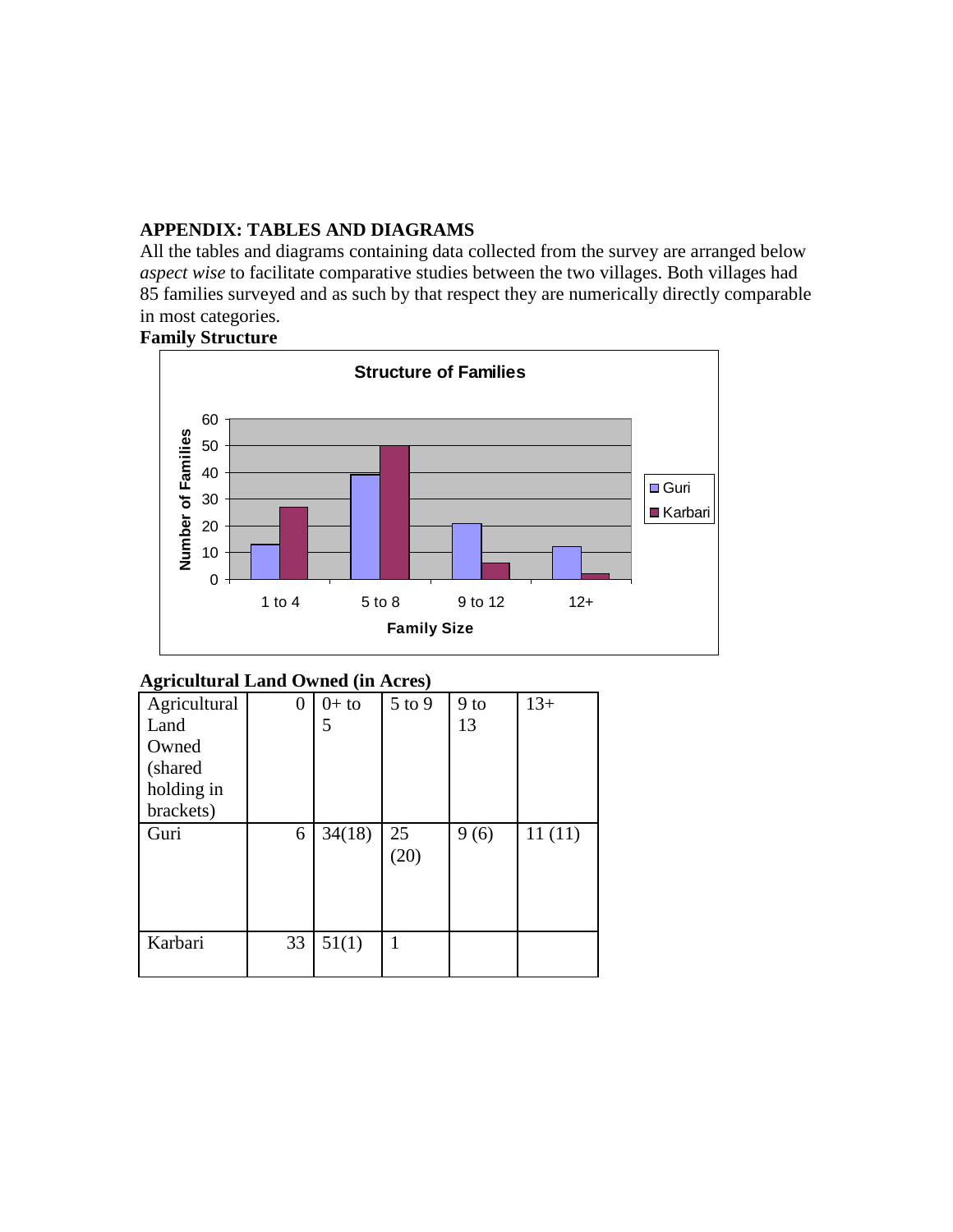## **APPENDIX: TABLES AND DIAGRAMS**

All the tables and diagrams containing data collected from the survey are arranged below *aspect wise* to facilitate comparative studies between the two villages. Both villages had 85 families surveyed and as such by that respect they are numerically directly comparable in most categories.



## **Agricultural Land Owned (in Acres)**

| -ອ-          |    |         |            |        |        |
|--------------|----|---------|------------|--------|--------|
| Agricultural | 0  | $0+$ to | 5 to 9     | $9$ to | $13+$  |
| Land         |    | 5       |            | 13     |        |
| Owned        |    |         |            |        |        |
| (shared      |    |         |            |        |        |
| holding in   |    |         |            |        |        |
| brackets)    |    |         |            |        |        |
| Guri         | 6  | 34(18)  | 25<br>(20) | 9(6)   | 11(11) |
| Karbari      | 33 | 51(1)   | 1          |        |        |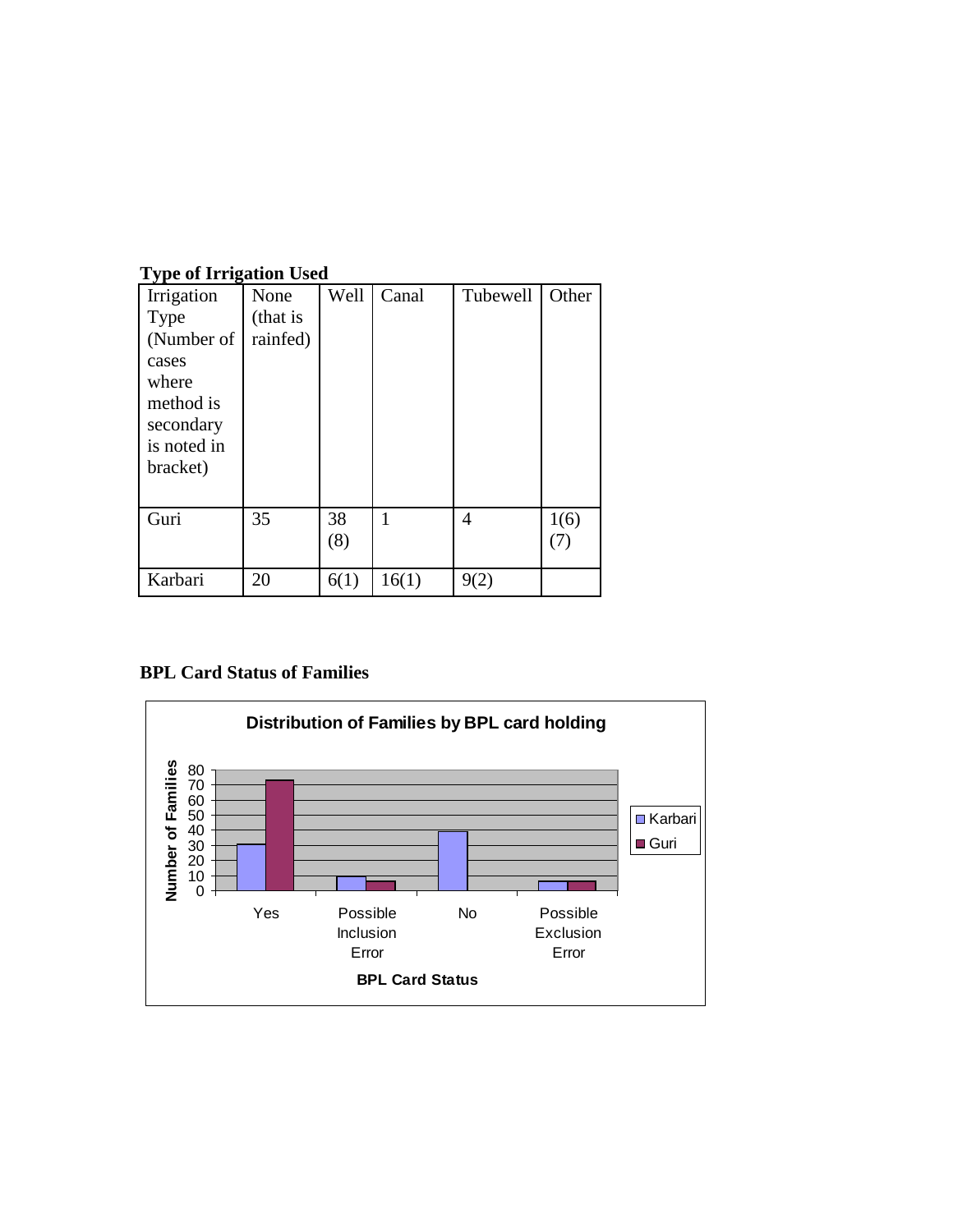| $\sim$ $\mu$ $\sim$ $\sim$ $\sim$ $\sim$ $\sim$ $\sim$ $\sim$<br>Irrigation<br>Type<br>(Number of<br>cases<br>where<br>method is<br>secondary<br>is noted in<br>bracket) | None<br>(that is<br>rainfed) | Well      | Canal | Tubewell | Other                    |
|--------------------------------------------------------------------------------------------------------------------------------------------------------------------------|------------------------------|-----------|-------|----------|--------------------------|
| Guri                                                                                                                                                                     | 35                           | 38<br>(8) | 1     | 4        | 1(6)<br>$\left(T\right)$ |
| Karbari                                                                                                                                                                  | 20                           | 6(1)      | 16(1) |          |                          |

## **Type of Irrigation Used**

# **BPL Card Status of Families**

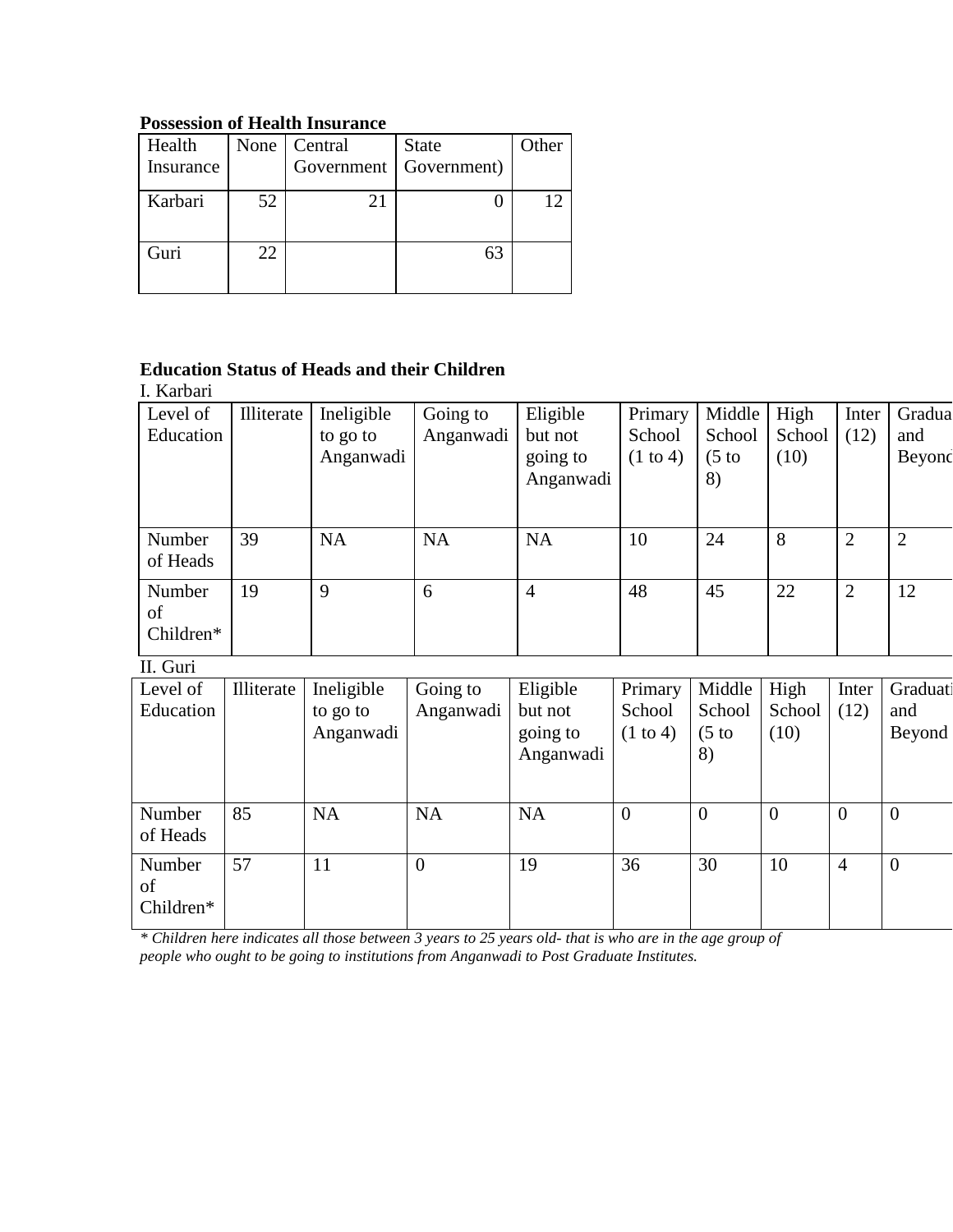# **Possession of Health Insurance**

| Health<br>Insurance |    | None   Central | <b>State</b><br>Government   Government) | Other |
|---------------------|----|----------------|------------------------------------------|-------|
| Karbari             | 52 | 21             |                                          | 12    |
| Guri                | 22 |                |                                          |       |

# **Education Status of Heads and their Children**

I. Karbari

| Level of<br>Education     | Illiterate | Ineligible<br>to go to<br>Anganwadi | Going to<br>Anganwadi | Eligible<br>but not<br>going to<br>Anganwadi | Primary<br>School<br>$(1 \text{ to } 4)$ | Middle<br>School<br>$(5 \text{ to }$<br>8) | High<br>School<br>(10) | Inter<br>(12)  | Gradua<br>and<br>Beyond |
|---------------------------|------------|-------------------------------------|-----------------------|----------------------------------------------|------------------------------------------|--------------------------------------------|------------------------|----------------|-------------------------|
| Number<br>of Heads        | 39         | <b>NA</b>                           | <b>NA</b>             | <b>NA</b>                                    | 10                                       | 24                                         | 8                      | 2              | $\overline{2}$          |
| Number<br>of<br>Children* | 19         | 9                                   | 6                     | 4                                            | 48                                       | 45                                         | 22                     | $\overline{2}$ | 12                      |

II. Guri

| Level of  | Illiterate | Ineligible | Going to       | Eligible  | Primary             | Middle           | High           | Inter          | Graduati       |
|-----------|------------|------------|----------------|-----------|---------------------|------------------|----------------|----------------|----------------|
| Education |            | to go to   | Anganwadi      | but not   | School              | School           | School         | (12)           | and            |
|           |            | Anganwadi  |                | going to  | $(1 \text{ to } 4)$ | $(5 \text{ to }$ | (10)           |                | Beyond         |
|           |            |            |                | Anganwadi |                     | 8)               |                |                |                |
|           |            |            |                |           |                     |                  |                |                |                |
|           |            |            |                |           |                     |                  |                |                |                |
| Number    | 85         | <b>NA</b>  | <b>NA</b>      | <b>NA</b> | $\theta$            | $\overline{0}$   | $\overline{0}$ | $\overline{0}$ | $\theta$       |
| of Heads  |            |            |                |           |                     |                  |                |                |                |
| Number    | 57         | 11         | $\overline{0}$ | 19        | 36                  | 30               | 10             | 4              | $\overline{0}$ |
| of        |            |            |                |           |                     |                  |                |                |                |
| Children* |            |            |                |           |                     |                  |                |                |                |
|           |            |            |                |           |                     |                  |                |                |                |

*\* Children here indicates all those between 3 years to 25 years old- that is who are in the age group of people who ought to be going to institutions from Anganwadi to Post Graduate Institutes.*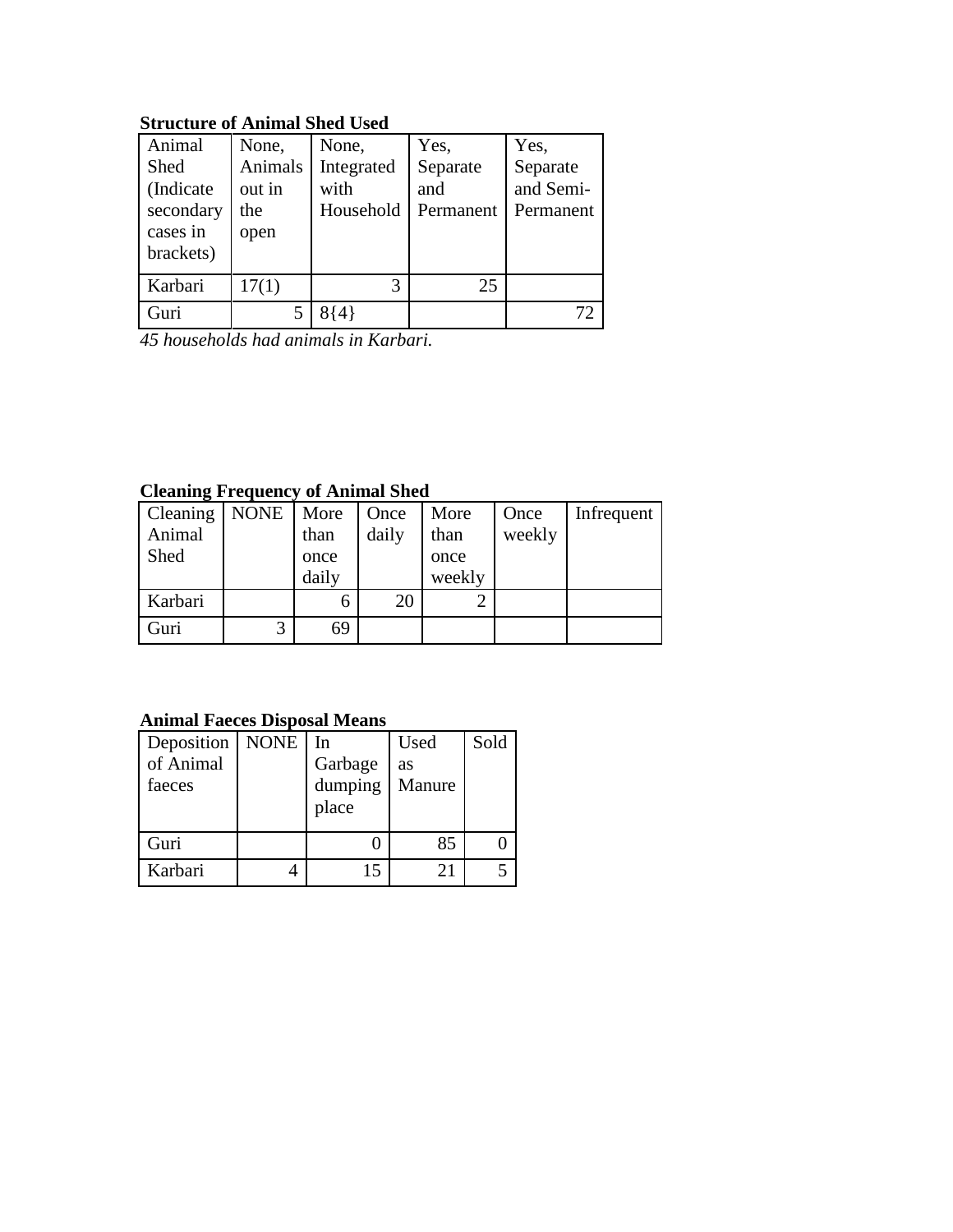# **Structure of Animal Shed Used**

| Animal    | None,   | None,      | Yes,      | Yes,      |
|-----------|---------|------------|-----------|-----------|
| Shed      | Animals | Integrated | Separate  | Separate  |
| (Indicate | out in  | with       | and       | and Semi- |
| secondary | the     | Household  | Permanent | Permanent |
| cases in  | open    |            |           |           |
| brackets) |         |            |           |           |
| Karbari   | 17(1)   | 3          | 25        |           |
| Guri      |         |            |           | 72        |

*45 households had animals in Karbari.*

# **Cleaning Frequency of Animal Shed**

| Cleaning | <b>NONE</b> | More  | Once  | More   | Once   | Infrequent |
|----------|-------------|-------|-------|--------|--------|------------|
| Animal   |             | than  | daily | than   | weekly |            |
| Shed     |             | once  |       | once   |        |            |
|          |             | daily |       | weekly |        |            |
| Karbari  |             |       | 20    |        |        |            |
| Guri     | 3           | 69    |       |        |        |            |

# **Animal Faeces Disposal Means**

| Deposition   NONE<br>of Animal<br>faeces | <b>In</b><br>Garbage<br>dumping | Used<br>as<br>Manure | Sold |
|------------------------------------------|---------------------------------|----------------------|------|
|                                          | place                           |                      |      |
| Guri                                     |                                 | 85                   |      |
| Karbari                                  | 15                              | 21                   |      |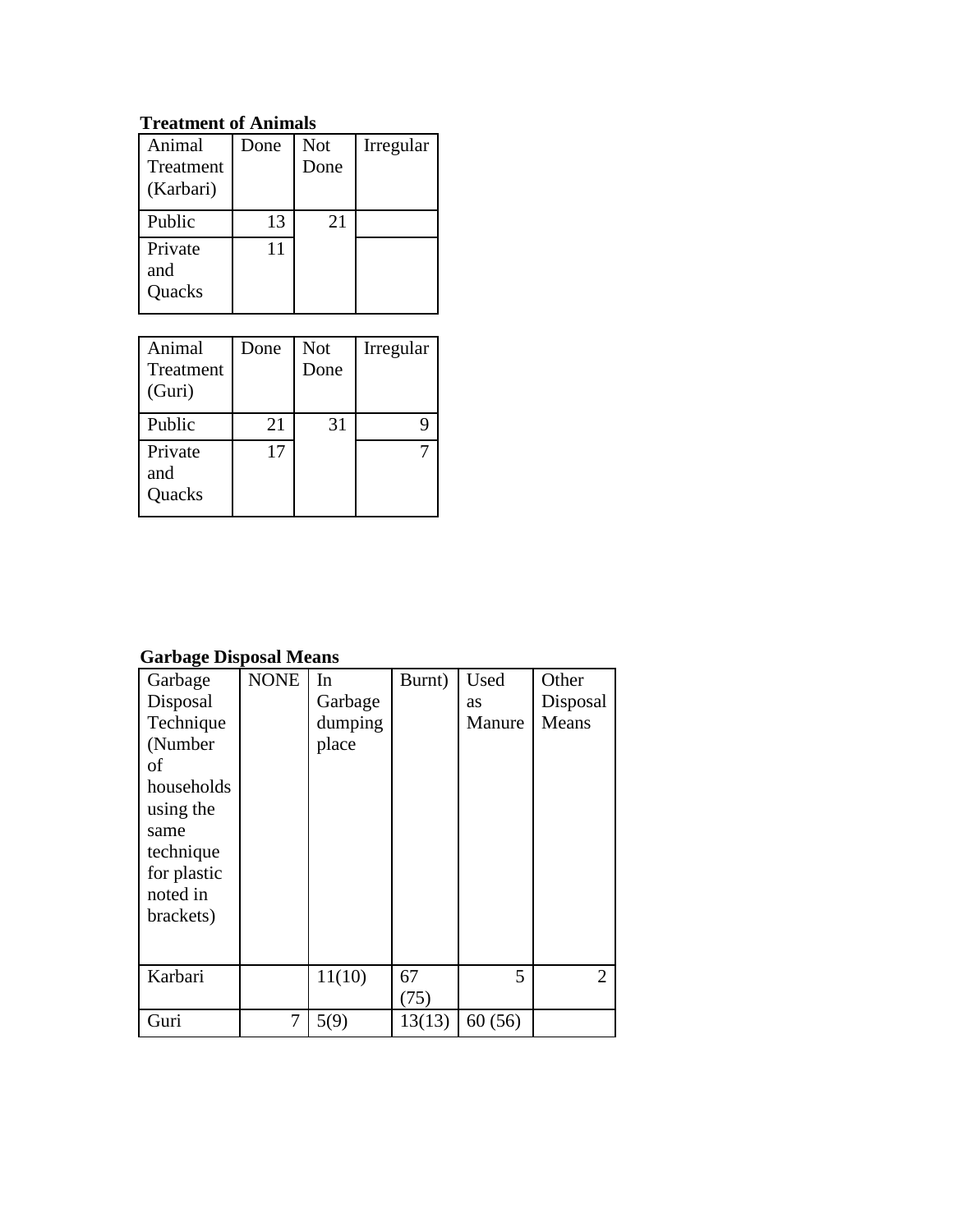# **Treatment of Animals**

| Animal<br>Treatment<br>(Karbari) | Done | <b>Not</b><br>Done | Irregular |
|----------------------------------|------|--------------------|-----------|
| Public                           | 13   | 21                 |           |
| Private<br>and<br>Quacks         | 11   |                    |           |

| Animal<br>Treatment<br>(Guri) | Done | <b>Not</b><br>Done | Irregular |
|-------------------------------|------|--------------------|-----------|
| Public                        | 21   | 31                 |           |
| Private<br>and<br>Quacks      | 17   |                    |           |

# **Garbage Disposal Means**

| Garbage<br>Disposal<br>Technique<br>(Number<br>of<br>households<br>using the<br>same<br>technique<br>for plastic<br>noted in<br>brackets) | <b>NONE</b> | In<br>Garbage<br>dumping<br>place | Burnt)     | Used<br>as<br>Manure | Other<br>Disposal<br>Means  |
|-------------------------------------------------------------------------------------------------------------------------------------------|-------------|-----------------------------------|------------|----------------------|-----------------------------|
| Karbari                                                                                                                                   |             | 11(10)                            | 67<br>(75) | 5                    | $\mathcal{D}_{\mathcal{L}}$ |
| Guri                                                                                                                                      | 7           | 5(9)                              | 13(13)     | 60(56)               |                             |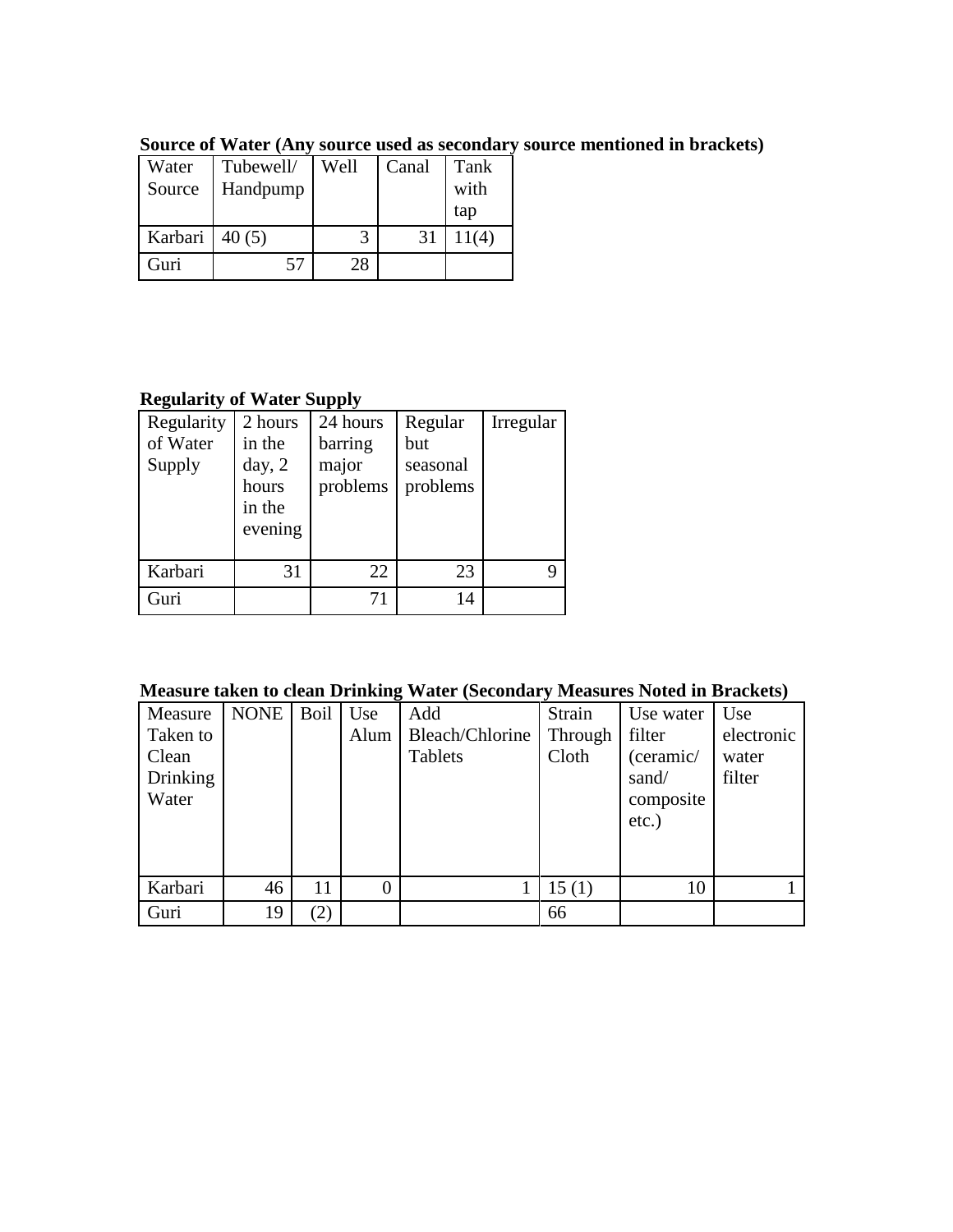| Water<br>Source   | Tubewell/<br>Handpump | Well | Canal | Tank<br>with<br>tap |
|-------------------|-----------------------|------|-------|---------------------|
| Karbari   $40(5)$ |                       | 3    | 31    | 11(4)               |
| Guri              | 57                    | 28   |       |                     |

**Source of Water (Any source used as secondary source mentioned in brackets)**

# **Regularity of Water Supply**

| Regularity<br>of Water<br>Supply | 2 hours<br>in the<br>day, 2<br>hours<br>in the<br>evening | 24 hours<br>barring<br>major<br>problems | Regular<br>but<br>seasonal<br>problems | Irregular |
|----------------------------------|-----------------------------------------------------------|------------------------------------------|----------------------------------------|-----------|
| Karbari                          | 31                                                        | 22                                       | 23                                     | q         |
| Guri                             |                                                           | 71                                       | 14                                     |           |

| <b>Measure taken to clean Drinking Water (Secondary Measures Noted in Brackets)</b> |  |  |  |  |
|-------------------------------------------------------------------------------------|--|--|--|--|
|                                                                                     |  |  |  |  |

| Measure  | <b>NONE</b> | Boil | Use            | Add             | Strain  | Use water | Use        |
|----------|-------------|------|----------------|-----------------|---------|-----------|------------|
| Taken to |             |      | Alum           | Bleach/Chlorine | Through | filter    | electronic |
| Clean    |             |      |                | <b>Tablets</b>  | Cloth   | (ceramic/ | water      |
| Drinking |             |      |                |                 |         | sand/     | filter     |
| Water    |             |      |                |                 |         | composite |            |
|          |             |      |                |                 |         | $etc.$ )  |            |
|          |             |      |                |                 |         |           |            |
|          |             |      |                |                 |         |           |            |
| Karbari  | 46          | 11   | $\overline{0}$ |                 | 15(1)   | 10        |            |
| Guri     | 19          | (2)  |                |                 | 66      |           |            |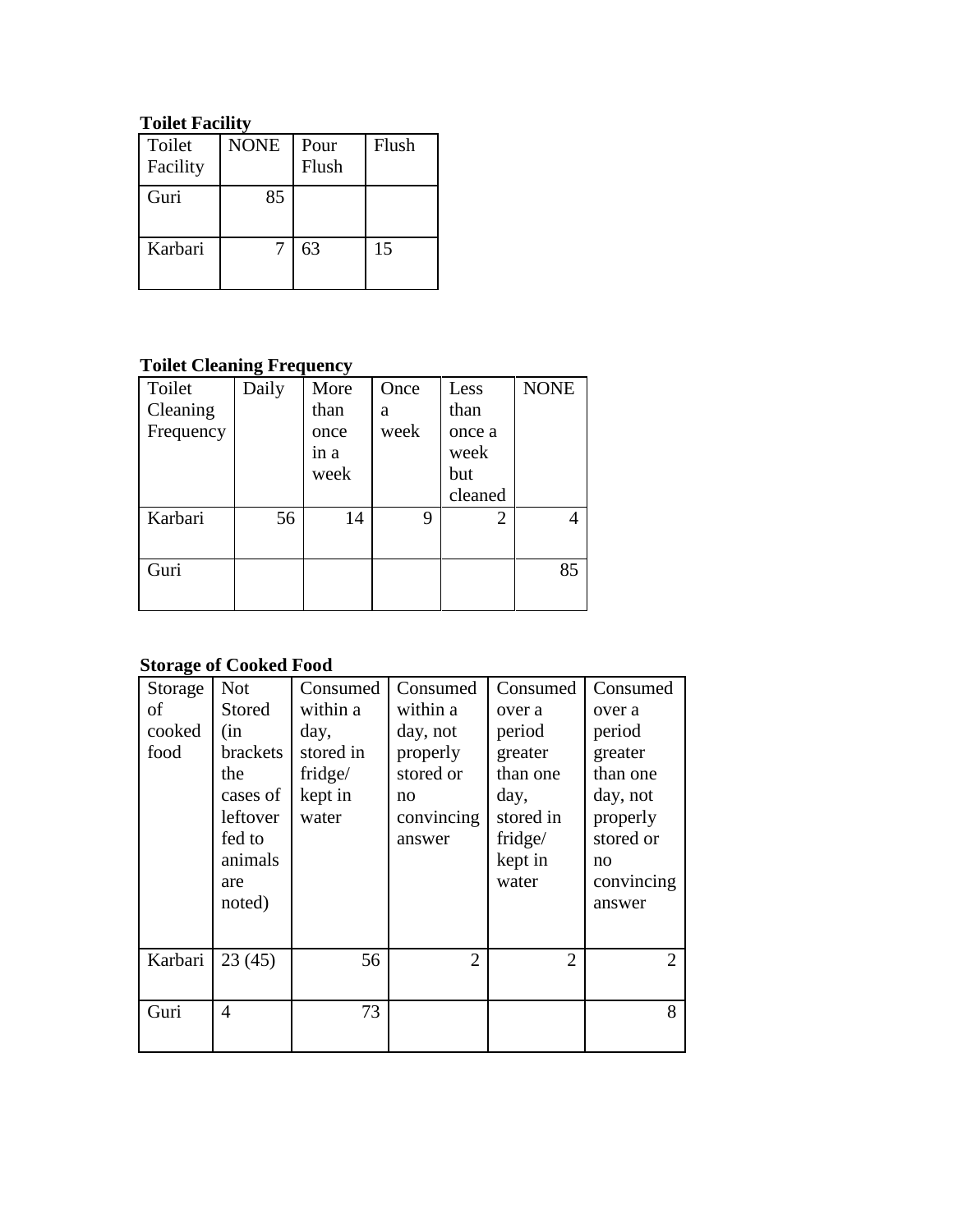# **Toilet Facility**

| Toilet<br>Facility | <b>NONE</b> | Pour<br>Flush | Flush |
|--------------------|-------------|---------------|-------|
| Guri               | 85          |               |       |
| Karbari            |             | 63            | 15    |

# **Toilet Cleaning Frequency**

| Toilet    | ັ<br>Daily | More | Once | Less           | <b>NONE</b> |
|-----------|------------|------|------|----------------|-------------|
| Cleaning  |            | than | a    | than           |             |
| Frequency |            | once | week | once a         |             |
|           |            | in a |      | week           |             |
|           |            | week |      | but            |             |
|           |            |      |      | cleaned        |             |
| Karbari   | 56         | 14   | 9    | $\overline{2}$ | 4           |
|           |            |      |      |                |             |
| Guri      |            |      |      |                | 85          |
|           |            |      |      |                |             |

# **Storage of Cooked Food**

| Storage | <b>Not</b>     | Consumed  | Consumed       | Consumed                    | Consumed                    |
|---------|----------------|-----------|----------------|-----------------------------|-----------------------------|
| of      | Stored         | within a  | within a       | over a                      | over a                      |
| cooked  | (in            | day,      | day, not       | period                      | period                      |
| food    | brackets       | stored in | properly       | greater                     | greater                     |
|         | the            | fridge/   | stored or      | than one                    | than one                    |
|         | cases of       | kept in   | no             | day,                        | day, not                    |
|         | leftover       | water     | convincing     | stored in                   | properly                    |
|         | fed to         |           | answer         | fridge/                     | stored or                   |
|         | animals        |           |                | kept in                     | no                          |
|         | are            |           |                | water                       | convincing                  |
|         | noted)         |           |                |                             | answer                      |
|         |                |           |                |                             |                             |
| Karbari | 23(45)         | 56        | $\overline{2}$ | $\mathcal{D}_{\mathcal{L}}$ | $\mathcal{D}_{\mathcal{L}}$ |
|         |                |           |                |                             |                             |
| Guri    | $\overline{4}$ | 73        |                |                             | 8                           |
|         |                |           |                |                             |                             |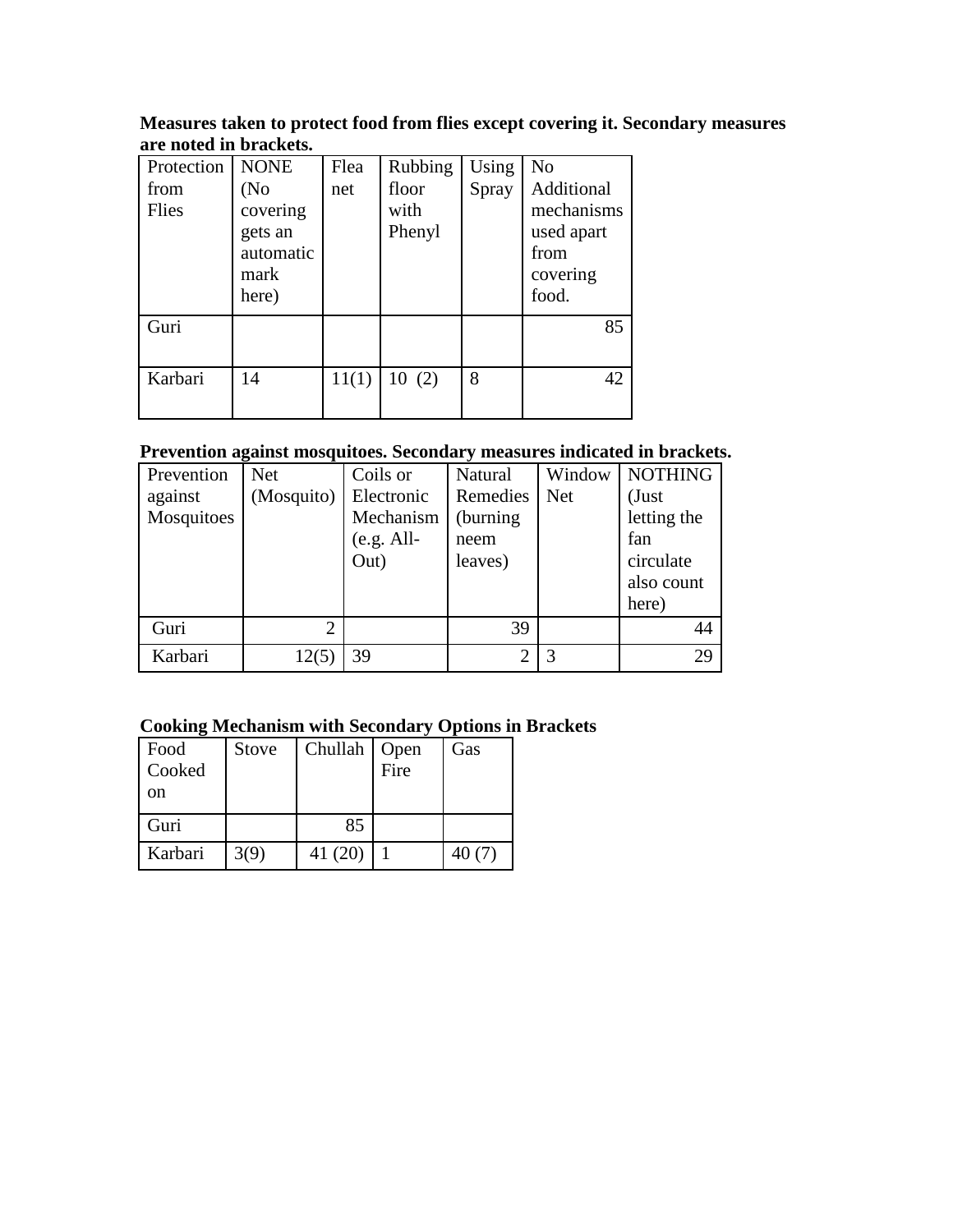## **Measures taken to protect food from flies except covering it. Secondary measures are noted in brackets.**

| Protection<br>from<br>Flies | <b>NONE</b><br>(No<br>covering<br>gets an<br>automatic<br>mark<br>here) | Flea<br>net | Rubbing<br>floor<br>with<br>Phenyl | Using<br>Spray | N <sub>o</sub><br>Additional<br>mechanisms<br>used apart<br>from<br>covering<br>food. |
|-----------------------------|-------------------------------------------------------------------------|-------------|------------------------------------|----------------|---------------------------------------------------------------------------------------|
| Guri                        |                                                                         |             |                                    |                | 85                                                                                    |
| Karbari                     | 14                                                                      | 11(1)       | 10(2)                              | 8              | 42                                                                                    |

# **Prevention against mosquitoes. Secondary measures indicated in brackets.**

| Prevention | <b>Net</b>     | Coils or     | Natural                     | Window     | <b>NOTHING</b> |
|------------|----------------|--------------|-----------------------------|------------|----------------|
| against    | (Mosquito)     | Electronic   | Remedies                    | <b>Net</b> | (Just          |
| Mosquitoes |                | Mechanism    | (burning)                   |            | letting the    |
|            |                | $(e.g. All-$ | neem                        |            | fan            |
|            |                | Out)         | leaves)                     |            | circulate      |
|            |                |              |                             |            | also count     |
|            |                |              |                             |            | here)          |
| Guri       | $\overline{2}$ |              | 39                          |            | 44             |
| Karbari    | 12(5           | 39           | $\mathcal{D}_{\mathcal{L}}$ | 3          | 29             |

# **Cooking Mechanism with Secondary Options in Brackets**

| Food<br>Cooked<br>on | <b>Stove</b> | Chullah   Open | Fire | Gas   |
|----------------------|--------------|----------------|------|-------|
| Guri                 |              | 85             |      |       |
| Karbari              | 3(9)         | 41 (20)        |      | 40(7) |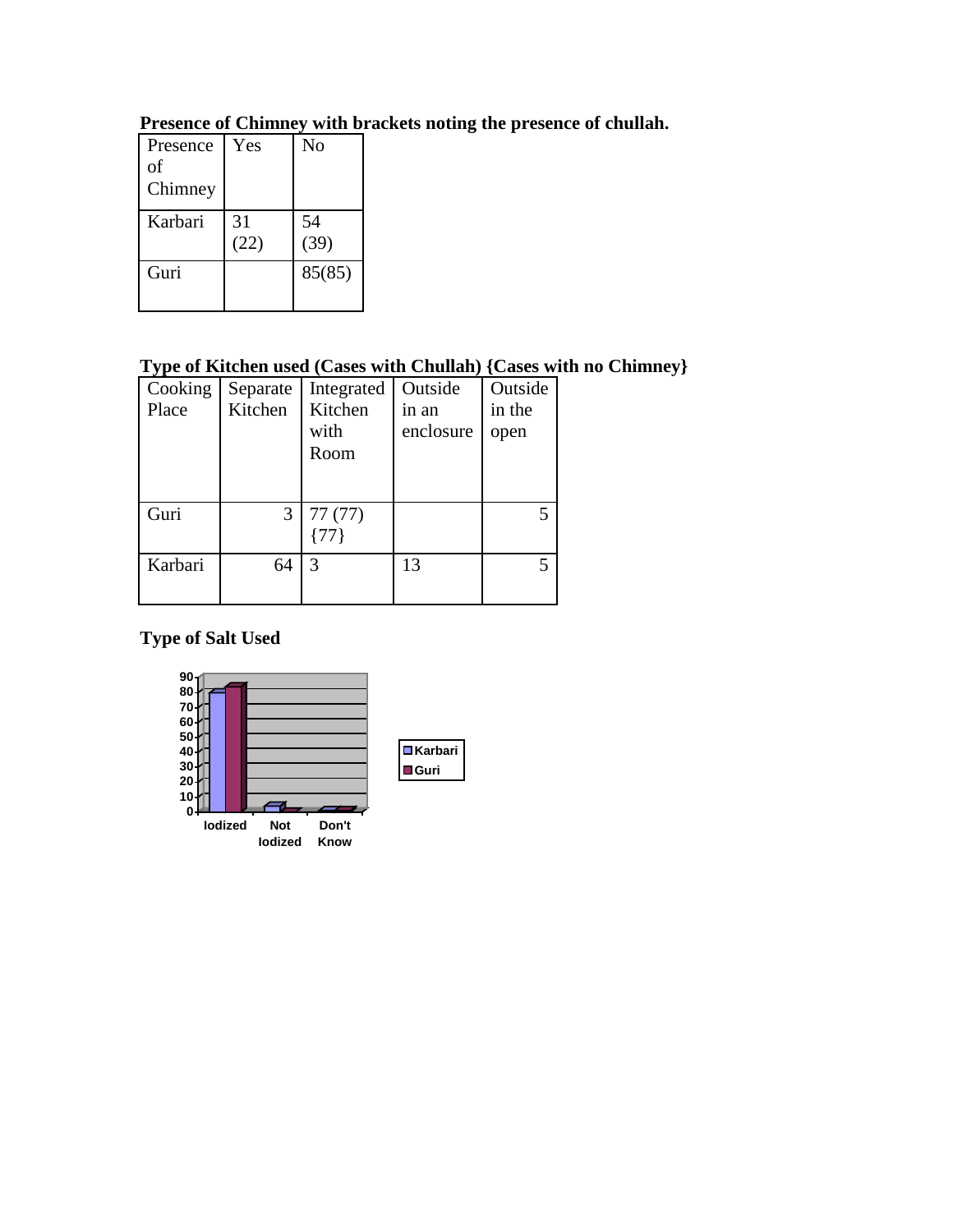| Presence<br>of<br>Chimney | Yes        | N <sub>0</sub> |
|---------------------------|------------|----------------|
| Karbari                   | 31<br>(22) | 54<br>(39)     |
| Guri                      |            | 85(85)         |

# **Presence of Chimney with brackets noting the presence of chullah.**

# **Type of Kitchen used (Cases with Chullah) {Cases with no Chimney}**

| Cooking | Separate | Integrated | Outside   | Outside |
|---------|----------|------------|-----------|---------|
| Place   | Kitchen  | Kitchen    | in an     | in the  |
|         |          | with       | enclosure | open    |
|         |          | Room       |           |         |
|         |          |            |           |         |
|         |          |            |           |         |
| Guri    | 3        | 77(77)     |           | 5       |
|         |          |            |           |         |
| Karbari | 64       | 3          | 13        |         |
|         |          |            |           |         |
|         |          |            |           |         |

# **Type of Salt Used**

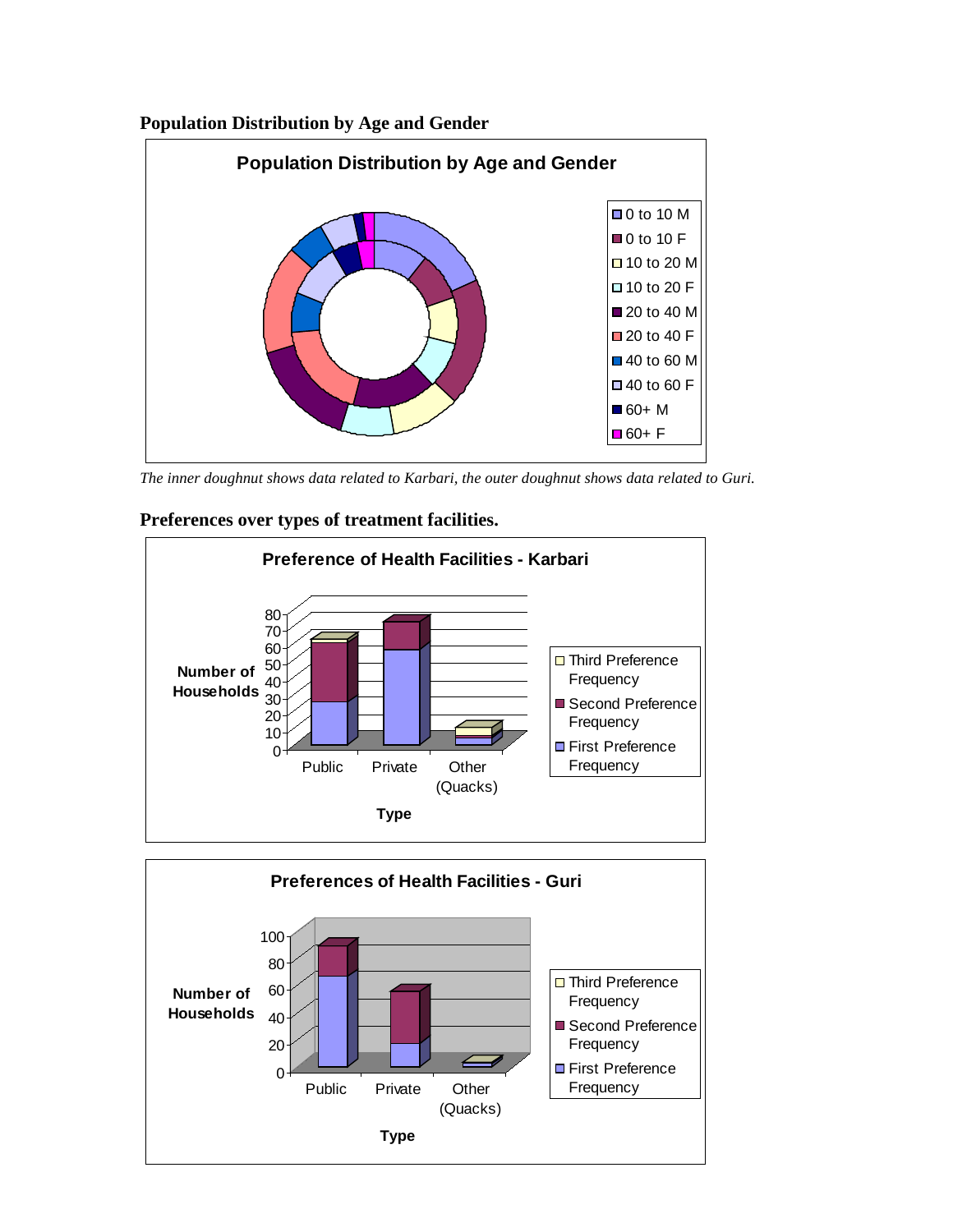## **Population Distribution by Age and Gender**



*The inner doughnut shows data related to Karbari, the outer doughnut shows data related to Guri.*





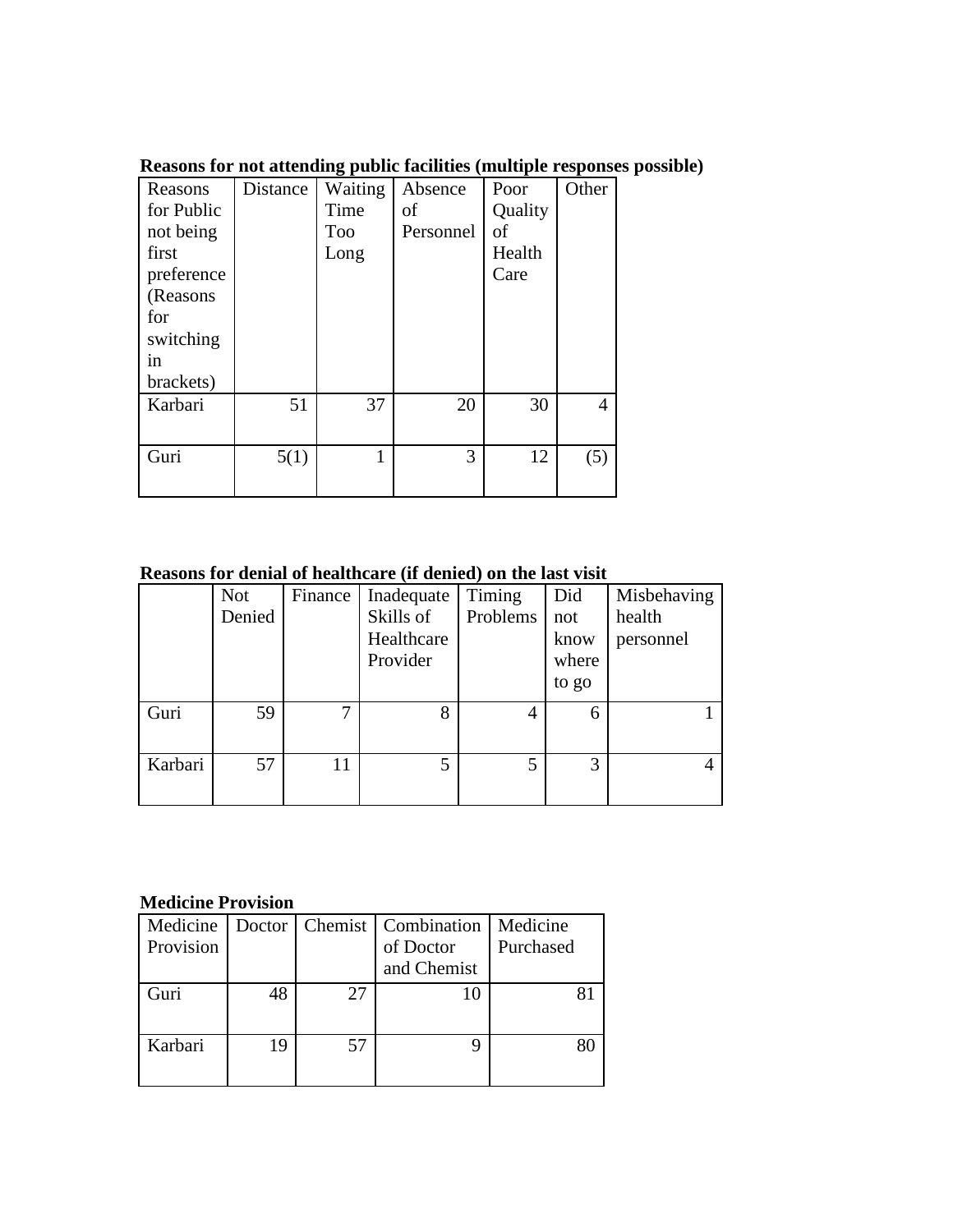| Reasons<br>for Public<br>not being<br>first<br>preference<br>(Reasons<br>for<br>switching<br>in | Distance | Waiting<br>Time<br><b>Too</b><br>Long | Absence<br>οf<br>Personnel | Poor<br>Quality<br>of<br>Health<br>Care | Other          |
|-------------------------------------------------------------------------------------------------|----------|---------------------------------------|----------------------------|-----------------------------------------|----------------|
| brackets)                                                                                       |          |                                       |                            |                                         |                |
| Karbari                                                                                         | 51       | 37                                    | 20                         | 30                                      | $\overline{4}$ |
| Guri                                                                                            | 5(1)     | 1                                     | 3                          | 12                                      | (5)            |

**Reasons for not attending public facilities (multiple responses possible)**

# **Reasons for denial of healthcare (if denied) on the last visit**

|         | <b>Not</b><br>Denied | Finance | Inadequate<br>Skills of<br>Healthcare<br>Provider | Timing<br>Problems | Did<br>not<br>know<br>where<br>to go | Misbehaving<br>health<br>personnel |
|---------|----------------------|---------|---------------------------------------------------|--------------------|--------------------------------------|------------------------------------|
| Guri    | 59                   | 7       | 8                                                 | 4                  | 6                                    |                                    |
| Karbari | 57                   | 11      |                                                   | 5                  | 3                                    |                                    |

# **Medicine Provision**

| Medicine<br>Provision |    |    | Doctor   Chemist   Combination   Medicine<br>of Doctor<br>and Chemist | Purchased |
|-----------------------|----|----|-----------------------------------------------------------------------|-----------|
| Guri                  | 48 | 27 |                                                                       |           |
| Karbari               | 19 | 57 |                                                                       |           |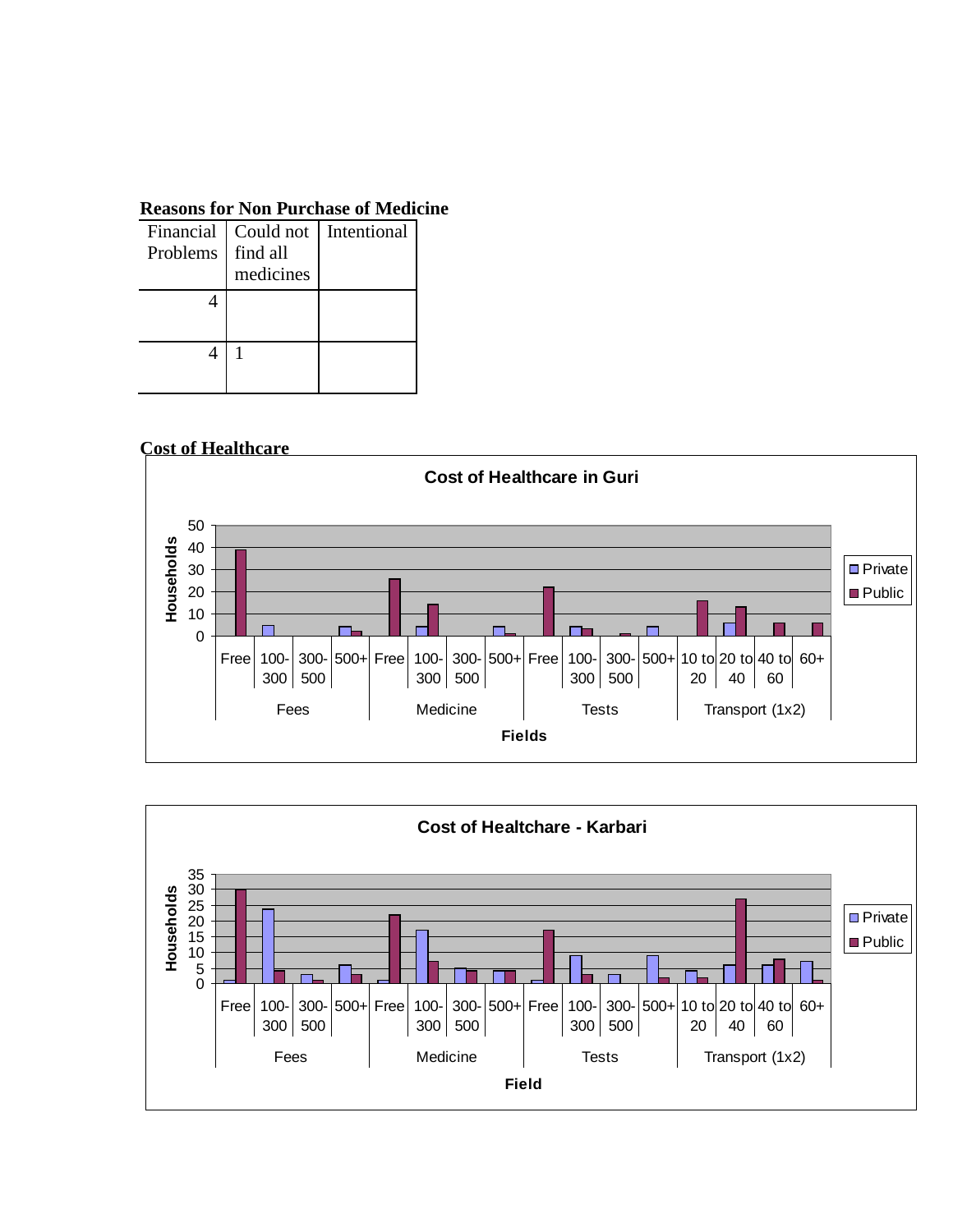### **Reasons for Non Purchase of Medicine**

| Problems | find all<br>medicines | Financial   Could not   Intentional |
|----------|-----------------------|-------------------------------------|
|          |                       |                                     |
|          |                       |                                     |
|          |                       |                                     |
|          |                       |                                     |

## **Cost of Healthcare**



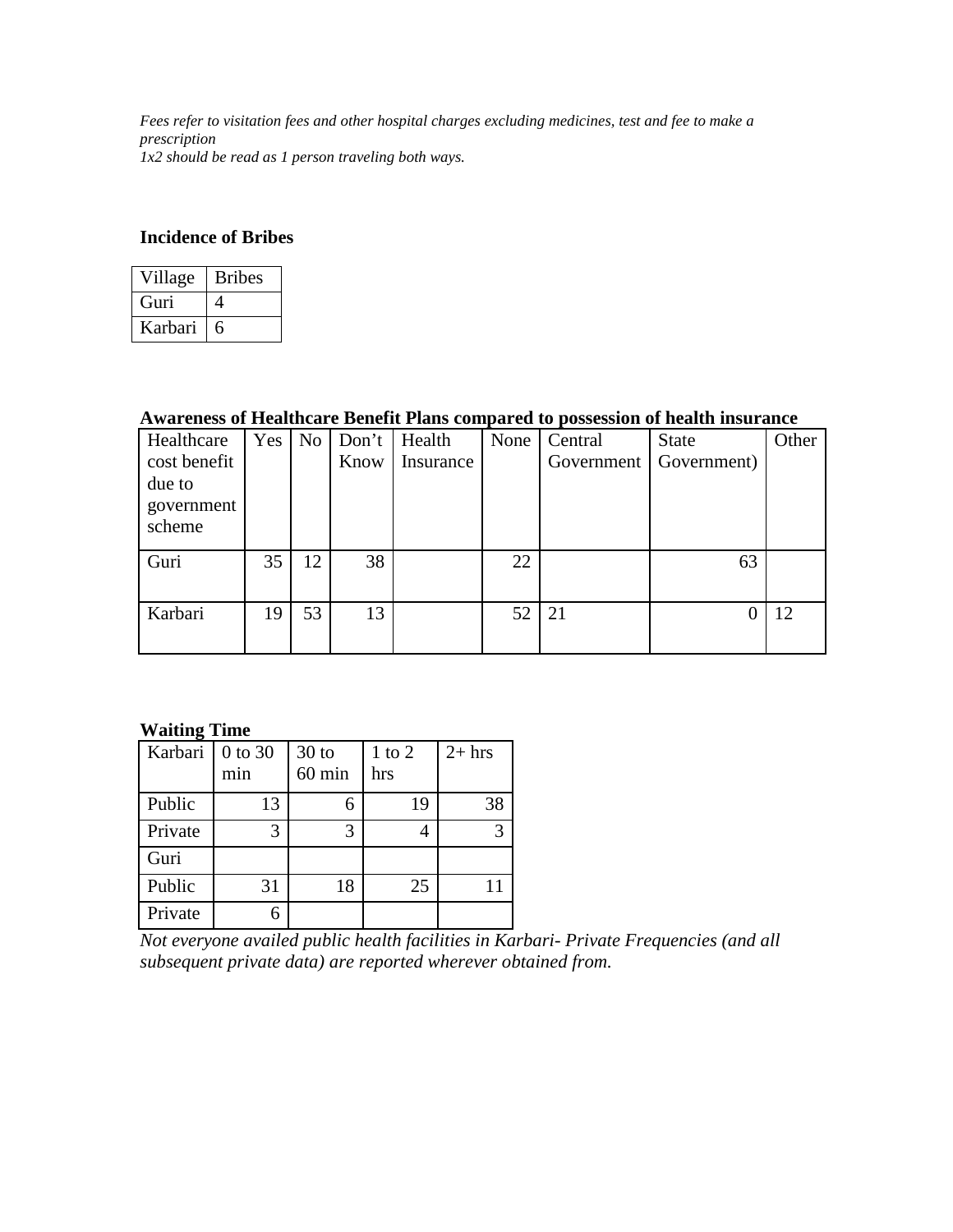*Fees refer to visitation fees and other hospital charges excluding medicines, test and fee to make a prescription 1x2 should be read as 1 person traveling both ways.*

## **Incidence of Bribes**

| Village | <b>Bribes</b> |
|---------|---------------|
| Guri)   |               |
| Karbari | h             |

### **Awareness of Healthcare Benefit Plans compared to possession of health insurance**

| Healthcare   | <b>Yes</b> | N <sub>0</sub> | Don't | Health    | None | Central    | <b>State</b> | Other |
|--------------|------------|----------------|-------|-----------|------|------------|--------------|-------|
| cost benefit |            |                | Know  | Insurance |      | Government | Government)  |       |
| due to       |            |                |       |           |      |            |              |       |
| government   |            |                |       |           |      |            |              |       |
| scheme       |            |                |       |           |      |            |              |       |
|              |            |                |       |           |      |            |              |       |
| Guri         | 35         | 12             | 38    |           | 22   |            | 63           |       |
|              |            |                |       |           |      |            |              |       |
| Karbari      | 19         | 53             | 13    |           | 52   | 21         |              | 12    |
|              |            |                |       |           |      |            |              |       |
|              |            |                |       |           |      |            |              |       |

### **Waiting Time**

| Karbari | 0 to 30 | $30$ to  | $1$ to $2$ | $2+$ hrs |
|---------|---------|----------|------------|----------|
|         | min     | $60$ min | hrs        |          |
| Public  | 13      |          | 19         | 38       |
| Private | 3       | 3        |            | 3        |
| Guri    |         |          |            |          |
| Public  | 31      | 18       | 25         |          |
| Private |         |          |            |          |

*Not everyone availed public health facilities in Karbari- Private Frequencies (and all subsequent private data) are reported wherever obtained from.*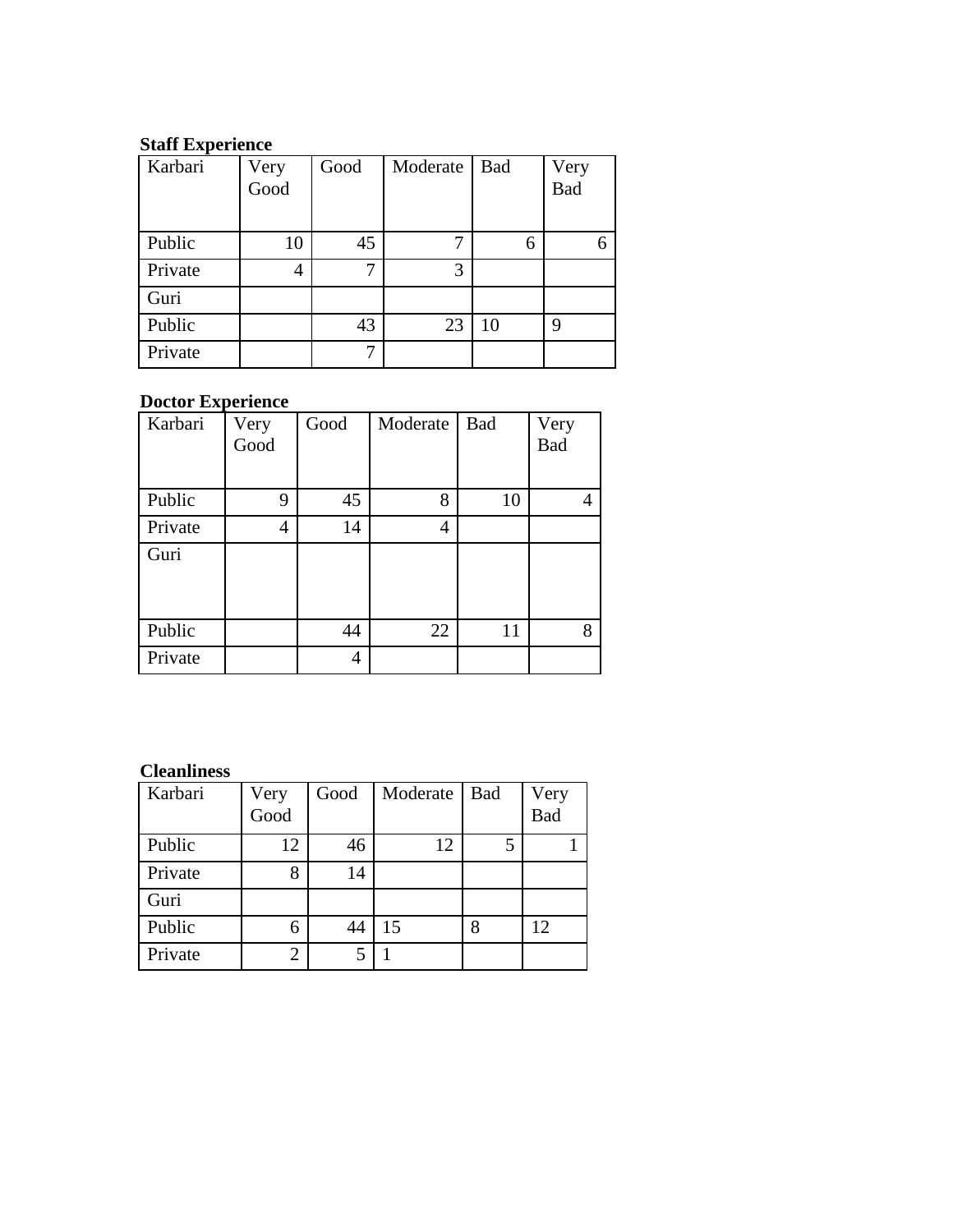## **Staff Experience**

| Karbari | Very<br>Good | Good | Moderate | <b>Bad</b> | Very       |
|---------|--------------|------|----------|------------|------------|
|         |              |      |          |            | <b>Bad</b> |
|         |              |      |          |            |            |
| Public  | 10           | 45   | 7        | 6          |            |
| Private |              | 7    | 3        |            |            |
| Guri    |              |      |          |            |            |
| Public  |              | 43   | 23       | 10         | 9          |
| Private |              | 7    |          |            |            |

# **Doctor Experience**

| Karbari | Very<br>Good | Good | Moderate | Bad | Very<br>Bad |
|---------|--------------|------|----------|-----|-------------|
| Public  | 9            | 45   | 8        | 10  | 4           |
| Private | 4            | 14   | 4        |     |             |
| Guri    |              |      |          |     |             |
| Public  |              | 44   | 22       | 11  | 8           |
| Private |              | 4    |          |     |             |

## **Cleanliness**

| Karbari | Very<br>Good   | Good | Moderate | Bad | Very<br>Bad |
|---------|----------------|------|----------|-----|-------------|
|         |                |      |          |     |             |
| Public  | 12             | 46   | 12       | 5   |             |
| Private | 8              | 14   |          |     |             |
| Guri    |                |      |          |     |             |
| Public  | 6              | 44   | 15       | 8   | 12          |
| Private | $\overline{2}$ | 5    |          |     |             |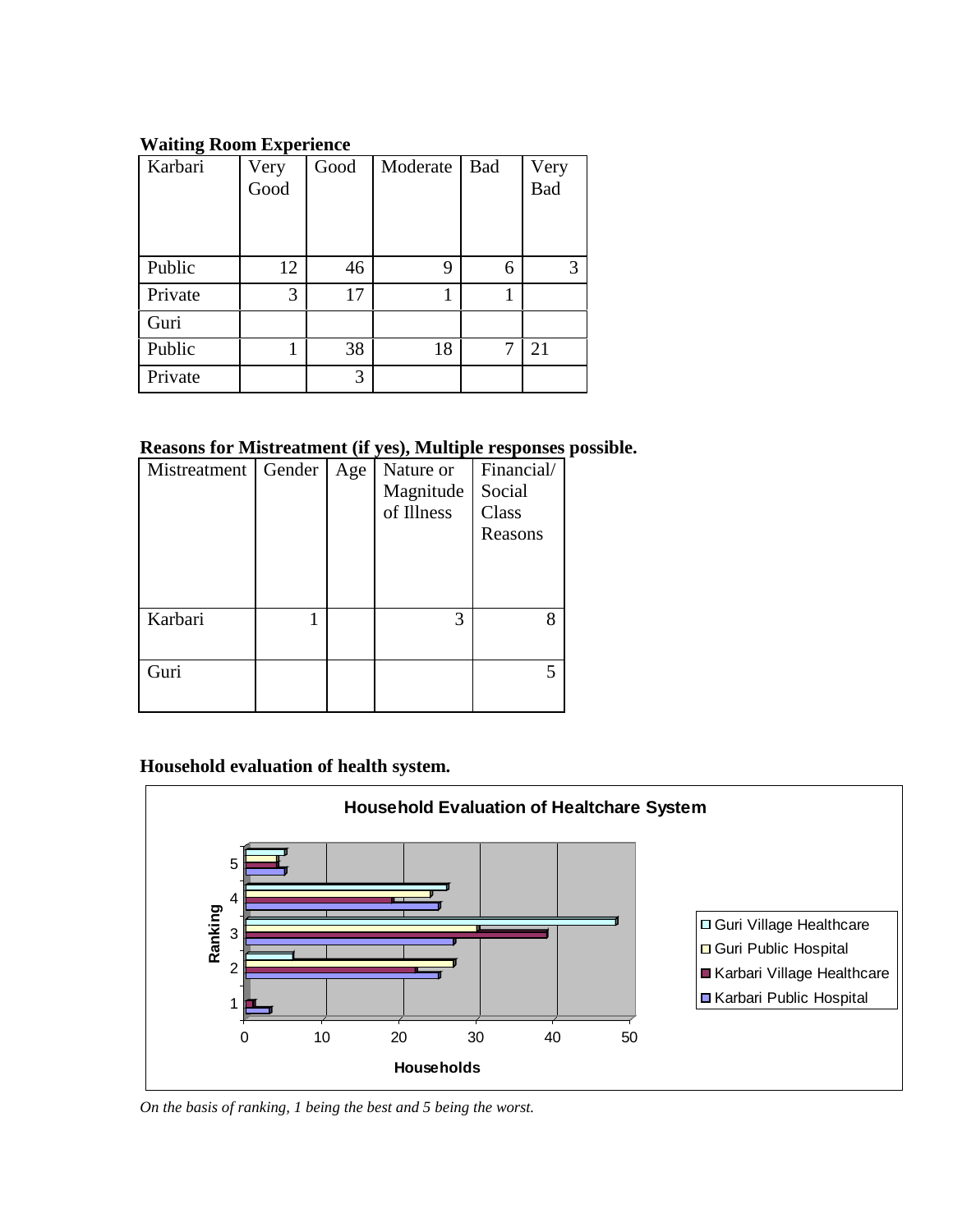## **Waiting Room Experience**

| ັ<br>Karbari | Very | Good | Moderate | <b>Bad</b> | Very |
|--------------|------|------|----------|------------|------|
|              | Good |      |          |            | Bad  |
|              |      |      |          |            |      |
|              |      |      |          |            |      |
| Public       | 12   | 46   | 9        | 6          | 3    |
| Private      | 3    | 17   |          |            |      |
| Guri         |      |      |          |            |      |
| Public       | 1    | 38   | 18       | 7          | 21   |
| Private      |      | 3    |          |            |      |

# **Reasons for Mistreatment (if yes), Multiple responses possible.**

| Mistreatment   Gender | Age | Nature or<br>Magnitude<br>of Illness | Financial/<br>Social<br>Class<br>Reasons |
|-----------------------|-----|--------------------------------------|------------------------------------------|
| Karbari               |     | 3                                    | 8                                        |
| Guri                  |     |                                      |                                          |

# **Household evaluation of health system.**



*On the basis of ranking, 1 being the best and 5 being the worst.*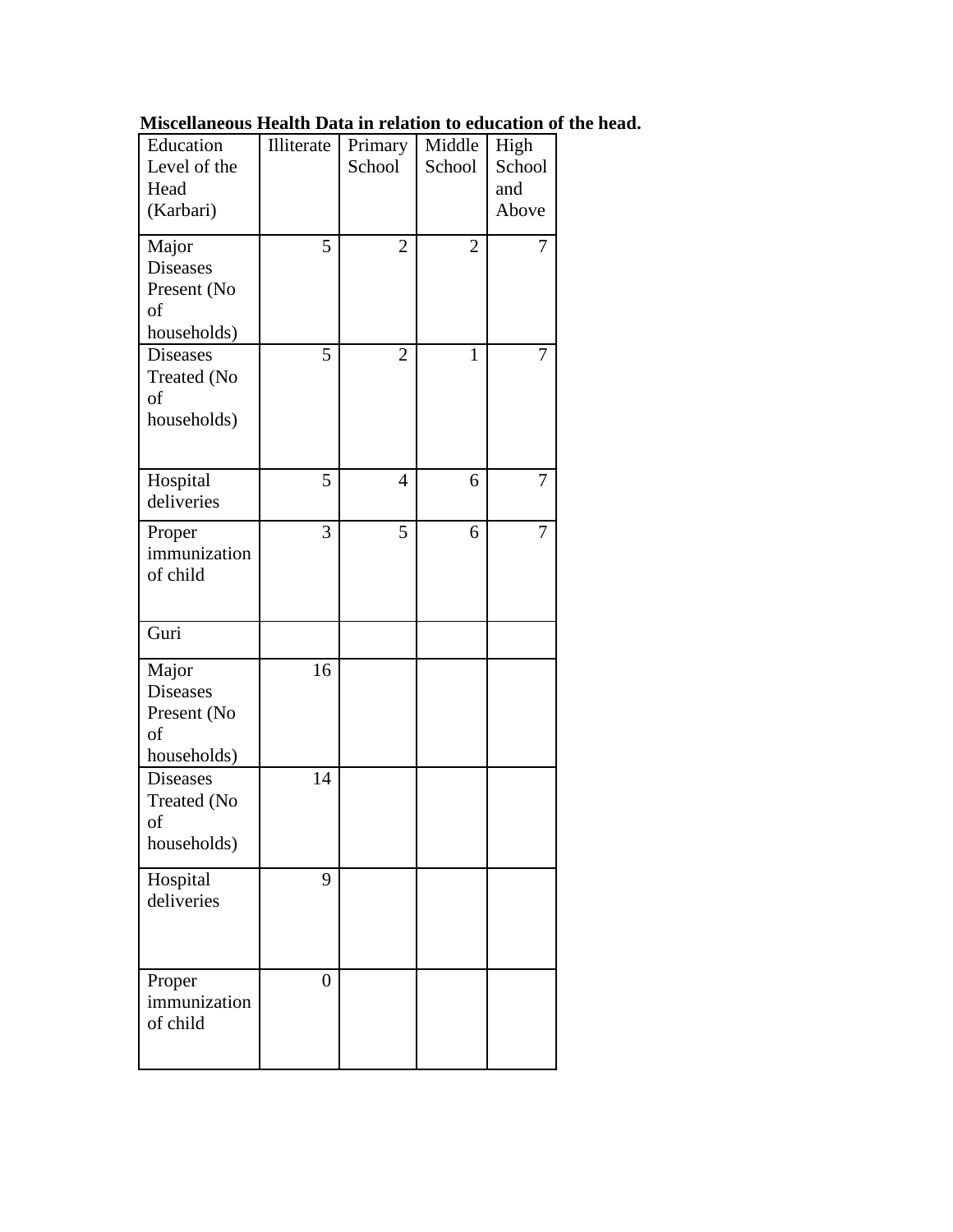| Miscellaneous Health Data in relation to education of the head. |  |  |  |  |  |
|-----------------------------------------------------------------|--|--|--|--|--|
|-----------------------------------------------------------------|--|--|--|--|--|

| Education       | Illiterate       | Primary        | Middle         | High   |
|-----------------|------------------|----------------|----------------|--------|
| Level of the    |                  | School         | School         | School |
| Head            |                  |                |                | and    |
| (Karbari)       |                  |                |                | Above  |
|                 |                  |                |                |        |
| Major           | 5                | $\overline{2}$ | $\overline{2}$ | 7      |
| <b>Diseases</b> |                  |                |                |        |
| Present (No     |                  |                |                |        |
| οf              |                  |                |                |        |
| households)     |                  |                |                |        |
| <b>Diseases</b> | 5                | $\overline{2}$ | $\mathbf{1}$   | 7      |
| Treated (No     |                  |                |                |        |
| of              |                  |                |                |        |
| households)     |                  |                |                |        |
|                 |                  |                |                |        |
|                 |                  |                |                |        |
| Hospital        | 5                | $\overline{4}$ | 6              | 7      |
| deliveries      |                  |                |                |        |
| Proper          | 3                | 5              | 6              | 7      |
| immunization    |                  |                |                |        |
| of child        |                  |                |                |        |
|                 |                  |                |                |        |
|                 |                  |                |                |        |
| Guri            |                  |                |                |        |
| Major           | 16               |                |                |        |
| <b>Diseases</b> |                  |                |                |        |
| Present (No     |                  |                |                |        |
| of              |                  |                |                |        |
| households)     |                  |                |                |        |
| <b>Diseases</b> | 14               |                |                |        |
| Treated (No     |                  |                |                |        |
| of              |                  |                |                |        |
| households)     |                  |                |                |        |
|                 |                  |                |                |        |
| Hospital        | 9                |                |                |        |
| deliveries      |                  |                |                |        |
|                 |                  |                |                |        |
|                 |                  |                |                |        |
| Proper          | $\boldsymbol{0}$ |                |                |        |
| immunization    |                  |                |                |        |
| of child        |                  |                |                |        |
|                 |                  |                |                |        |
|                 |                  |                |                |        |